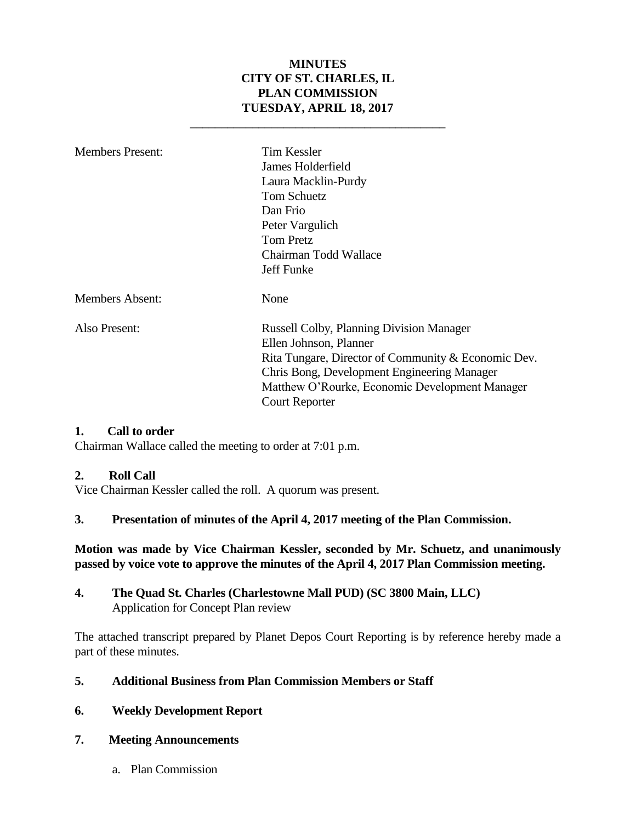## **MINUTES CITY OF ST. CHARLES, IL PLAN COMMISSION TUESDAY, APRIL 18, 2017**

**\_\_\_\_\_\_\_\_\_\_\_\_\_\_\_\_\_\_\_\_\_\_\_\_\_\_\_\_\_\_\_\_\_\_\_\_\_\_\_\_\_**

| <b>Members Present:</b> | <b>Tim Kessler</b><br>James Holderfield<br>Laura Macklin-Purdy<br><b>Tom Schuetz</b><br>Dan Frio<br>Peter Vargulich<br><b>Tom Pretz</b><br>Chairman Todd Wallace<br>Jeff Funke                                                                      |
|-------------------------|-----------------------------------------------------------------------------------------------------------------------------------------------------------------------------------------------------------------------------------------------------|
| <b>Members Absent:</b>  | None                                                                                                                                                                                                                                                |
| Also Present:           | Russell Colby, Planning Division Manager<br>Ellen Johnson, Planner<br>Rita Tungare, Director of Community & Economic Dev.<br>Chris Bong, Development Engineering Manager<br>Matthew O'Rourke, Economic Development Manager<br><b>Court Reporter</b> |

#### **1. Call to order**

Chairman Wallace called the meeting to order at 7:01 p.m.

#### **2. Roll Call**

Vice Chairman Kessler called the roll. A quorum was present.

#### **3. Presentation of minutes of the April 4, 2017 meeting of the Plan Commission.**

#### **Motion was made by Vice Chairman Kessler, seconded by Mr. Schuetz, and unanimously passed by voice vote to approve the minutes of the April 4, 2017 Plan Commission meeting.**

#### **4. The Quad St. Charles (Charlestowne Mall PUD) (SC 3800 Main, LLC)** Application for Concept Plan review

The attached transcript prepared by Planet Depos Court Reporting is by reference hereby made a part of these minutes.

#### **5. Additional Business from Plan Commission Members or Staff**

#### **6. Weekly Development Report**

#### **7. Meeting Announcements**

a. Plan Commission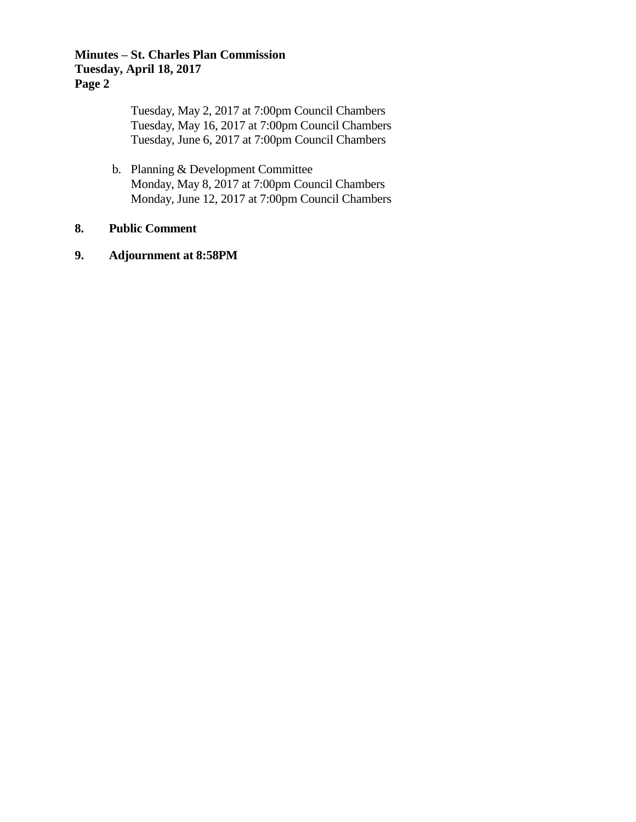## **Minutes – St. Charles Plan Commission Tuesday, April 18, 2017 Page 2**

Tuesday, May 2, 2017 at 7:00pm Council Chambers Tuesday, May 16, 2017 at 7:00pm Council Chambers Tuesday, June 6, 2017 at 7:00pm Council Chambers

b. Planning & Development Committee Monday, May 8, 2017 at 7:00pm Council Chambers Monday, June 12, 2017 at 7:00pm Council Chambers

#### **8. Public Comment**

## **9. Adjournment at 8:58PM**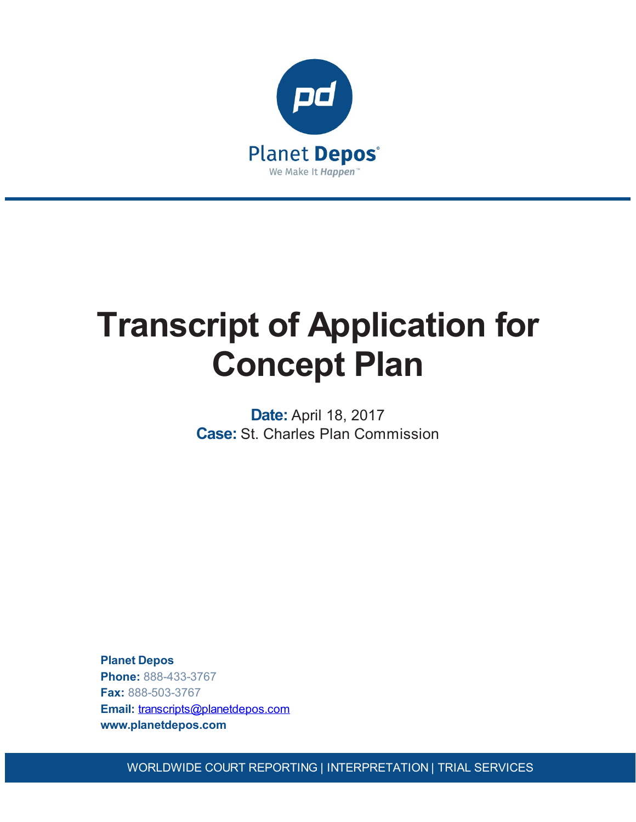

# **Transcript of Application for Concept Plan**

**Date:** April 18, 2017 **Case:** St. Charles Plan Commission

**Planet Depos Phone:** 888-433-3767 **Fax:** 888-503-3767 **Email:** [transcripts@planetdepos.com](mailto:transcripts@planetdepos.com) **www.planetdepos.com**

WORLDWIDE COURT REPORTING | INTERPRETATION | TRIAL SERVICES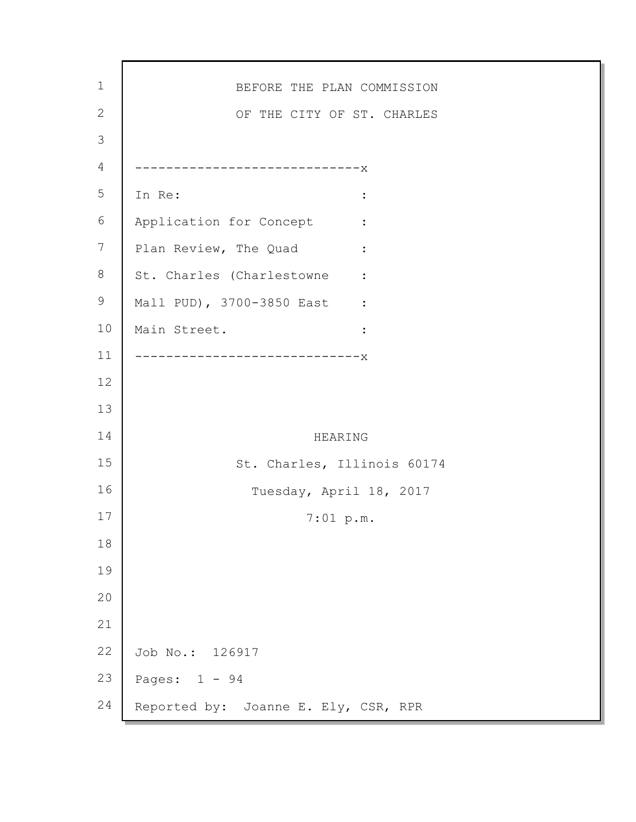| $\mathbf 1$    | BEFORE THE PLAN COMMISSION                               |
|----------------|----------------------------------------------------------|
| $\mathbf{2}$   | OF THE CITY OF ST. CHARLES                               |
| $\mathfrak{Z}$ |                                                          |
| $\overline{4}$ | -------------------------X                               |
| 5              | In Re:<br>$\ddot{\cdot}$                                 |
| 6              | Application for Concept<br><b><i>Property States</i></b> |
| 7              | Plan Review, The Quad<br>$\ddot{\cdot}$                  |
| 8              | St. Charles (Charlestowne :                              |
| 9              | Mall PUD), 3700-3850 East :                              |
| 10             | Main Street.<br>$\ddot{\cdot}$                           |
| 11             | -----------------X                                       |
| 12             |                                                          |
| 13             |                                                          |
| 14             | HEARING                                                  |
| 15             | St. Charles, Illinois 60174                              |
| 16             | Tuesday, April 18, 2017                                  |
| 17             | 7:01~p.m.                                                |
| 18             |                                                          |
| 19             |                                                          |
| 20             |                                                          |
| 21             |                                                          |
| 22             | Job No.: 126917                                          |
| 23             | Pages: $1 - 94$                                          |
| 24             | Reported by: Joanne E. Ely, CSR, RPR                     |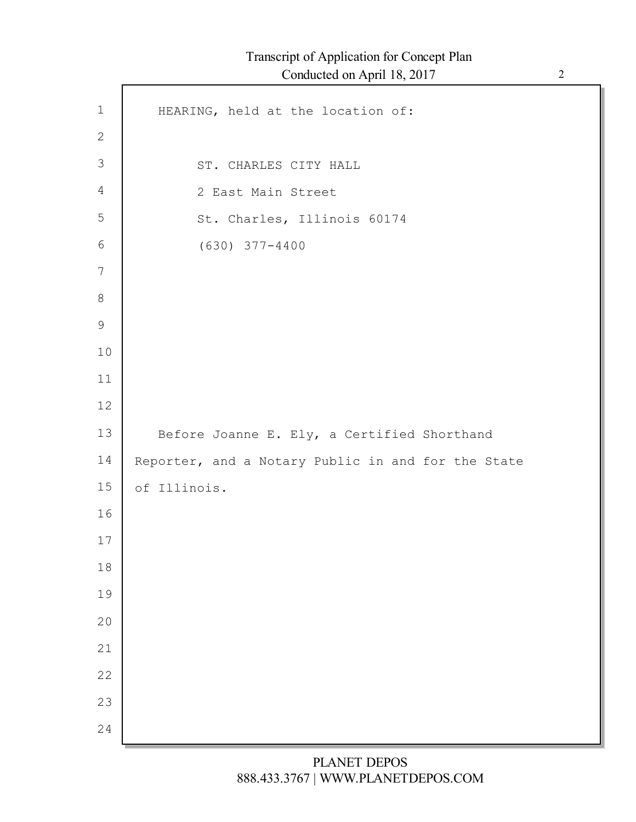| $1\,$           | HEARING, held at the location of:                  |
|-----------------|----------------------------------------------------|
| $\mathbf{2}$    |                                                    |
| $\mathfrak{Z}$  | ST. CHARLES CITY HALL                              |
| $\overline{4}$  | 2 East Main Street                                 |
| 5               | St. Charles, Illinois 60174                        |
| 6               | $(630)$ $377 - 4400$                               |
| $7\phantom{.0}$ |                                                    |
| $8\,$           |                                                    |
| $\mathsf 9$     |                                                    |
| 10              |                                                    |
| 11              |                                                    |
| 12              |                                                    |
| 13              | Before Joanne E. Ely, a Certified Shorthand        |
| 14              | Reporter, and a Notary Public in and for the State |
| 15              | of Illinois.                                       |
| 16              |                                                    |
| 17              |                                                    |
| 18              |                                                    |
| 19              |                                                    |
| 20              |                                                    |
| 21              |                                                    |
| 22              |                                                    |
| 23<br>24        |                                                    |
|                 |                                                    |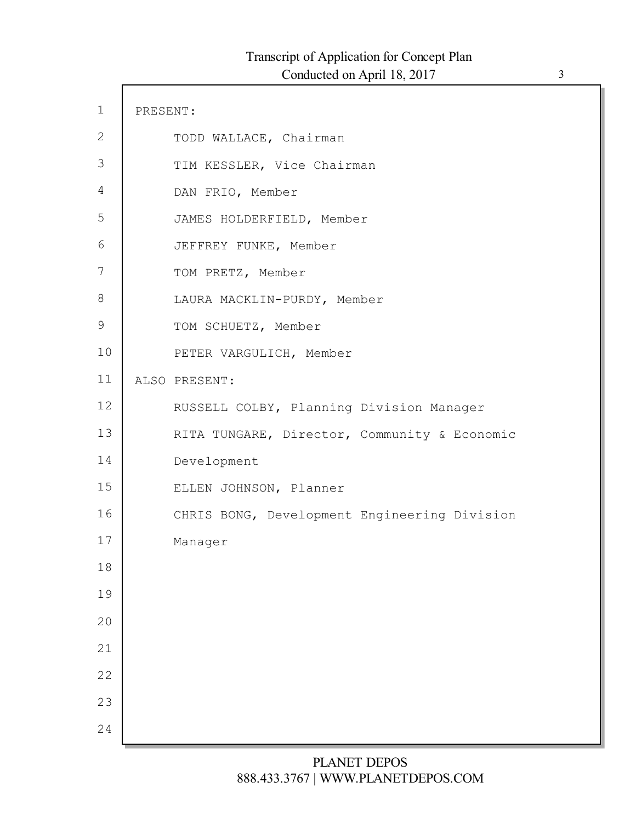| $\mathbf 1$   | PRESENT: |                                              |
|---------------|----------|----------------------------------------------|
| $\mathbf{2}$  |          | TODD WALLACE, Chairman                       |
| 3             |          | TIM KESSLER, Vice Chairman                   |
| 4             |          | DAN FRIO, Member                             |
| 5             |          | JAMES HOLDERFIELD, Member                    |
| 6             |          | JEFFREY FUNKE, Member                        |
| 7             |          | TOM PRETZ, Member                            |
| 8             |          | LAURA MACKLIN-PURDY, Member                  |
| $\mathcal{G}$ |          | TOM SCHUETZ, Member                          |
| 10            |          | PETER VARGULICH, Member                      |
| 11            |          | ALSO PRESENT:                                |
| 12            |          | RUSSELL COLBY, Planning Division Manager     |
| 13            |          | RITA TUNGARE, Director, Community & Economic |
| 14            |          | Development                                  |
| 15            |          | ELLEN JOHNSON, Planner                       |
| 16            |          | CHRIS BONG, Development Engineering Division |
| 17            |          | Manager                                      |
| 18            |          |                                              |
| 19            |          |                                              |
| 20            |          |                                              |
| 21            |          |                                              |
| 22            |          |                                              |
| 23            |          |                                              |
| 24            |          |                                              |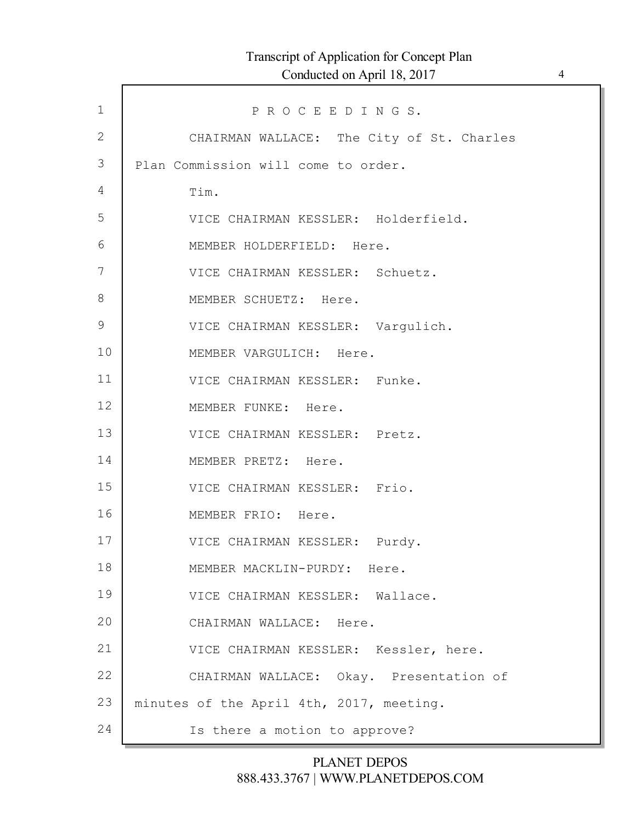| $\mathbf 1$   | PROCEEDINGS.                              |
|---------------|-------------------------------------------|
| $\mathbf{2}$  | CHAIRMAN WALLACE: The City of St. Charles |
| 3             | Plan Commission will come to order.       |
| 4             | Tim.                                      |
| 5             | VICE CHAIRMAN KESSLER: Holderfield.       |
| 6             | MEMBER HOLDERFIELD: Here.                 |
| 7             | VICE CHAIRMAN KESSLER: Schuetz.           |
| 8             | MEMBER SCHUETZ: Here.                     |
| $\mathcal{G}$ | VICE CHAIRMAN KESSLER: Vargulich.         |
| 10            | MEMBER VARGULICH: Here.                   |
| 11            | VICE CHAIRMAN KESSLER: Funke.             |
| 12            | MEMBER FUNKE: Here.                       |
| 13            | VICE CHAIRMAN KESSLER: Pretz.             |
| 14            | MEMBER PRETZ: Here.                       |
| 15            | VICE CHAIRMAN KESSLER: Frio.              |
| 16            | MEMBER FRIO: Here.                        |
| 17            | VICE CHAIRMAN KESSLER: Purdy.             |
| 18            | MEMBER MACKLIN-PURDY: Here.               |
| 19            | VICE CHAIRMAN KESSLER: Wallace.           |
| 20            | CHAIRMAN WALLACE: Here.                   |
| 21            | VICE CHAIRMAN KESSLER: Kessler, here.     |
| 22            | CHAIRMAN WALLACE: Okay. Presentation of   |
| 23            | minutes of the April 4th, 2017, meeting.  |
| 24            | Is there a motion to approve?             |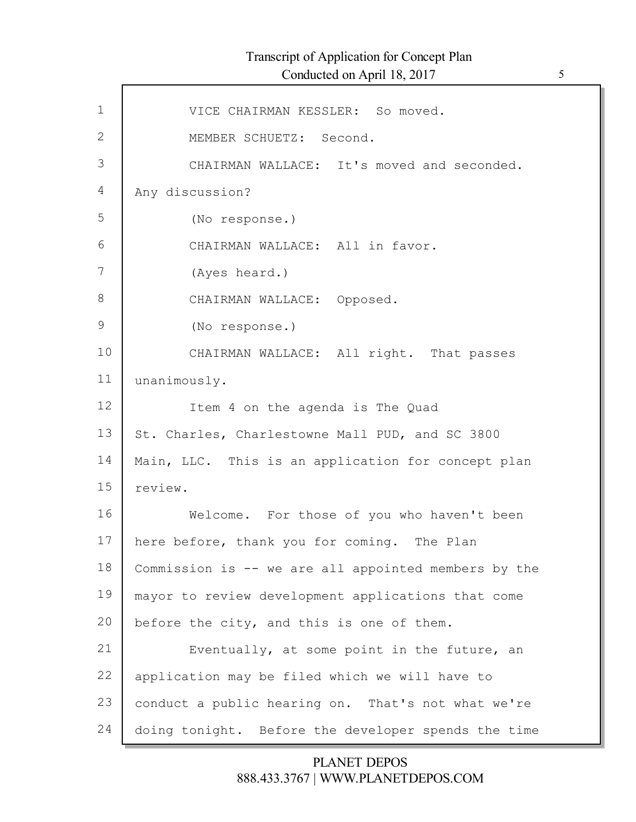Г

| $\mathbf 1$  | VICE CHAIRMAN KESSLER: So moved.                     |
|--------------|------------------------------------------------------|
| $\mathbf{2}$ | MEMBER SCHUETZ: Second.                              |
| 3            | CHAIRMAN WALLACE: It's moved and seconded.           |
| 4            | Any discussion?                                      |
| 5            | (No response.)                                       |
| 6            | CHAIRMAN WALLACE: All in favor.                      |
| 7            | (Ayes heard.)                                        |
| $8\,$        | CHAIRMAN WALLACE: Opposed.                           |
| 9            | (No response.)                                       |
| 10           | CHAIRMAN WALLACE: All right. That passes             |
| 11           | unanimously.                                         |
| 12           | Item 4 on the agenda is The Quad                     |
| 13           | St. Charles, Charlestowne Mall PUD, and SC 3800      |
| 14           | Main, LLC. This is an application for concept plan   |
| 15           | review.                                              |
| 16           | Welcome. For those of you who haven't been           |
| 17           | here before, thank you for coming. The Plan          |
| 18           | Commission is -- we are all appointed members by the |
| 19           | mayor to review development applications that come   |
| 20           | before the city, and this is one of them.            |
| 21           | Eventually, at some point in the future, an          |
| 22           | application may be filed which we will have to       |
| 23           | conduct a public hearing on. That's not what we're   |
| 24           | doing tonight. Before the developer spends the time  |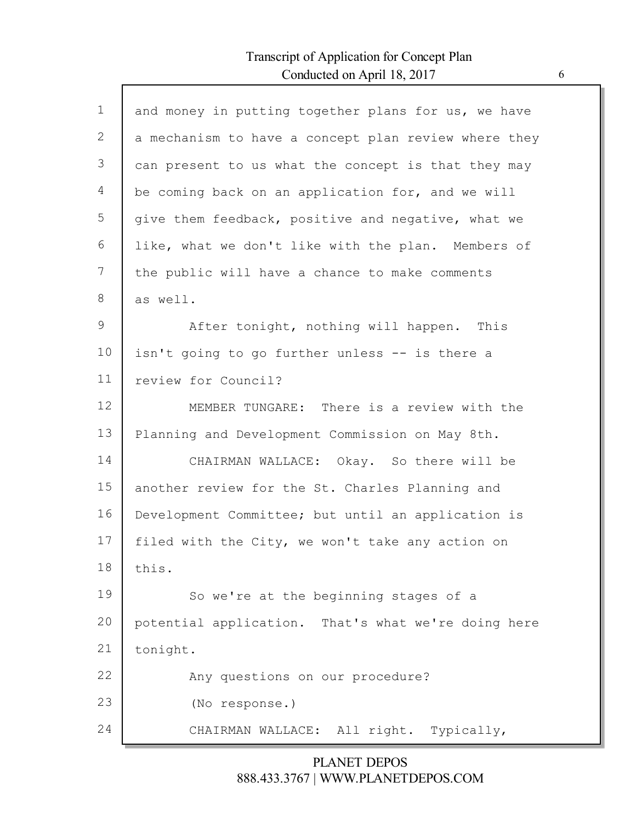$\Gamma$ 

| $\mathbf{1}$  | and money in putting together plans for us, we have  |
|---------------|------------------------------------------------------|
| $\mathbf{2}$  | a mechanism to have a concept plan review where they |
| 3             | can present to us what the concept is that they may  |
| 4             | be coming back on an application for, and we will    |
| 5             | give them feedback, positive and negative, what we   |
| 6             | like, what we don't like with the plan. Members of   |
| 7             | the public will have a chance to make comments       |
| 8             | as well.                                             |
| $\mathcal{G}$ | After tonight, nothing will happen. This             |
| 10            | isn't going to go further unless -- is there a       |
| 11            | review for Council?                                  |
| 12            | MEMBER TUNGARE: There is a review with the           |
| 13            | Planning and Development Commission on May 8th.      |
| 14            | CHAIRMAN WALLACE: Okay. So there will be             |
| 15            | another review for the St. Charles Planning and      |
| 16            | Development Committee; but until an application is   |
| 17            | filed with the City, we won't take any action on     |
| 18            | this.                                                |
| 19            | So we're at the beginning stages of a                |
| 20            | potential application. That's what we're doing here  |
| 21            | tonight.                                             |
| 22            | Any questions on our procedure?                      |
| 23            | (No response.)                                       |
| 24            | CHAIRMAN WALLACE: All right. Typically,              |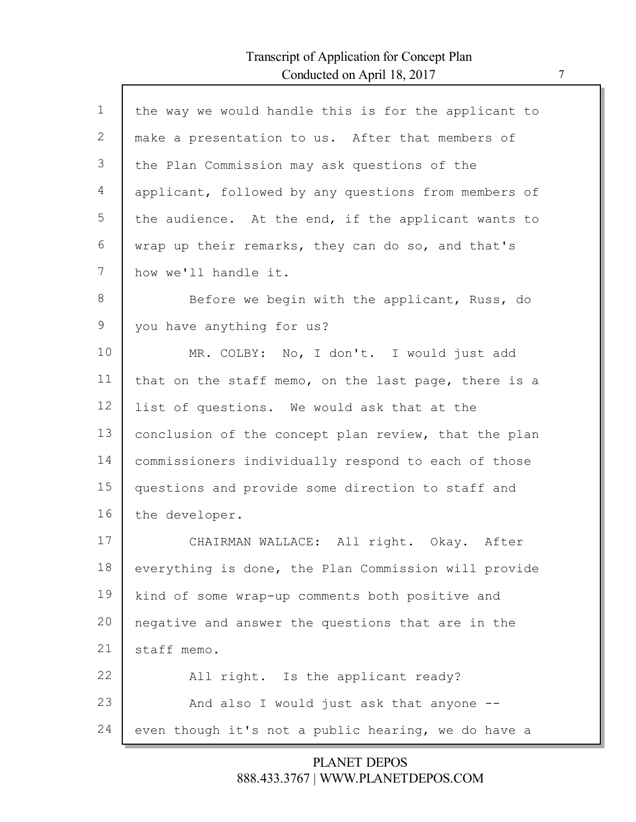$\mathsf{l}$ 

| $\mathbf{1}$ | the way we would handle this is for the applicant to |
|--------------|------------------------------------------------------|
| 2            | make a presentation to us. After that members of     |
| 3            | the Plan Commission may ask questions of the         |
| 4            | applicant, followed by any questions from members of |
| 5            | the audience. At the end, if the applicant wants to  |
| 6            | wrap up their remarks, they can do so, and that's    |
| 7            | how we'll handle it.                                 |
| 8            | Before we begin with the applicant, Russ, do         |
| 9            | you have anything for us?                            |
| 10           | MR. COLBY: No, I don't. I would just add             |
| 11           | that on the staff memo, on the last page, there is a |
| 12           | list of questions. We would ask that at the          |
| 13           | conclusion of the concept plan review, that the plan |
| 14           | commissioners individually respond to each of those  |
| 15           | questions and provide some direction to staff and    |
| 16           | the developer.                                       |
| 17           | CHAIRMAN WALLACE: All right. Okay. After             |
| 18           | everything is done, the Plan Commission will provide |
| 19           | kind of some wrap-up comments both positive and      |
| 20           | negative and answer the questions that are in the    |
| 21           | staff memo.                                          |
| 22           | All right. Is the applicant ready?                   |
| 23           | And also I would just ask that anyone --             |
| 24           | even though it's not a public hearing, we do have a  |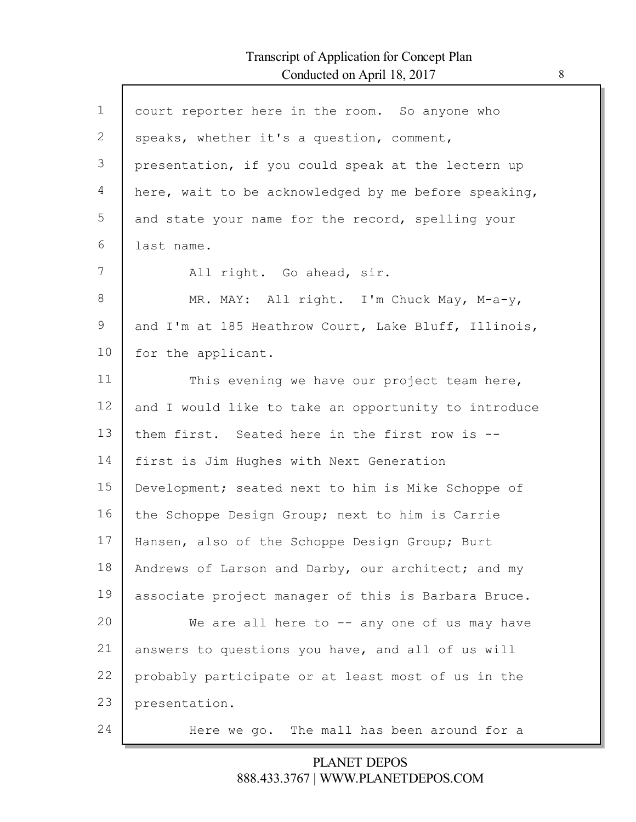| $\mathbf{1}$ | court reporter here in the room. So anyone who       |
|--------------|------------------------------------------------------|
| 2            | speaks, whether it's a question, comment,            |
| 3            | presentation, if you could speak at the lectern up   |
| 4            | here, wait to be acknowledged by me before speaking, |
| 5            | and state your name for the record, spelling your    |
| 6            | last name.                                           |
| 7            | All right. Go ahead, sir.                            |
| 8            | MR. MAY: All right. I'm Chuck May, M-a-y,            |
| 9            | and I'm at 185 Heathrow Court, Lake Bluff, Illinois, |
| 10           | for the applicant.                                   |
| 11           | This evening we have our project team here,          |
| 12           | and I would like to take an opportunity to introduce |
| 13           | them first. Seated here in the first row is --       |
| 14           | first is Jim Hughes with Next Generation             |
| 15           | Development; seated next to him is Mike Schoppe of   |
| 16           | the Schoppe Design Group; next to him is Carrie      |
| 17           | Hansen, also of the Schoppe Design Group; Burt       |
| 18           | Andrews of Larson and Darby, our architect; and my   |
| 19           | associate project manager of this is Barbara Bruce.  |
| 20           | We are all here to -- any one of us may have         |
| 21           | answers to questions you have, and all of us will    |
| 22           | probably participate or at least most of us in the   |
| 23           | presentation.                                        |
| 24           | Here we go. The mall has been around for a           |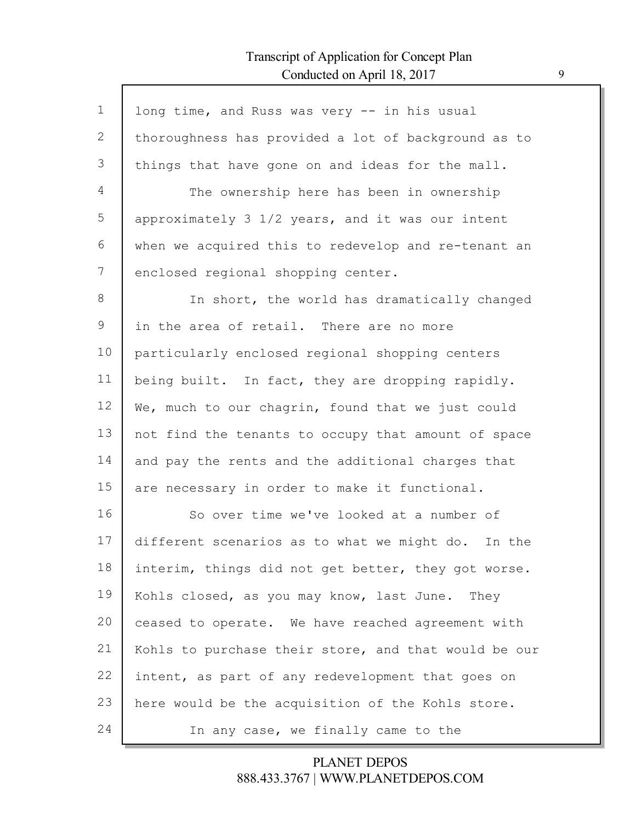Г

| $\mathbf 1$ | long time, and Russ was very -- in his usual         |
|-------------|------------------------------------------------------|
| 2           | thoroughness has provided a lot of background as to  |
| 3           | things that have gone on and ideas for the mall.     |
| 4           | The ownership here has been in ownership             |
| 5           | approximately 3 1/2 years, and it was our intent     |
| 6           | when we acquired this to redevelop and re-tenant an  |
| 7           | enclosed regional shopping center.                   |
| 8           | In short, the world has dramatically changed         |
| 9           | in the area of retail. There are no more             |
| 10          | particularly enclosed regional shopping centers      |
| 11          | being built. In fact, they are dropping rapidly.     |
| 12          | We, much to our chagrin, found that we just could    |
| 13          | not find the tenants to occupy that amount of space  |
| 14          | and pay the rents and the additional charges that    |
| 15          | are necessary in order to make it functional.        |
| 16          | So over time we've looked at a number of             |
| 17          | different scenarios as to what we might do. In the   |
| 18          | interim, things did not get better, they got worse.  |
| 19          | Kohls closed, as you may know, last June. They       |
| 20          | ceased to operate. We have reached agreement with    |
| 21          | Kohls to purchase their store, and that would be our |
| 22          | intent, as part of any redevelopment that goes on    |
| 23          | here would be the acquisition of the Kohls store.    |
| 24          | In any case, we finally came to the                  |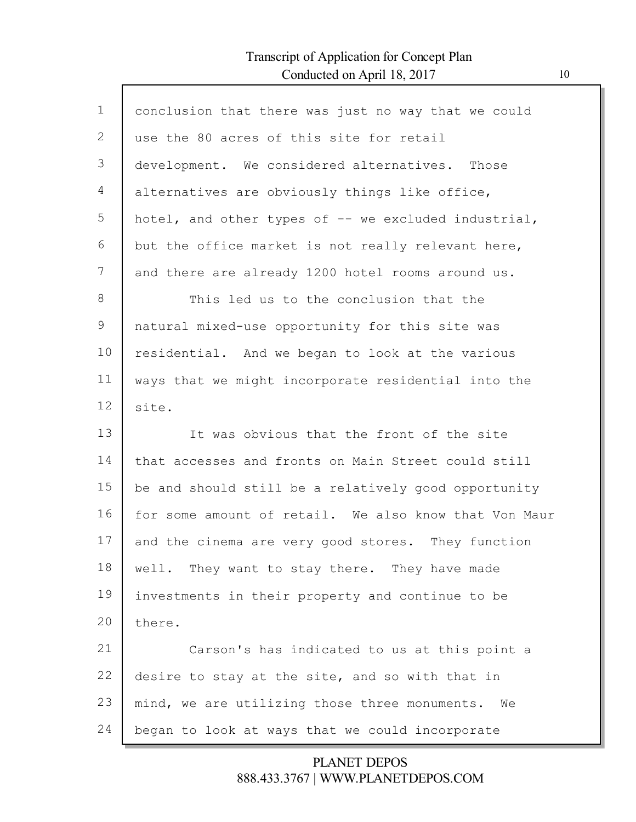$\mathsf{l}$ 

| $\mathbf 1$ | conclusion that there was just no way that we could   |
|-------------|-------------------------------------------------------|
| 2           | use the 80 acres of this site for retail              |
| 3           | development. We considered alternatives. Those        |
| 4           | alternatives are obviously things like office,        |
| 5           | hotel, and other types of -- we excluded industrial,  |
| 6           | but the office market is not really relevant here,    |
| 7           | and there are already 1200 hotel rooms around us.     |
| 8           | This led us to the conclusion that the                |
| $\mathsf 9$ | natural mixed-use opportunity for this site was       |
| 10          | residential. And we began to look at the various      |
| 11          | ways that we might incorporate residential into the   |
| 12          | site.                                                 |
| 13          | It was obvious that the front of the site             |
| 14          | that accesses and fronts on Main Street could still   |
| 15          | be and should still be a relatively good opportunity  |
| 16          | for some amount of retail. We also know that Von Maur |
| 17          | and the cinema are very good stores. They function    |
| 18          | well. They want to stay there. They have made         |
| 19          | investments in their property and continue to be      |
| 20          | there.                                                |
| 21          | Carson's has indicated to us at this point a          |
| 22          | desire to stay at the site, and so with that in       |
| 23          | mind, we are utilizing those three monuments. We      |
| 24          | began to look at ways that we could incorporate       |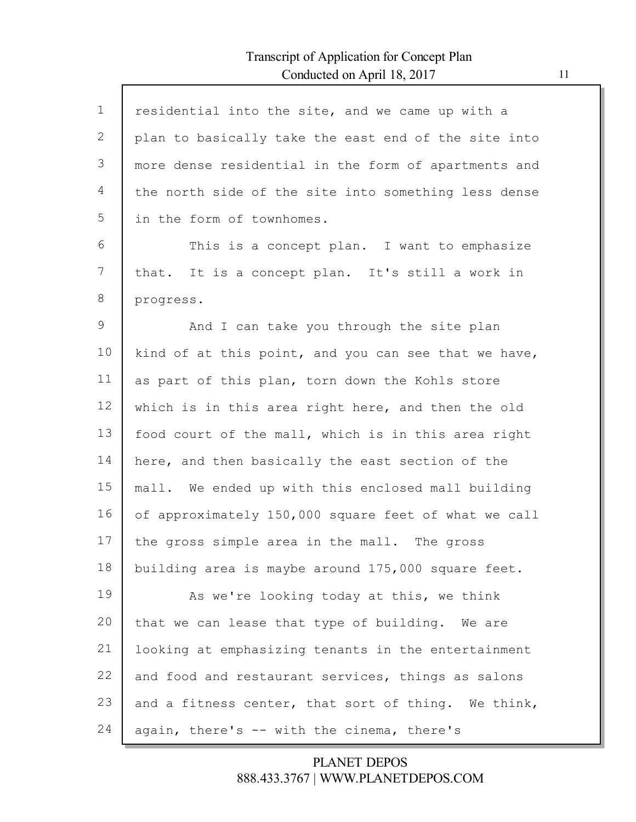| $\mathbf 1$ | residential into the site, and we came up with a     |
|-------------|------------------------------------------------------|
| 2           | plan to basically take the east end of the site into |
| 3           | more dense residential in the form of apartments and |
| 4           | the north side of the site into something less dense |
| 5           | in the form of townhomes.                            |
| 6           | This is a concept plan. I want to emphasize          |
| 7           | that. It is a concept plan. It's still a work in     |
| 8           | progress.                                            |
| 9           | And I can take you through the site plan             |
| 10          | kind of at this point, and you can see that we have, |
| 11          | as part of this plan, torn down the Kohls store      |
| 12          | which is in this area right here, and then the old   |
| 13          | food court of the mall, which is in this area right  |
| 14          | here, and then basically the east section of the     |
| 15          | mall. We ended up with this enclosed mall building   |
| 16          | of approximately 150,000 square feet of what we call |
| 17          | the gross simple area in the mall. The gross         |
| 18          | building area is maybe around 175,000 square feet.   |
| 19          | As we're looking today at this, we think             |
| 20          | that we can lease that type of building. We are      |
| 21          | looking at emphasizing tenants in the entertainment  |
| 22          | and food and restaurant services, things as salons   |
| 23          | and a fitness center, that sort of thing. We think,  |
| 24          | again, there's -- with the cinema, there's           |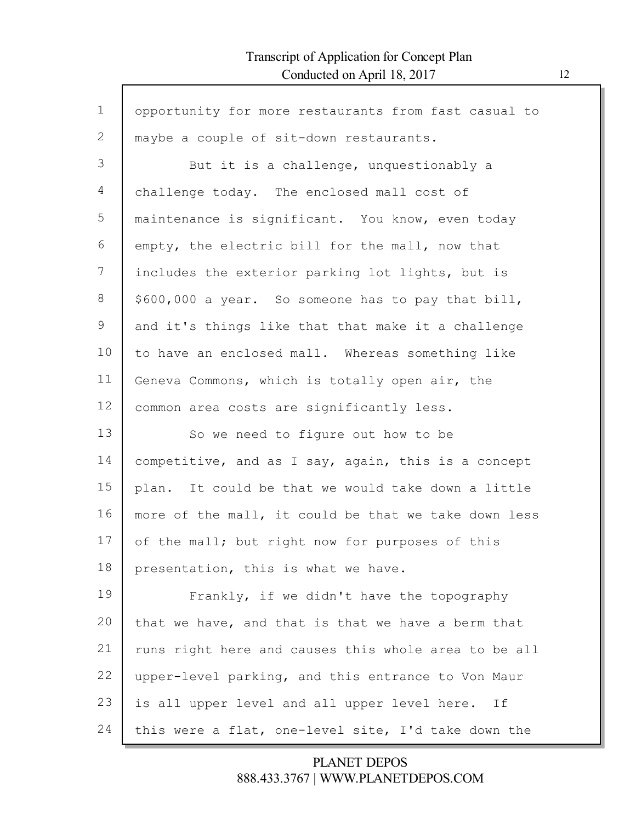$\mathsf{l}$ 

| $\mathbf 1$ | opportunity for more restaurants from fast casual to |
|-------------|------------------------------------------------------|
| 2           | maybe a couple of sit-down restaurants.              |
| 3           | But it is a challenge, unquestionably a              |
| 4           | challenge today. The enclosed mall cost of           |
| 5           | maintenance is significant. You know, even today     |
| 6           | empty, the electric bill for the mall, now that      |
| 7           | includes the exterior parking lot lights, but is     |
| 8           | \$600,000 a year. So someone has to pay that bill,   |
| 9           | and it's things like that that make it a challenge   |
| 10          | to have an enclosed mall. Whereas something like     |
| 11          | Geneva Commons, which is totally open air, the       |
| 12          | common area costs are significantly less.            |
| 13          | So we need to figure out how to be                   |
| 14          | competitive, and as I say, again, this is a concept  |
| 15          | plan. It could be that we would take down a little   |
| 16          | more of the mall, it could be that we take down less |
| 17          | of the mall; but right now for purposes of this      |
| 18          | presentation, this is what we have.                  |
| 19          | Frankly, if we didn't have the topography            |
| 20          | that we have, and that is that we have a berm that   |
| 21          | runs right here and causes this whole area to be all |
| 22          | upper-level parking, and this entrance to Von Maur   |
| 23          | is all upper level and all upper level here. If      |
| 24          | this were a flat, one-level site, I'd take down the  |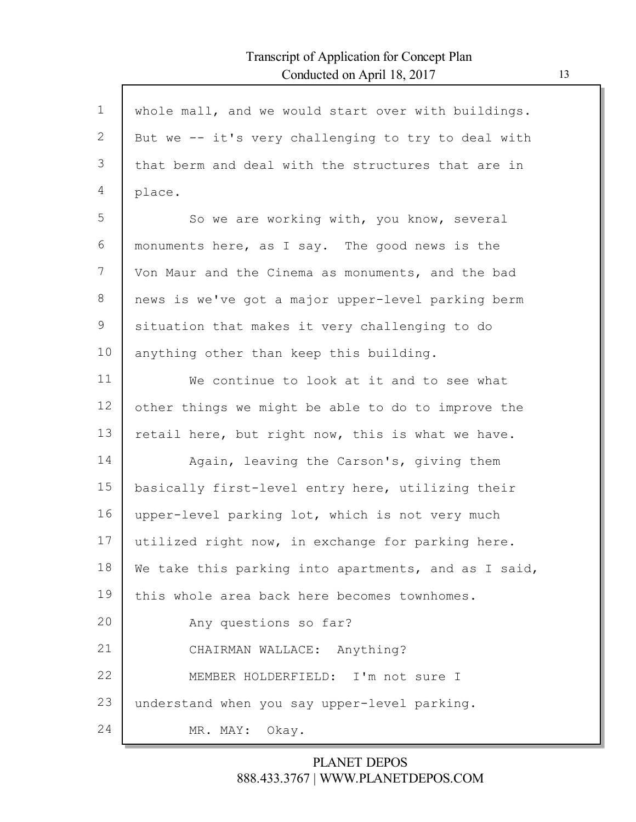| $\mathbf 1$   | whole mall, and we would start over with buildings.  |
|---------------|------------------------------------------------------|
| $\mathbf{2}$  | But we -- it's very challenging to try to deal with  |
| 3             | that berm and deal with the structures that are in   |
| 4             | place.                                               |
| 5             | So we are working with, you know, several            |
| 6             | monuments here, as I say. The good news is the       |
| 7             | Von Maur and the Cinema as monuments, and the bad    |
| 8             | news is we've got a major upper-level parking berm   |
| $\mathcal{G}$ | situation that makes it very challenging to do       |
| 10            | anything other than keep this building.              |
| 11            | We continue to look at it and to see what            |
| 12            | other things we might be able to do to improve the   |
| 13            | retail here, but right now, this is what we have.    |
| 14            | Again, leaving the Carson's, giving them             |
| 15            | basically first-level entry here, utilizing their    |
| 16            | upper-level parking lot, which is not very much      |
| 17            | utilized right now, in exchange for parking here.    |
| 18            | We take this parking into apartments, and as I said, |
| 19            | this whole area back here becomes townhomes.         |
| 20            | Any questions so far?                                |
| 21            | CHAIRMAN WALLACE: Anything?                          |
| 22            | MEMBER HOLDERFIELD: I'm not sure I                   |
| 23            | understand when you say upper-level parking.         |
| 24            | MR. MAY:<br>Okay.                                    |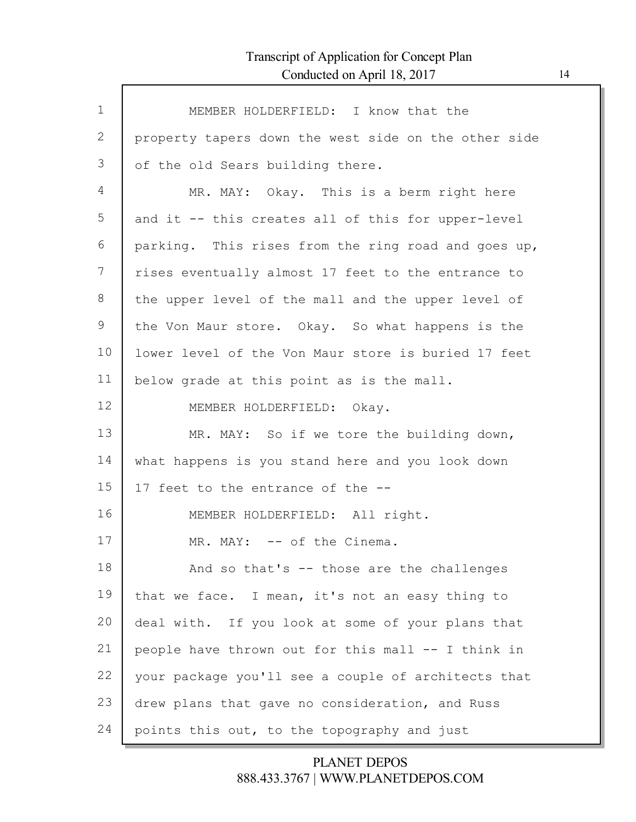| $\mathbf 1$  | MEMBER HOLDERFIELD: I know that the                  |
|--------------|------------------------------------------------------|
| $\mathbf{2}$ | property tapers down the west side on the other side |
| 3            | of the old Sears building there.                     |
| 4            | MR. MAY: Okay. This is a berm right here             |
| 5            | and it -- this creates all of this for upper-level   |
| 6            | parking. This rises from the ring road and goes up,  |
| 7            | rises eventually almost 17 feet to the entrance to   |
| 8            | the upper level of the mall and the upper level of   |
| 9            | the Von Maur store. Okay. So what happens is the     |
| 10           | lower level of the Von Maur store is buried 17 feet  |
| 11           | below grade at this point as is the mall.            |
| 12           | MEMBER HOLDERFIELD: Okay.                            |
| 13           | MR. MAY: So if we tore the building down,            |
| 14           | what happens is you stand here and you look down     |
| 15           | 17 feet to the entrance of the --                    |
| 16           | MEMBER HOLDERFIELD: All right.                       |
| 17           | MR. MAY: -- of the Cinema.                           |
| 18           | And so that's -- those are the challenges            |
| 19           | that we face. I mean, it's not an easy thing to      |
| 20           | deal with. If you look at some of your plans that    |
| 21           | people have thrown out for this mall -- I think in   |
| 22           | your package you'll see a couple of architects that  |
| 23           | drew plans that gave no consideration, and Russ      |
| 24           | points this out, to the topography and just          |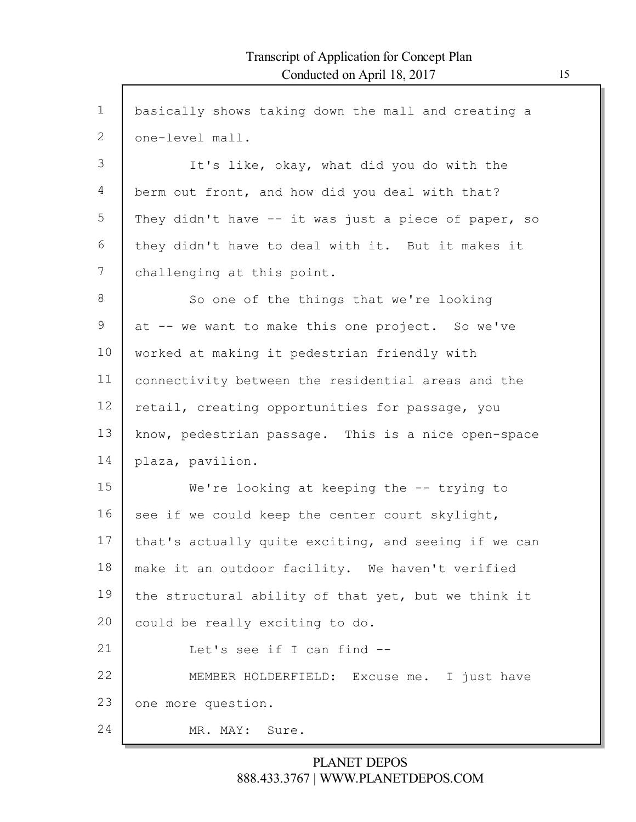| $\mathbf 1$ | basically shows taking down the mall and creating a  |
|-------------|------------------------------------------------------|
| 2           | one-level mall.                                      |
| 3           | It's like, okay, what did you do with the            |
| 4           | berm out front, and how did you deal with that?      |
| 5           | They didn't have -- it was just a piece of paper, so |
| 6           | they didn't have to deal with it. But it makes it    |
| 7           | challenging at this point.                           |
| 8           | So one of the things that we're looking              |
| 9           | at -- we want to make this one project. So we've     |
| 10          | worked at making it pedestrian friendly with         |
| 11          | connectivity between the residential areas and the   |
| 12          | retail, creating opportunities for passage, you      |
| 13          | know, pedestrian passage. This is a nice open-space  |
| 14          | plaza, pavilion.                                     |
| 15          | We're looking at keeping the $-$ - trying to         |
| 16          | see if we could keep the center court skylight,      |
| 17          | that's actually quite exciting, and seeing if we can |
| 18          | make it an outdoor facility. We haven't verified     |
| 19          | the structural ability of that yet, but we think it  |
| 20          | could be really exciting to do.                      |
| 21          | Let's see if I can find --                           |
| 22          | MEMBER HOLDERFIELD: Excuse me. I just have           |
| 23          | one more question.                                   |
| 24          | MR. MAY:<br>Sure.                                    |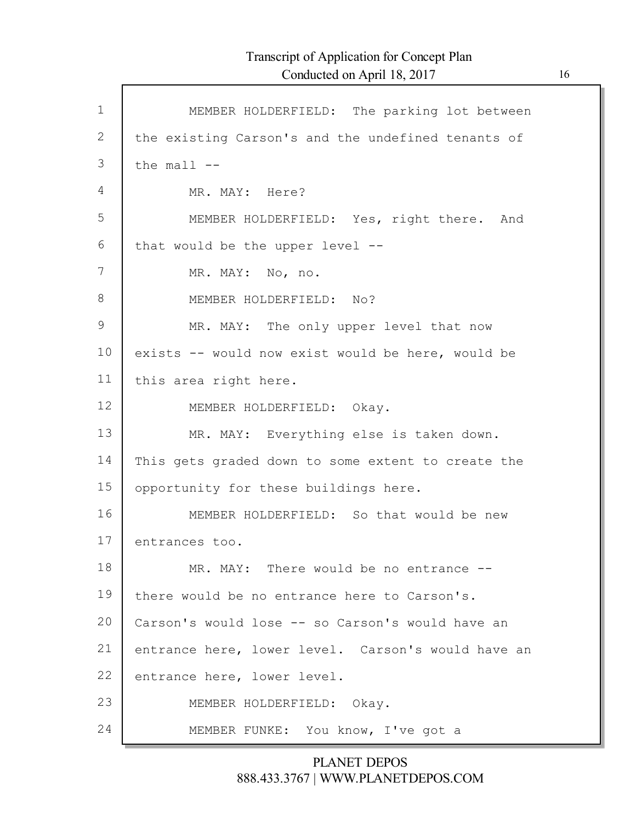| $\mathbf 1$   | MEMBER HOLDERFIELD: The parking lot between        |
|---------------|----------------------------------------------------|
| 2             | the existing Carson's and the undefined tenants of |
| 3             | the $mall$ $--$                                    |
| 4             | MR. MAY: Here?                                     |
| 5             | MEMBER HOLDERFIELD: Yes, right there. And          |
| 6             | that would be the upper level --                   |
| 7             | MR. MAY: No, no.                                   |
| 8             | MEMBER HOLDERFIELD: No?                            |
| $\mathcal{G}$ | MR. MAY: The only upper level that now             |
| 10            | exists -- would now exist would be here, would be  |
| 11            | this area right here.                              |
| 12            | MEMBER HOLDERFIELD: Okay.                          |
| 13            | MR. MAY: Everything else is taken down.            |
| 14            | This gets graded down to some extent to create the |
| 15            | opportunity for these buildings here.              |
| 16            | MEMBER HOLDERFIELD: So that would be new           |
| 17            | entrances too.                                     |
| 18            | MR. MAY: There would be no entrance --             |
| 19            | there would be no entrance here to Carson's.       |
| 20            | Carson's would lose -- so Carson's would have an   |
| 21            | entrance here, lower level. Carson's would have an |
| 22            | entrance here, lower level.                        |
| 23            | MEMBER HOLDERFIELD: Okay.                          |
| 24            | MEMBER FUNKE: You know, I've got a                 |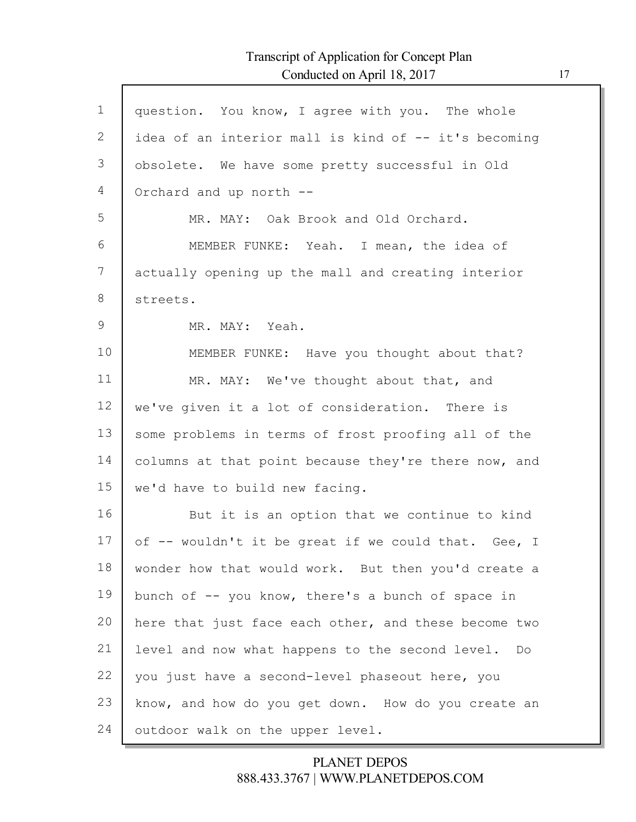Г

| $\mathbf 1$ | question. You know, I agree with you. The whole       |
|-------------|-------------------------------------------------------|
| 2           | idea of an interior mall is kind of -- it's becoming  |
| 3           | obsolete. We have some pretty successful in Old       |
| 4           | Orchard and up north --                               |
| 5           | MR. MAY: Oak Brook and Old Orchard.                   |
| 6           | MEMBER FUNKE: Yeah. I mean, the idea of               |
| 7           | actually opening up the mall and creating interior    |
| 8           | streets.                                              |
| 9           | MR. MAY: Yeah.                                        |
| 10          | MEMBER FUNKE: Have you thought about that?            |
| 11          | MR. MAY: We've thought about that, and                |
| 12          | we've given it a lot of consideration. There is       |
| 13          | some problems in terms of frost proofing all of the   |
| 14          | columns at that point because they're there now, and  |
| 15          | we'd have to build new facing.                        |
| 16          | But it is an option that we continue to kind          |
| 17          | of -- wouldn't it be great if we could that. Gee, I   |
| 18          | wonder how that would work. But then you'd create a   |
| 19          | bunch of -- you know, there's a bunch of space in     |
| 20          | here that just face each other, and these become two  |
| 21          | level and now what happens to the second level.<br>Do |
| 22          | you just have a second-level phaseout here, you       |
| 23          | know, and how do you get down. How do you create an   |
| 24          | outdoor walk on the upper level.                      |
|             |                                                       |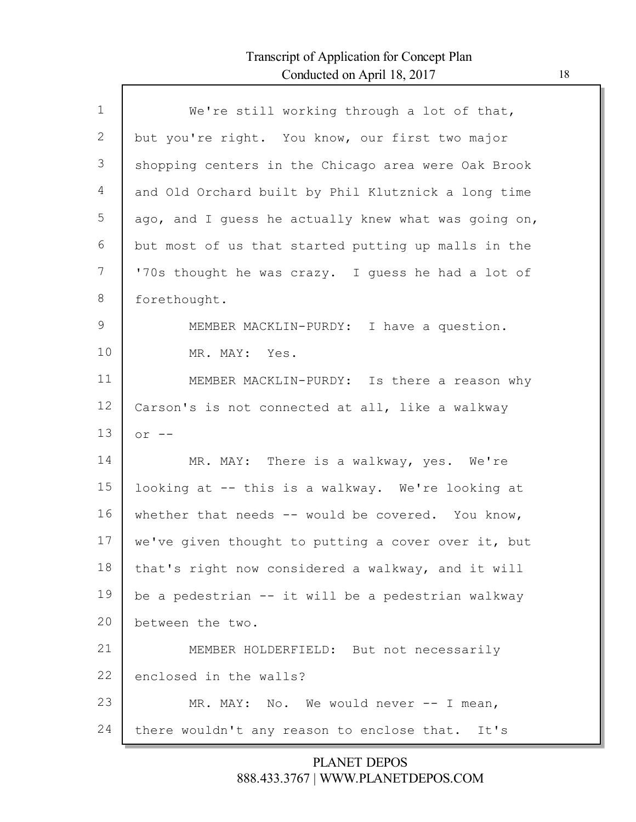Г

| $\mathbf{1}$  | We're still working through a lot of that,           |
|---------------|------------------------------------------------------|
| 2             | but you're right. You know, our first two major      |
| 3             | shopping centers in the Chicago area were Oak Brook  |
| 4             | and Old Orchard built by Phil Klutznick a long time  |
| 5             | ago, and I guess he actually knew what was going on, |
| 6             | but most of us that started putting up malls in the  |
| 7             | '70s thought he was crazy. I guess he had a lot of   |
| 8             | forethought.                                         |
| $\mathcal{G}$ | MEMBER MACKLIN-PURDY: I have a question.             |
| 10            | MR. MAY: Yes.                                        |
| 11            | MEMBER MACKLIN-PURDY: Is there a reason why          |
| 12            | Carson's is not connected at all, like a walkway     |
| 13            | $or --$                                              |
| 14            | MR. MAY: There is a walkway, yes. We're              |
| 15            | looking at -- this is a walkway. We're looking at    |
| 16            | whether that needs -- would be covered. You know,    |
| 17            | we've given thought to putting a cover over it, but  |
| 18            | that's right now considered a walkway, and it will   |
| 19            | be a pedestrian -- it will be a pedestrian walkway   |
| 20            | between the two.                                     |
| 21            | MEMBER HOLDERFIELD: But not necessarily              |
| 22            | enclosed in the walls?                               |
| 23            | MR. MAY: No. We would never $--$ I mean,             |
| 24            | there wouldn't any reason to enclose that.<br>It's   |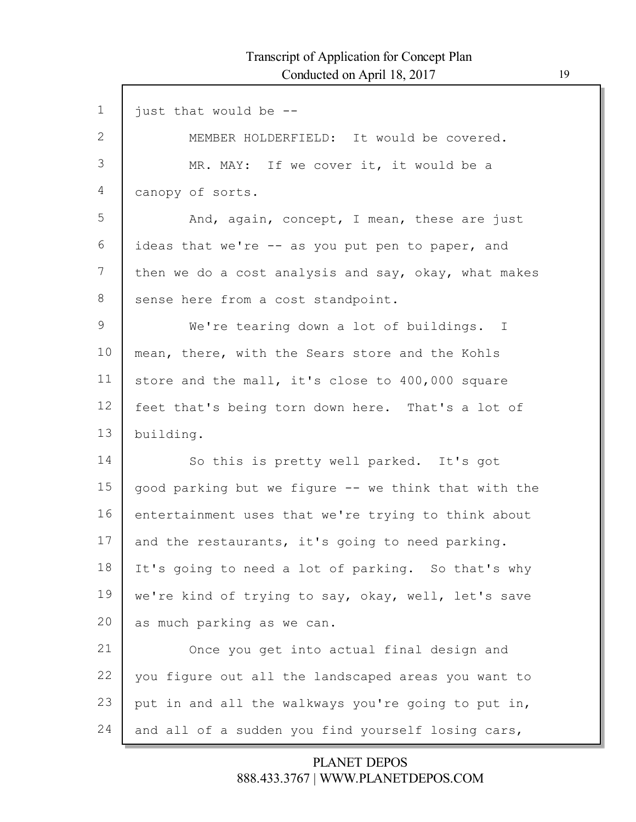Г

| $\mathbf 1$     | just that would be --                                |
|-----------------|------------------------------------------------------|
| 2               | MEMBER HOLDERFIELD: It would be covered.             |
| 3               | MR. MAY: If we cover it, it would be a               |
| 4               | canopy of sorts.                                     |
| 5               | And, again, concept, I mean, these are just          |
| 6               | ideas that we're -- as you put pen to paper, and     |
| $7\phantom{.0}$ | then we do a cost analysis and say, okay, what makes |
| 8               | sense here from a cost standpoint.                   |
| 9               | We're tearing down a lot of buildings. I             |
| 10              | mean, there, with the Sears store and the Kohls      |
| 11              | store and the mall, it's close to 400,000 square     |
| 12              | feet that's being torn down here. That's a lot of    |
| 13              | building.                                            |
| 14              | So this is pretty well parked. It's got              |
| 15              | good parking but we figure -- we think that with the |
| 16              | entertainment uses that we're trying to think about  |
| 17              | and the restaurants, it's going to need parking.     |
| 18              | It's going to need a lot of parking. So that's why   |
| 19              | we're kind of trying to say, okay, well, let's save  |
| 20              | as much parking as we can.                           |
| 21              | Once you get into actual final design and            |
| 22              | you figure out all the landscaped areas you want to  |
| 23              | put in and all the walkways you're going to put in,  |
| 24              | and all of a sudden you find yourself losing cars,   |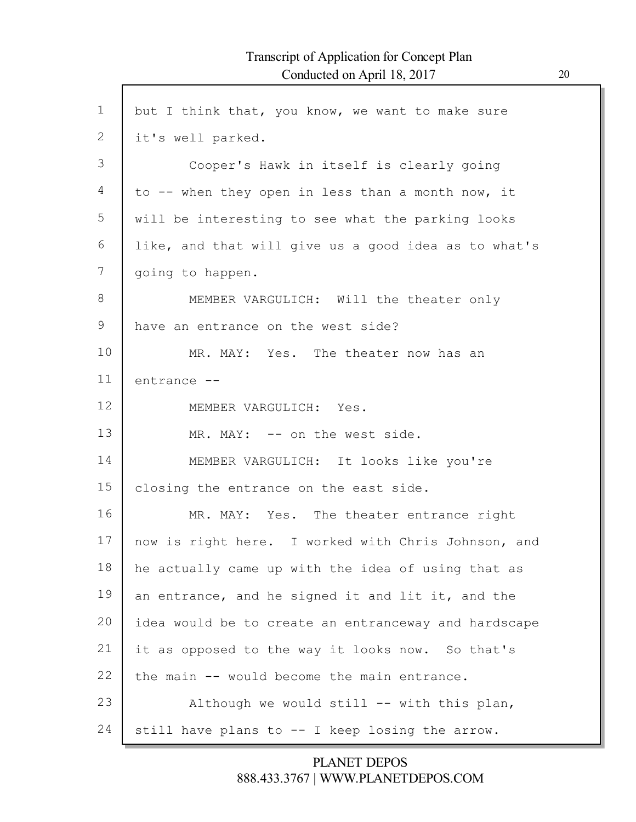| $\mathbf 1$     | but I think that, you know, we want to make sure     |
|-----------------|------------------------------------------------------|
| $\mathbf{2}$    | it's well parked.                                    |
| 3               | Cooper's Hawk in itself is clearly going             |
| 4               | to -- when they open in less than a month now, it    |
| 5               | will be interesting to see what the parking looks    |
| 6               | like, and that will give us a good idea as to what's |
| 7               | going to happen.                                     |
| 8               | MEMBER VARGULICH: Will the theater only              |
| 9               | have an entrance on the west side?                   |
| 10              | MR. MAY: Yes. The theater now has an                 |
| 11              | entrance --                                          |
| 12 <sup>°</sup> | MEMBER VARGULICH: Yes.                               |
| 13              | MR. MAY: -- on the west side.                        |
| 14              | MEMBER VARGULICH: It looks like you're               |
| 15              | closing the entrance on the east side.               |
| 16              | MR. MAY: Yes. The theater entrance right             |
| 17              | now is right here. I worked with Chris Johnson, and  |
| 18              | he actually came up with the idea of using that as   |
| 19              | an entrance, and he signed it and lit it, and the    |
| 20              | idea would be to create an entranceway and hardscape |
| 21              | it as opposed to the way it looks now. So that's     |
| 22              | the main -- would become the main entrance.          |
| 23              | Although we would still -- with this plan,           |
| 24              | still have plans to -- I keep losing the arrow.      |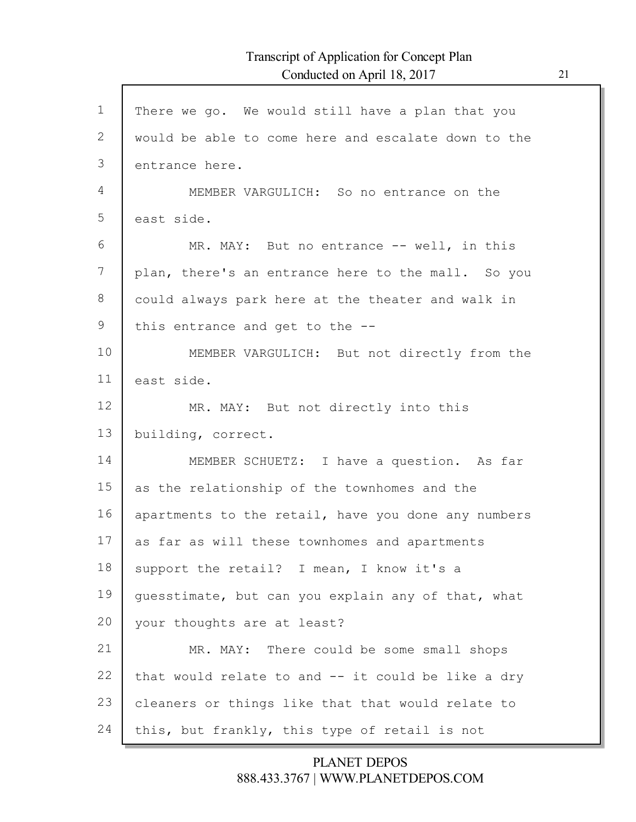Г

| $\mathbf{1}$   | There we go. We would still have a plan that you    |
|----------------|-----------------------------------------------------|
| 2              | would be able to come here and escalate down to the |
| 3              | entrance here.                                      |
| $\overline{4}$ | MEMBER VARGULICH: So no entrance on the             |
| 5              | east side.                                          |
| 6              | MR. MAY: But no entrance -- well, in this           |
| 7              | plan, there's an entrance here to the mall. So you  |
| 8              | could always park here at the theater and walk in   |
| 9              | this entrance and get to the $-$ -                  |
| 10             | MEMBER VARGULICH: But not directly from the         |
| 11             | east side.                                          |
| 12             | MR. MAY: But not directly into this                 |
| 13             | building, correct.                                  |
| 14             | MEMBER SCHUETZ: I have a question. As far           |
| 15             | as the relationship of the townhomes and the        |
| 16             | apartments to the retail, have you done any numbers |
| 17             | as far as will these townhomes and apartments       |
| 18             | support the retail? I mean, I know it's a           |
| 19             | guesstimate, but can you explain any of that, what  |
| 20             | your thoughts are at least?                         |
| 21             | MR. MAY: There could be some small shops            |
| 22             | that would relate to and -- it could be like a dry  |
| 23             | cleaners or things like that that would relate to   |
| 24             | this, but frankly, this type of retail is not       |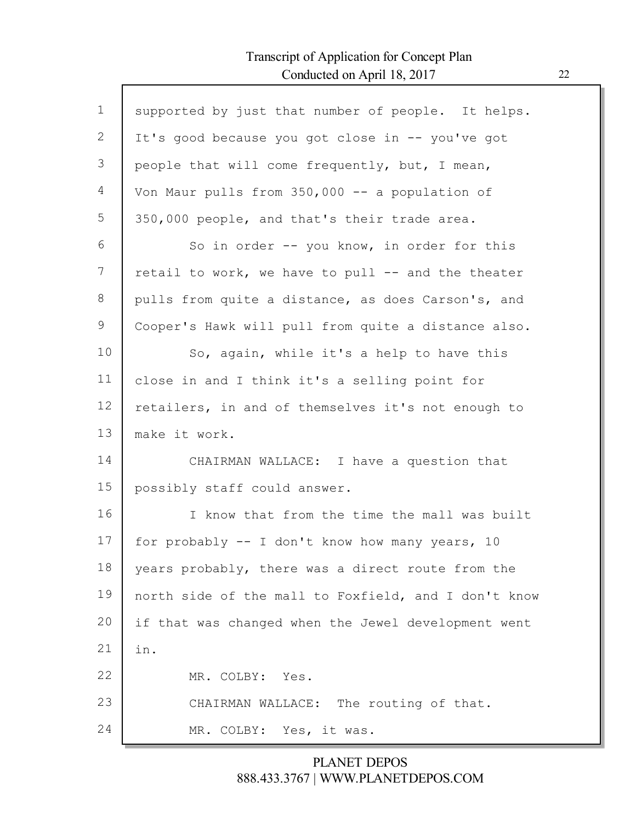Г

| $\mathbf{1}$ | supported by just that number of people. It helps.   |
|--------------|------------------------------------------------------|
| 2            | It's good because you got close in -- you've got     |
| 3            | people that will come frequently, but, I mean,       |
| 4            | Von Maur pulls from 350,000 -- a population of       |
| 5            | 350,000 people, and that's their trade area.         |
| 6            | So in order -- you know, in order for this           |
| 7            | retail to work, we have to pull -- and the theater   |
| 8            | pulls from quite a distance, as does Carson's, and   |
| 9            | Cooper's Hawk will pull from quite a distance also.  |
| 10           | So, again, while it's a help to have this            |
| 11           | close in and I think it's a selling point for        |
| 12           | retailers, in and of themselves it's not enough to   |
| 13           | make it work.                                        |
| 14           | CHAIRMAN WALLACE: I have a question that             |
| 15           | possibly staff could answer.                         |
| 16           | I know that from the time the mall was built         |
| 17           | for probably -- I don't know how many years, 10      |
| 18           | years probably, there was a direct route from the    |
| 19           | north side of the mall to Foxfield, and I don't know |
| 20           | if that was changed when the Jewel development went  |
| 21           | in.                                                  |
| 22           | MR. COLBY: Yes.                                      |
| 23           | CHAIRMAN WALLACE: The routing of that.               |
| 24           | MR. COLBY: Yes, it was.                              |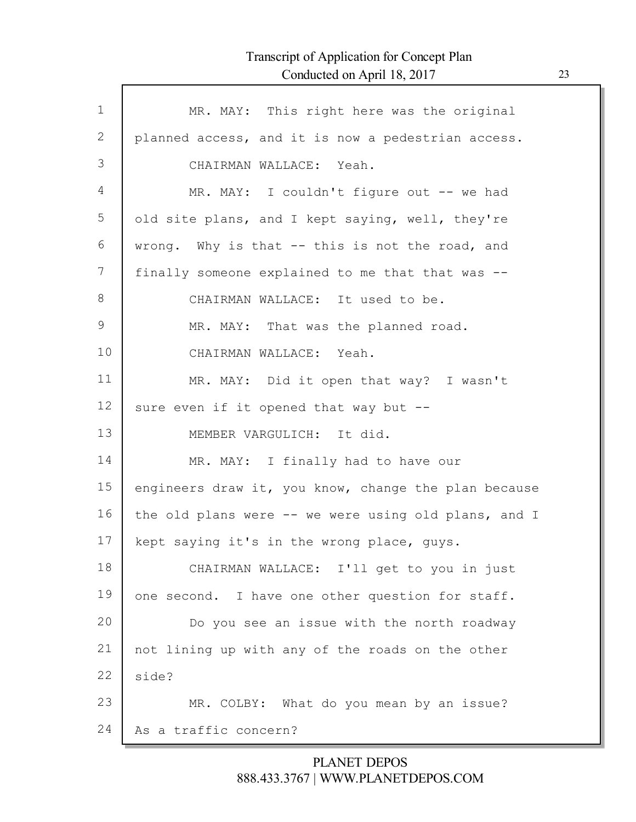Г

| $\mathbf 1$ | MR. MAY: This right here was the original            |
|-------------|------------------------------------------------------|
| 2           | planned access, and it is now a pedestrian access.   |
| 3           | CHAIRMAN WALLACE: Yeah.                              |
| 4           | MR. MAY: I couldn't figure out -- we had             |
| 5           | old site plans, and I kept saying, well, they're     |
| 6           | wrong. Why is that -- this is not the road, and      |
| 7           | finally someone explained to me that that was --     |
| 8           | CHAIRMAN WALLACE: It used to be.                     |
| 9           | MR. MAY: That was the planned road.                  |
| 10          | CHAIRMAN WALLACE: Yeah.                              |
| 11          | MR. MAY: Did it open that way? I wasn't              |
| 12          | sure even if it opened that way but --               |
| 13          | MEMBER VARGULICH: It did.                            |
| 14          | MR. MAY: I finally had to have our                   |
| 15          | engineers draw it, you know, change the plan because |
| 16          | the old plans were -- we were using old plans, and I |
| 17          | kept saying it's in the wrong place, guys.           |
| 18          | CHAIRMAN WALLACE: I'll get to you in just            |
| 19          | one second. I have one other question for staff.     |
| 20          | Do you see an issue with the north roadway           |
| 21          | not lining up with any of the roads on the other     |
| 22          | side?                                                |
| 23          | MR. COLBY: What do you mean by an issue?             |
| 24          | As a traffic concern?                                |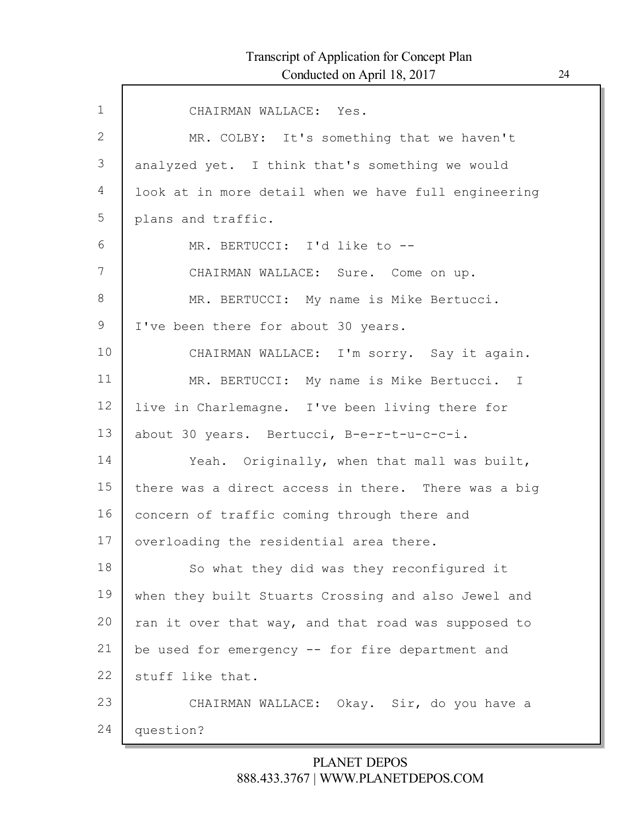| $\mathbf{1}$ | CHAIRMAN WALLACE: Yes.                               |
|--------------|------------------------------------------------------|
| 2            | MR. COLBY: It's something that we haven't            |
| 3            | analyzed yet. I think that's something we would      |
| 4            | look at in more detail when we have full engineering |
| 5            | plans and traffic.                                   |
| 6            | MR. BERTUCCI: I'd like to --                         |
| 7            | CHAIRMAN WALLACE: Sure. Come on up.                  |
| $8\,$        | MR. BERTUCCI: My name is Mike Bertucci.              |
| 9            | I've been there for about 30 years.                  |
| 10           | CHAIRMAN WALLACE: I'm sorry. Say it again.           |
| 11           | MR. BERTUCCI: My name is Mike Bertucci. I            |
| 12           | live in Charlemagne. I've been living there for      |
| 13           | about 30 years. Bertucci, B-e-r-t-u-c-c-i.           |
| 14           | Yeah. Originally, when that mall was built,          |
| 15           | there was a direct access in there. There was a big  |
| 16           | concern of traffic coming through there and          |
| 17           | overloading the residential area there.              |
| 18           | So what they did was they reconfigured it            |
| 19           | when they built Stuarts Crossing and also Jewel and  |
| 20           | ran it over that way, and that road was supposed to  |
| 21           | be used for emergency -- for fire department and     |
| 22           | stuff like that.                                     |
| 23           | CHAIRMAN WALLACE: Okay. Sir, do you have a           |
| 24           | question?                                            |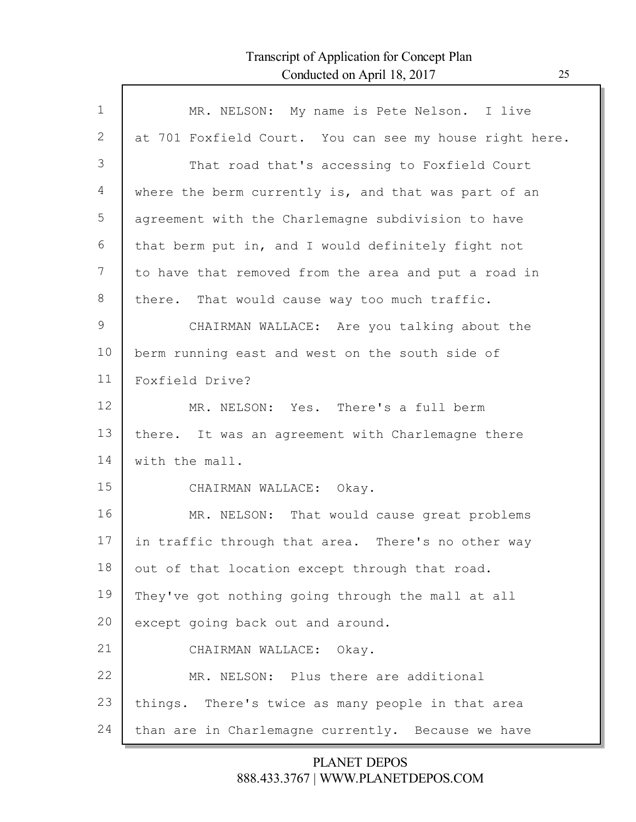Г

| $\mathbf 1$  | MR. NELSON: My name is Pete Nelson. I live              |
|--------------|---------------------------------------------------------|
| $\mathbf{2}$ | at 701 Foxfield Court. You can see my house right here. |
| 3            | That road that's accessing to Foxfield Court            |
| 4            | where the berm currently is, and that was part of an    |
| 5            | agreement with the Charlemagne subdivision to have      |
| 6            | that berm put in, and I would definitely fight not      |
| 7            | to have that removed from the area and put a road in    |
| $8\,$        | there. That would cause way too much traffic.           |
| 9            | CHAIRMAN WALLACE: Are you talking about the             |
| 10           | berm running east and west on the south side of         |
| 11           | Foxfield Drive?                                         |
| 12           | MR. NELSON: Yes. There's a full berm                    |
| 13           | there. It was an agreement with Charlemagne there       |
| 14           | with the mall.                                          |
| 15           | CHAIRMAN WALLACE: Okay.                                 |
| 16           | MR. NELSON: That would cause great problems             |
| 17           | in traffic through that area. There's no other way      |
| 18           | out of that location except through that road.          |
| 19           | They've got nothing going through the mall at all       |
| 20           | except going back out and around.                       |
| 21           | CHAIRMAN WALLACE: Okay.                                 |
| 22           | MR. NELSON: Plus there are additional                   |
| 23           | things. There's twice as many people in that area       |
| 24           | than are in Charlemagne currently. Because we have      |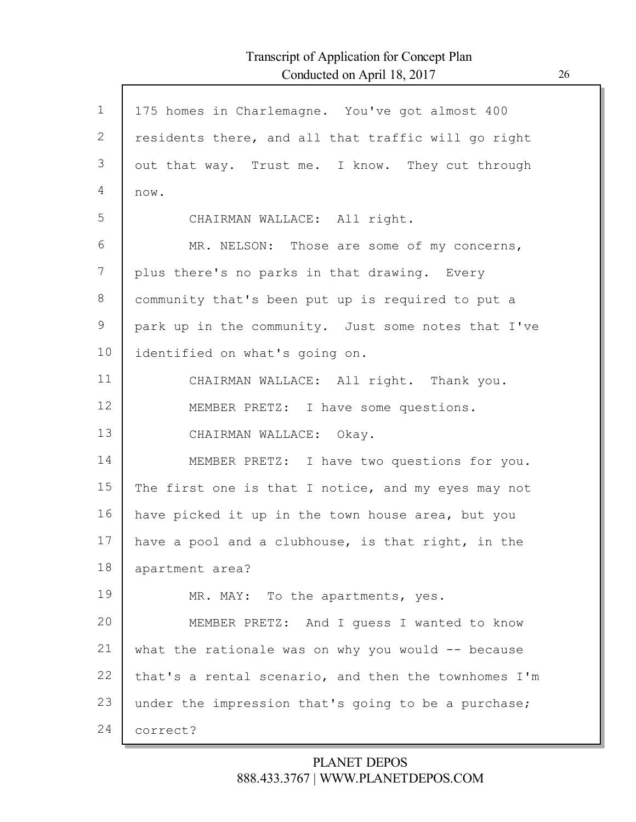| $\mathbf{1}$ | 175 homes in Charlemagne. You've got almost 400      |
|--------------|------------------------------------------------------|
| 2            | residents there, and all that traffic will go right  |
| 3            | out that way. Trust me. I know. They cut through     |
| 4            | now.                                                 |
| 5            | CHAIRMAN WALLACE: All right.                         |
| 6            | MR. NELSON: Those are some of my concerns,           |
| 7            | plus there's no parks in that drawing. Every         |
| 8            | community that's been put up is required to put a    |
| 9            | park up in the community. Just some notes that I've  |
| 10           | identified on what's going on.                       |
| 11           | CHAIRMAN WALLACE: All right. Thank you.              |
| 12           | MEMBER PRETZ: I have some questions.                 |
| 13           | CHAIRMAN WALLACE: Okay.                              |
| 14           | MEMBER PRETZ: I have two questions for you.          |
| 15           | The first one is that I notice, and my eyes may not  |
| 16           | have picked it up in the town house area, but you    |
| 17           | have a pool and a clubhouse, is that right, in the   |
| 18           | apartment area?                                      |
| 19           | MR. MAY: To the apartments, yes.                     |
| 20           | MEMBER PRETZ: And I guess I wanted to know           |
| 21           | what the rationale was on why you would $-$ because  |
| 22           | that's a rental scenario, and then the townhomes I'm |
| 23           | under the impression that's going to be a purchase;  |
| 24           | correct?                                             |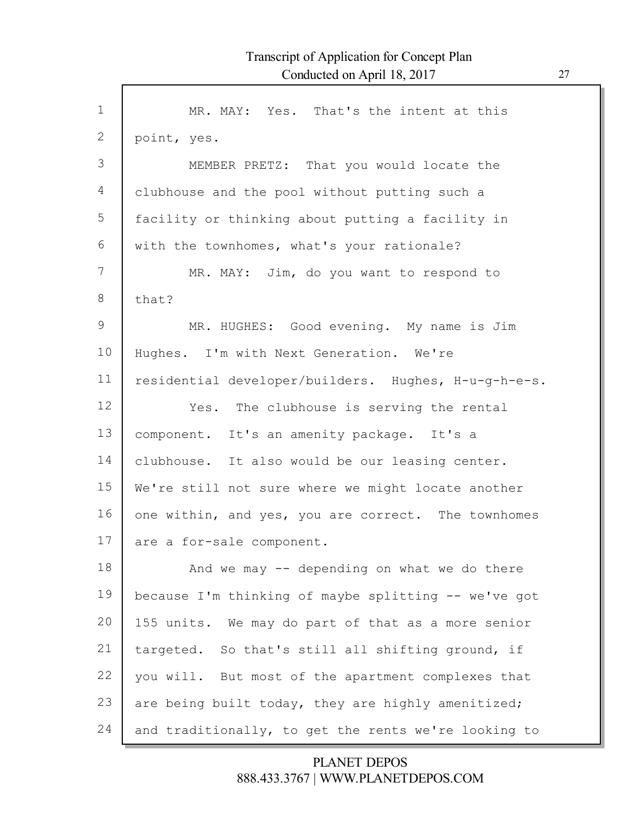| $\mathbf 1$     | MR. MAY: Yes. That's the intent at this              |
|-----------------|------------------------------------------------------|
| $\mathbf{2}$    | point, yes.                                          |
| 3               | MEMBER PRETZ: That you would locate the              |
| 4               | clubhouse and the pool without putting such a        |
| 5               | facility or thinking about putting a facility in     |
| 6               | with the townhomes, what's your rationale?           |
| 7               | MR. MAY: Jim, do you want to respond to              |
| 8               | that?                                                |
| 9               | MR. HUGHES: Good evening. My name is Jim             |
| 10              | Hughes. I'm with Next Generation. We're              |
| 11              | residential developer/builders. Hughes, H-u-g-h-e-s. |
| 12 <sup>°</sup> | Yes. The clubhouse is serving the rental             |
| 13              | component. It's an amenity package. It's a           |
| 14              | clubhouse. It also would be our leasing center.      |
| 15              | We're still not sure where we might locate another   |
| 16              | one within, and yes, you are correct. The townhomes  |
| 17              | are a for-sale component.                            |
| 18              | And we may $-$ depending on what we do there         |
|                 |                                                      |
| 19              | because I'm thinking of maybe splitting -- we've got |
| 20              | 155 units. We may do part of that as a more senior   |
| 21              | targeted. So that's still all shifting ground, if    |
| 22              | you will. But most of the apartment complexes that   |
| 23              | are being built today, they are highly amenitized;   |
| 24              | and traditionally, to get the rents we're looking to |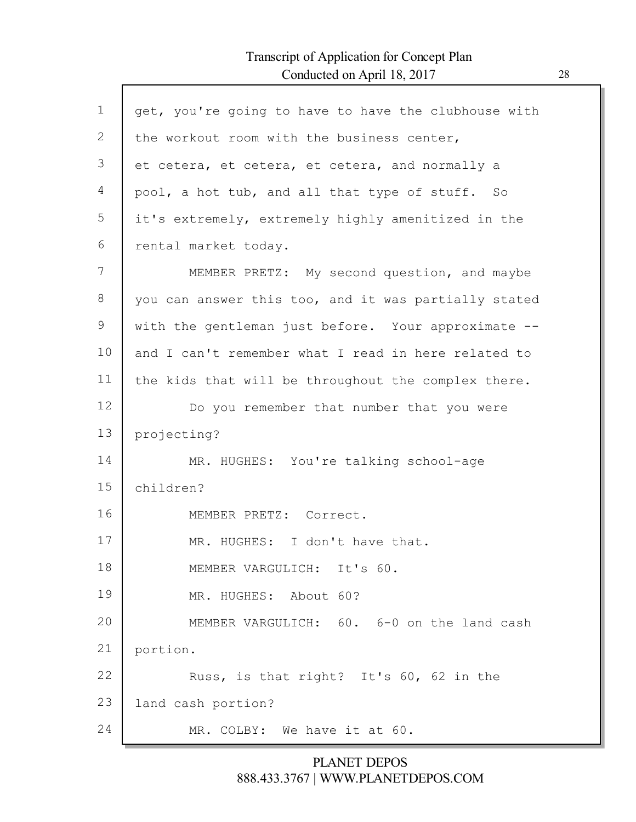$\Gamma$ 

| $\mathbf 1$ | get, you're going to have to have the clubhouse with |
|-------------|------------------------------------------------------|
| 2           | the workout room with the business center,           |
| 3           | et cetera, et cetera, et cetera, and normally a      |
| 4           | pool, a hot tub, and all that type of stuff. So      |
| 5           | it's extremely, extremely highly amenitized in the   |
| 6           | rental market today.                                 |
| 7           | MEMBER PRETZ: My second question, and maybe          |
| 8           | you can answer this too, and it was partially stated |
| 9           | with the gentleman just before. Your approximate --  |
| 10          | and I can't remember what I read in here related to  |
| 11          | the kids that will be throughout the complex there.  |
| 12          | Do you remember that number that you were            |
| 13          | projecting?                                          |
| 14          | MR. HUGHES: You're talking school-age                |
| 15          | children?                                            |
| 16          | MEMBER PRETZ: Correct.                               |
| 17          | MR. HUGHES: I don't have that.                       |
| 18          | MEMBER VARGULICH:<br>It's 60.                        |
| 19          | MR. HUGHES: About 60?                                |
| 20          | MEMBER VARGULICH: 60. 6-0 on the land cash           |
| 21          | portion.                                             |
| 22          | Russ, is that right? It's 60, 62 in the              |
| 23          | land cash portion?                                   |
| 24          | MR. COLBY: We have it at 60.                         |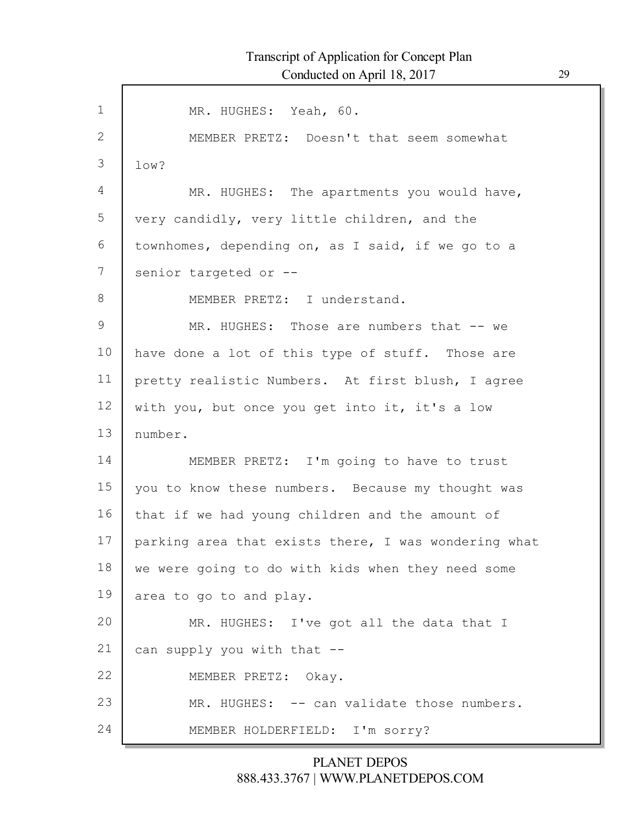1 2 3 4 5 6 7 8 9 10 11 12 13 14 15 16 17 18 19 20 21 22 23 24 MR. HUGHES: Yeah, 60. MEMBER PRETZ: Doesn't that seem somewhat low? MR. HUGHES: The apartments you would have, very candidly, very little children, and the townhomes, depending on, as I said, if we go to a senior targeted or --MEMBER PRETZ: I understand. MR. HUGHES: Those are numbers that -- we have done a lot of this type of stuff. Those are pretty realistic Numbers. At first blush, I agree with you, but once you get into it, it's a low number. MEMBER PRETZ: I'm going to have to trust you to know these numbers. Because my thought was that if we had young children and the amount of parking area that exists there, I was wondering what we were going to do with kids when they need some area to go to and play. MR. HUGHES: I've got all the data that I can supply you with that -- MEMBER PRETZ: Okay. MR. HUGHES: -- can validate those numbers. MEMBER HOLDERFIELD: I'm sorry?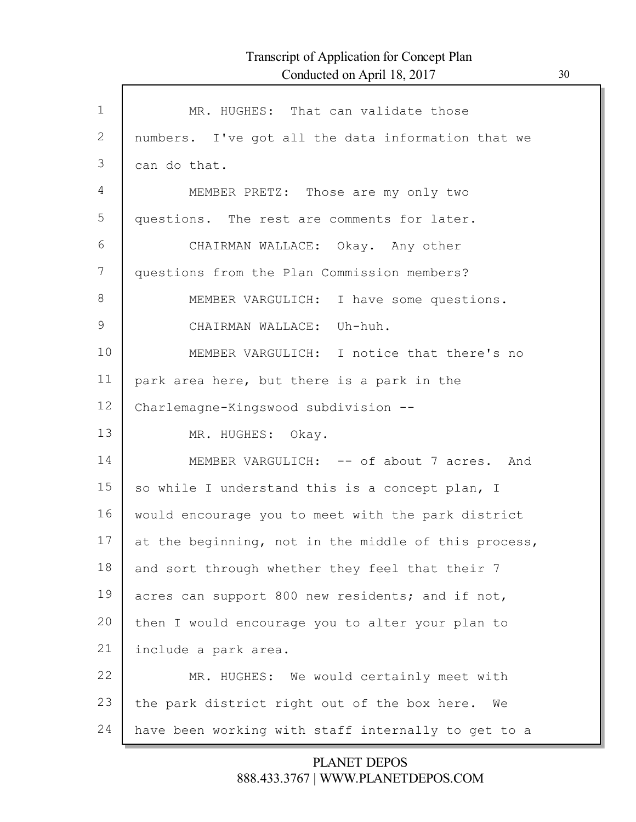Г

| $\mathbf 1$ | MR. HUGHES: That can validate those                  |
|-------------|------------------------------------------------------|
| 2           | numbers. I've got all the data information that we   |
| 3           | can do that.                                         |
| 4           | MEMBER PRETZ: Those are my only two                  |
| 5           | questions. The rest are comments for later.          |
| 6           | CHAIRMAN WALLACE: Okay. Any other                    |
| 7           | questions from the Plan Commission members?          |
| 8           | MEMBER VARGULICH: I have some questions.             |
| 9           | CHAIRMAN WALLACE: Uh-huh.                            |
| 10          | MEMBER VARGULICH: I notice that there's no           |
| 11          | park area here, but there is a park in the           |
| 12          | Charlemagne-Kingswood subdivision --                 |
| 13          | MR. HUGHES: Okay.                                    |
| 14          | MEMBER VARGULICH: -- of about 7 acres. And           |
| 15          | so while I understand this is a concept plan, I      |
| 16          | would encourage you to meet with the park district   |
| 17          | at the beginning, not in the middle of this process, |
| 18          | and sort through whether they feel that their 7      |
| 19          | acres can support 800 new residents; and if not,     |
| 20          | then I would encourage you to alter your plan to     |
| 21          | include a park area.                                 |
| 22          | MR. HUGHES: We would certainly meet with             |
| 23          | the park district right out of the box here.<br>We   |
| 24          | have been working with staff internally to get to a  |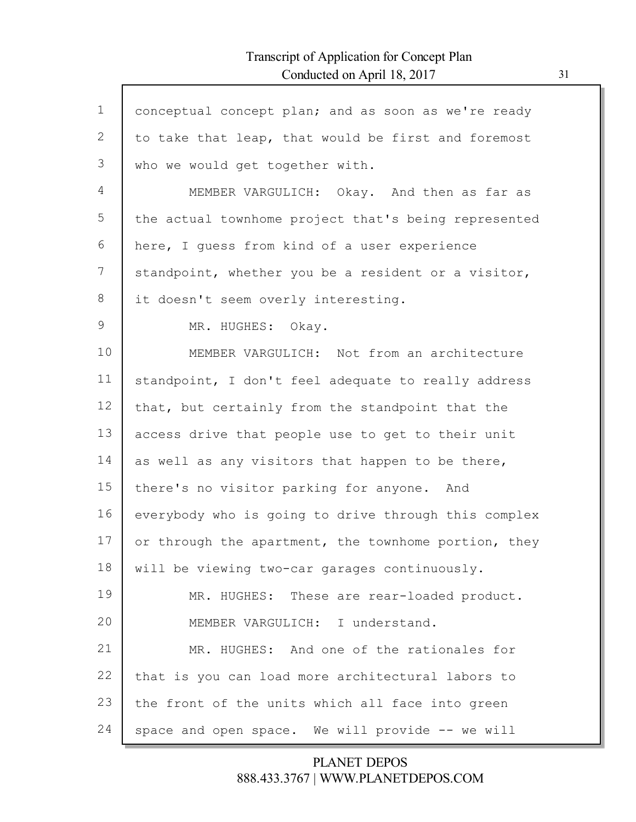| $\mathbf{1}$ | conceptual concept plan; and as soon as we're ready  |
|--------------|------------------------------------------------------|
| 2            | to take that leap, that would be first and foremost  |
| 3            | who we would get together with.                      |
| 4            | MEMBER VARGULICH: Okay. And then as far as           |
| 5            | the actual townhome project that's being represented |
| 6            | here, I guess from kind of a user experience         |
| 7            | standpoint, whether you be a resident or a visitor,  |
| 8            | it doesn't seem overly interesting.                  |
| $\mathsf 9$  | MR. HUGHES: Okay.                                    |
| 10           | MEMBER VARGULICH: Not from an architecture           |
| 11           | standpoint, I don't feel adequate to really address  |
| 12           | that, but certainly from the standpoint that the     |
| 13           | access drive that people use to get to their unit    |
| 14           | as well as any visitors that happen to be there,     |
| 15           | there's no visitor parking for anyone. And           |
| 16           | everybody who is going to drive through this complex |
| 17           | or through the apartment, the townhome portion, they |
| 18           | will be viewing two-car garages continuously.        |
| 19           | MR. HUGHES: These are rear-loaded product.           |
| 20           | I understand.<br>MEMBER VARGULICH:                   |
| 21           | MR. HUGHES: And one of the rationales for            |
| 22           | that is you can load more architectural labors to    |
| 23           | the front of the units which all face into green     |
| 24           | space and open space. We will provide -- we will     |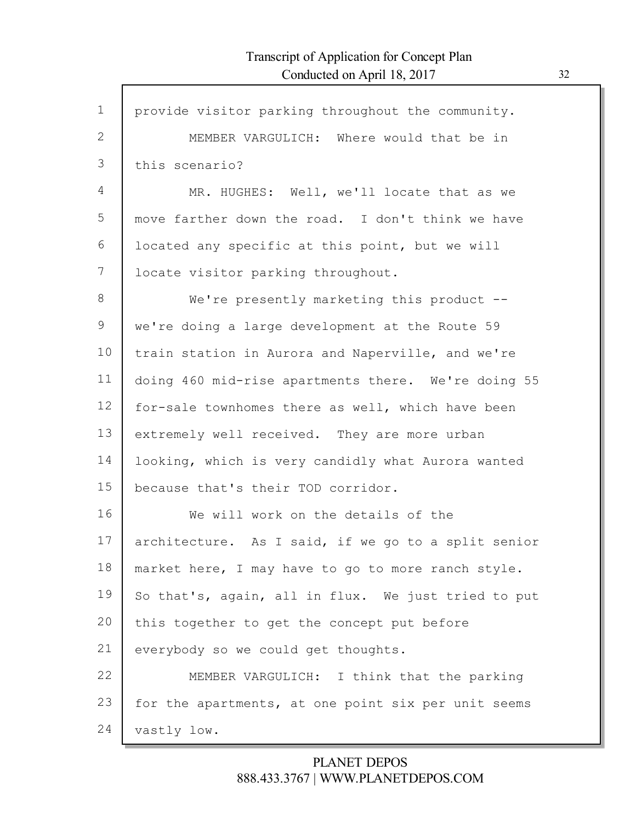| $\mathbf{1}$ | provide visitor parking throughout the community.   |
|--------------|-----------------------------------------------------|
| 2            | MEMBER VARGULICH: Where would that be in            |
| 3            | this scenario?                                      |
| 4            | MR. HUGHES: Well, we'll locate that as we           |
| 5            | move farther down the road. I don't think we have   |
| 6            | located any specific at this point, but we will     |
| 7            | locate visitor parking throughout.                  |
| $8\,$        | We're presently marketing this product $-$ -        |
| 9            | we're doing a large development at the Route 59     |
| 10           | train station in Aurora and Naperville, and we're   |
| 11           | doing 460 mid-rise apartments there. We're doing 55 |
| 12           | for-sale townhomes there as well, which have been   |
| 13           | extremely well received. They are more urban        |
| 14           | looking, which is very candidly what Aurora wanted  |
| 15           | because that's their TOD corridor.                  |
| 16           | We will work on the details of the                  |
| 17           | architecture. As I said, if we go to a split senior |
| 18           | market here, I may have to go to more ranch style.  |
| 19           | So that's, again, all in flux. We just tried to put |
| 20           | this together to get the concept put before         |
| 21           | everybody so we could get thoughts.                 |
| 22           | MEMBER VARGULICH: I think that the parking          |
| 23           | for the apartments, at one point six per unit seems |
| 24           | vastly low.                                         |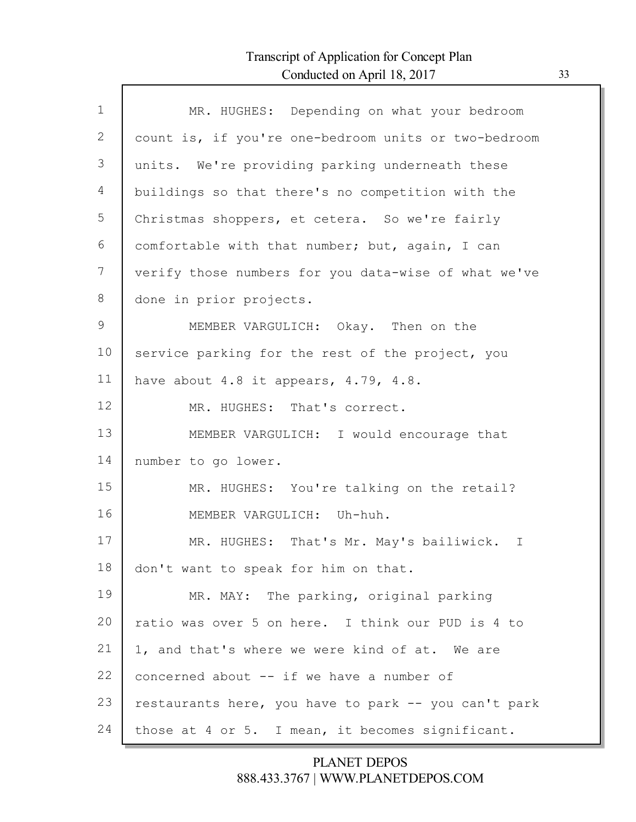Г

| $\mathbf{1}$ | MR. HUGHES: Depending on what your bedroom           |
|--------------|------------------------------------------------------|
| 2            | count is, if you're one-bedroom units or two-bedroom |
| 3            | units. We're providing parking underneath these      |
| 4            | buildings so that there's no competition with the    |
| 5            | Christmas shoppers, et cetera. So we're fairly       |
| 6            | comfortable with that number; but, again, I can      |
| 7            | verify those numbers for you data-wise of what we've |
| 8            | done in prior projects.                              |
| 9            | MEMBER VARGULICH: Okay. Then on the                  |
| 10           | service parking for the rest of the project, you     |
| 11           | have about $4.8$ it appears, $4.79$ , $4.8$ .        |
| 12           | MR. HUGHES: That's correct.                          |
| 13           | MEMBER VARGULICH: I would encourage that             |
| 14           | number to go lower.                                  |
| 15           | MR. HUGHES: You're talking on the retail?            |
| 16           | MEMBER VARGULICH: Uh-huh.                            |
| 17           | MR. HUGHES: That's Mr. May's bailiwick. I            |
| 18           | don't want to speak for him on that.                 |
| 19           | MR. MAY: The parking, original parking               |
| 20           | ratio was over 5 on here. I think our PUD is 4 to    |
| 21           | 1, and that's where we were kind of at. We are       |
| 22           | concerned about -- if we have a number of            |
| 23           | restaurants here, you have to park -- you can't park |
| 24           | those at 4 or 5. I mean, it becomes significant.     |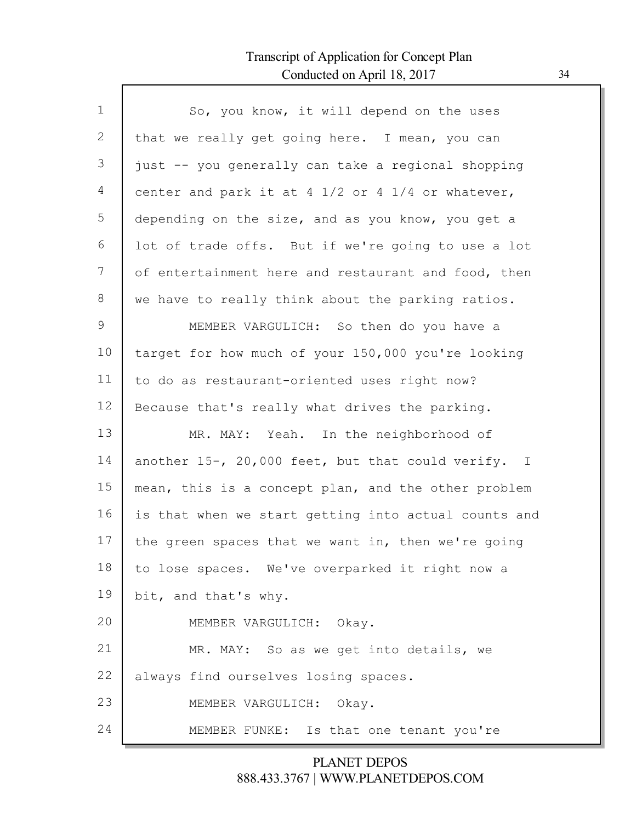Г

| $\mathbf 1$ | So, you know, it will depend on the uses             |
|-------------|------------------------------------------------------|
| 2           | that we really get going here. I mean, you can       |
| 3           | just -- you generally can take a regional shopping   |
| 4           | center and park it at 4 1/2 or 4 1/4 or whatever,    |
| 5           | depending on the size, and as you know, you get a    |
| 6           | lot of trade offs. But if we're going to use a lot   |
| 7           | of entertainment here and restaurant and food, then  |
| $8\,$       | we have to really think about the parking ratios.    |
| 9           | MEMBER VARGULICH: So then do you have a              |
| 10          | target for how much of your 150,000 you're looking   |
| 11          | to do as restaurant-oriented uses right now?         |
| 12          | Because that's really what drives the parking.       |
| 13          | MR. MAY: Yeah. In the neighborhood of                |
| 14          | another 15-, 20,000 feet, but that could verify. I   |
| 15          | mean, this is a concept plan, and the other problem  |
| 16          | is that when we start getting into actual counts and |
| 17          | the green spaces that we want in, then we're going   |
| 18          | to lose spaces. We've overparked it right now a      |
| 19          | bit, and that's why.                                 |
| 20          | MEMBER VARGULICH: Okay.                              |
| 21          | MR. MAY: So as we get into details, we               |
| 22          | always find ourselves losing spaces.                 |
| 23          | MEMBER VARGULICH: Okay.                              |
| 24          | MEMBER FUNKE: Is that one tenant you're              |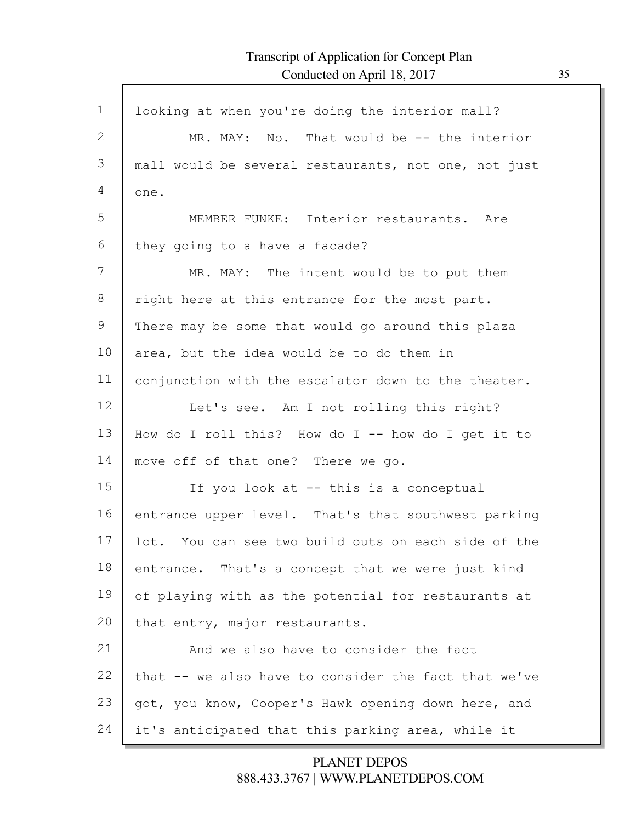Г

| $\mathbf 1$ | looking at when you're doing the interior mall?      |
|-------------|------------------------------------------------------|
| 2           | MR. MAY: No. That would be -- the interior           |
| 3           | mall would be several restaurants, not one, not just |
| 4           | one.                                                 |
| 5           | MEMBER FUNKE: Interior restaurants. Are              |
| 6           | they going to a have a facade?                       |
| 7           | MR. MAY: The intent would be to put them             |
| 8           | right here at this entrance for the most part.       |
| 9           | There may be some that would go around this plaza    |
| 10          | area, but the idea would be to do them in            |
| 11          | conjunction with the escalator down to the theater.  |
| 12          | Let's see. Am I not rolling this right?              |
| 13          | How do I roll this? How do I -- how do I get it to   |
| 14          | move off of that one? There we go.                   |
| 15          | If you look at -- this is a conceptual               |
| 16          | entrance upper level. That's that southwest parking  |
| 17          | lot. You can see two build outs on each side of the  |
| 18          | entrance. That's a concept that we were just kind    |
| 19          | of playing with as the potential for restaurants at  |
| 20          | that entry, major restaurants.                       |
| 21          | And we also have to consider the fact                |
| 22          | that -- we also have to consider the fact that we've |
| 23          | got, you know, Cooper's Hawk opening down here, and  |
| 24          | it's anticipated that this parking area, while it    |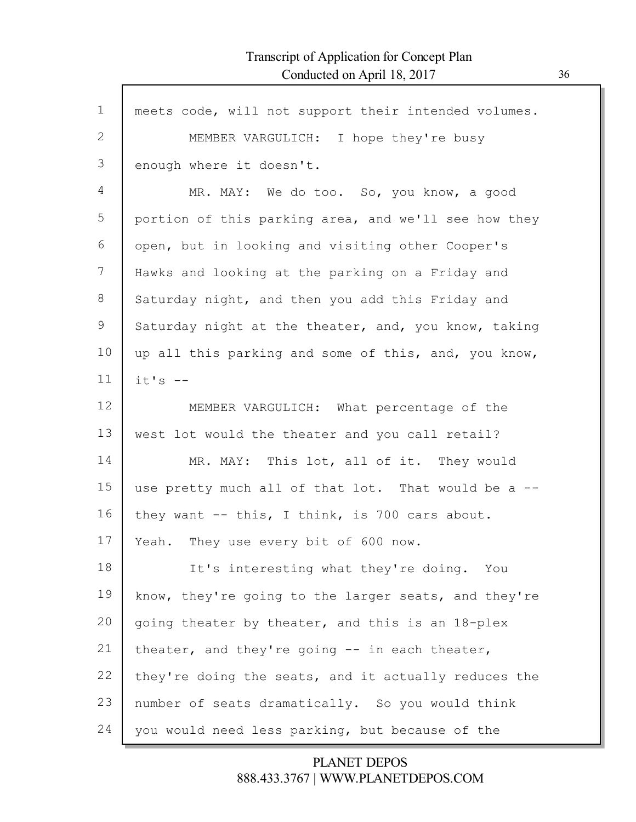| $\mathbf 1$ | meets code, will not support their intended volumes. |
|-------------|------------------------------------------------------|
| 2           | MEMBER VARGULICH: I hope they're busy                |
| 3           | enough where it doesn't.                             |
| 4           | MR. MAY: We do too. So, you know, a good             |
| 5           | portion of this parking area, and we'll see how they |
| 6           | open, but in looking and visiting other Cooper's     |
| 7           | Hawks and looking at the parking on a Friday and     |
| 8           | Saturday night, and then you add this Friday and     |
| 9           | Saturday night at the theater, and, you know, taking |
| 10          | up all this parking and some of this, and, you know, |
| 11          | $it's$ --                                            |
| 12          | MEMBER VARGULICH: What percentage of the             |
| 13          | west lot would the theater and you call retail?      |
| 14          | MR. MAY: This lot, all of it. They would             |
| 15          | use pretty much all of that lot. That would be a --  |
| 16          | they want -- this, I think, is 700 cars about.       |
| 17          | Yeah. They use every bit of 600 now.                 |
| 18          | It's interesting what they're doing.<br>You          |
| 19          | know, they're going to the larger seats, and they're |
| 20          | going theater by theater, and this is an 18-plex     |
| 21          | theater, and they're going -- in each theater,       |
| 22          | they're doing the seats, and it actually reduces the |
| 23          | number of seats dramatically. So you would think     |
| 24          | you would need less parking, but because of the      |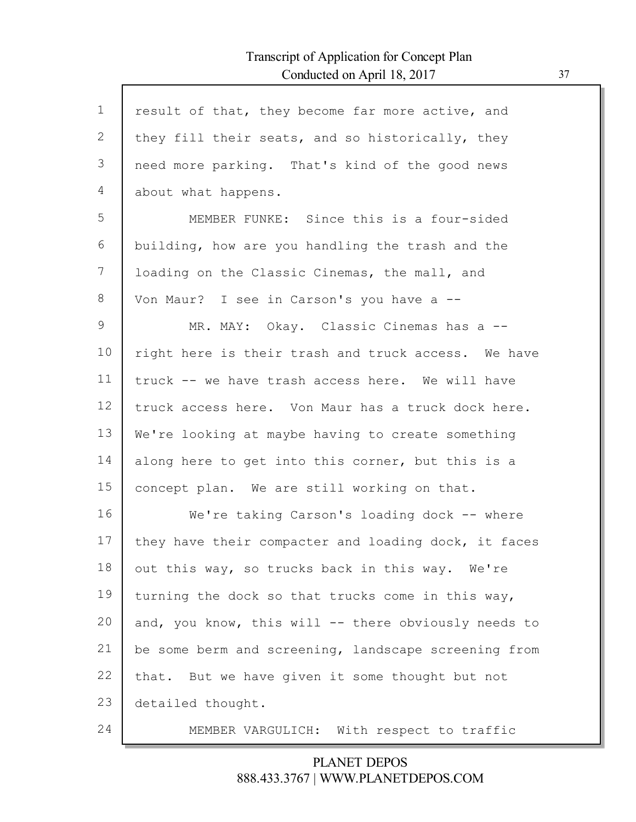Г

| $\mathbf 1$ | result of that, they become far more active, and     |
|-------------|------------------------------------------------------|
| 2           | they fill their seats, and so historically, they     |
| 3           | need more parking. That's kind of the good news      |
| 4           | about what happens.                                  |
| 5           | MEMBER FUNKE: Since this is a four-sided             |
| 6           | building, how are you handling the trash and the     |
| 7           | loading on the Classic Cinemas, the mall, and        |
| 8           | Von Maur? I see in Carson's you have a --            |
| 9           | MR. MAY: Okay. Classic Cinemas has a --              |
| 10          | right here is their trash and truck access. We have  |
| 11          | truck -- we have trash access here. We will have     |
| 12          |                                                      |
|             | truck access here. Von Maur has a truck dock here.   |
| 13          | We're looking at maybe having to create something    |
| 14          | along here to get into this corner, but this is a    |
| 15          | concept plan. We are still working on that.          |
| 16          | We're taking Carson's loading dock -- where          |
| 17          | they have their compacter and loading dock, it faces |
| 18          | out this way, so trucks back in this way. We're      |
| 19          | turning the dock so that trucks come in this way,    |
| 20          | and, you know, this will -- there obviously needs to |
| 21          | be some berm and screening, landscape screening from |
| 22          | that. But we have given it some thought but not      |
| 23          | detailed thought.                                    |
| 24          | MEMBER VARGULICH: With respect to traffic            |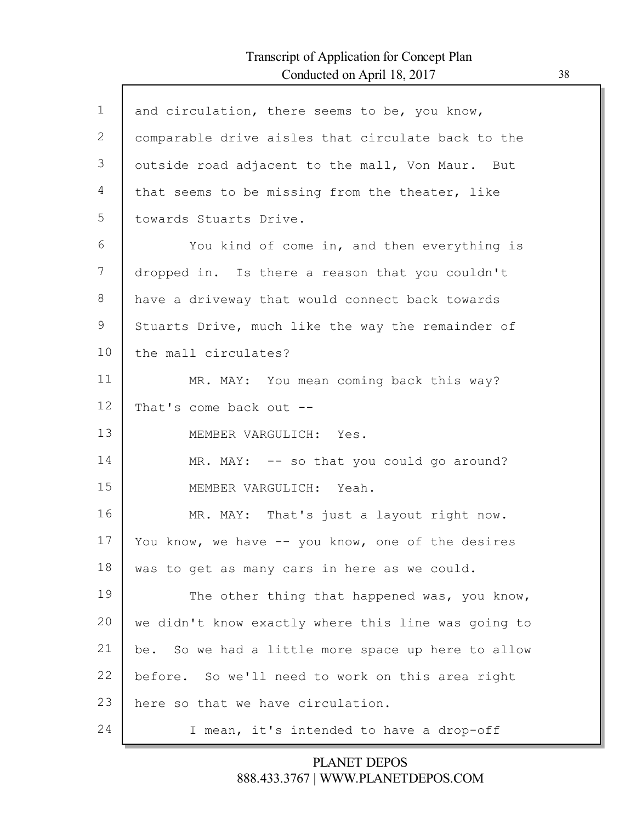Г

| $\mathbf 1$ | and circulation, there seems to be, you know,       |
|-------------|-----------------------------------------------------|
| 2           | comparable drive aisles that circulate back to the  |
| 3           | outside road adjacent to the mall, Von Maur. But    |
| 4           | that seems to be missing from the theater, like     |
| 5           | towards Stuarts Drive.                              |
| 6           | You kind of come in, and then everything is         |
| 7           | dropped in. Is there a reason that you couldn't     |
| 8           | have a driveway that would connect back towards     |
| 9           | Stuarts Drive, much like the way the remainder of   |
| 10          | the mall circulates?                                |
| 11          | MR. MAY: You mean coming back this way?             |
| 12          | That's come back out --                             |
| 13          | MEMBER VARGULICH: Yes.                              |
| 14          | MR. MAY: -- so that you could go around?            |
| 15          | MEMBER VARGULICH: Yeah.                             |
| 16          | MR. MAY: That's just a layout right now.            |
| 17          | You know, we have -- you know, one of the desires   |
| 18          | was to get as many cars in here as we could.        |
| 19          | The other thing that happened was, you know,        |
| 20          | we didn't know exactly where this line was going to |
| 21          | be. So we had a little more space up here to allow  |
| 22          | before. So we'll need to work on this area right    |
| 23          | here so that we have circulation.                   |
| 24          | I mean, it's intended to have a drop-off            |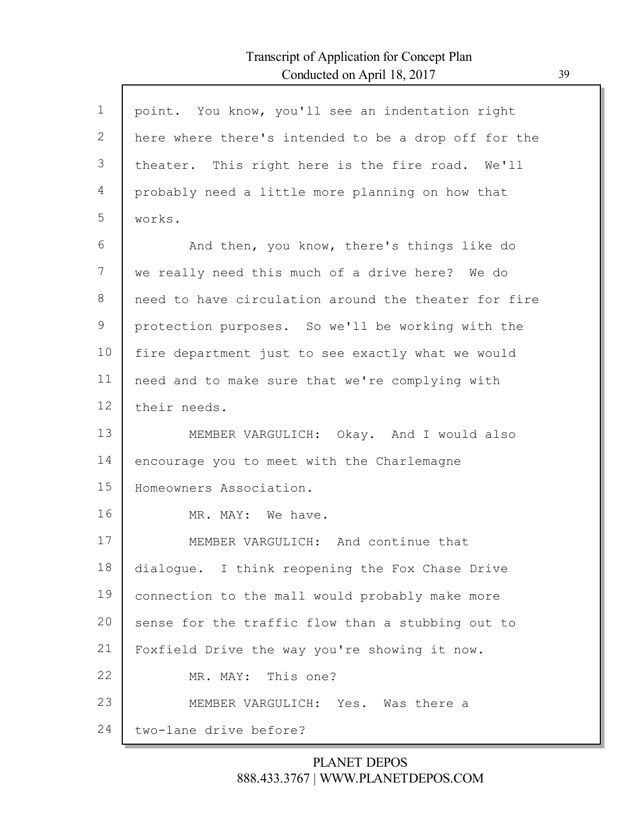Г

| $\mathbf{1}$ | point. You know, you'll see an indentation right     |
|--------------|------------------------------------------------------|
| 2            | here where there's intended to be a drop off for the |
| 3            | theater. This right here is the fire road. We'll     |
| 4            | probably need a little more planning on how that     |
| 5            | works.                                               |
| 6            | And then, you know, there's things like do           |
| 7            | we really need this much of a drive here? We do      |
| 8            | need to have circulation around the theater for fire |
| 9            | protection purposes. So we'll be working with the    |
| 10           | fire department just to see exactly what we would    |
| 11           | need and to make sure that we're complying with      |
| 12           | their needs.                                         |
| 13           | MEMBER VARGULICH: Okay. And I would also             |
| 14           | encourage you to meet with the Charlemagne           |
| 15           | Homeowners Association.                              |
| 16           | MR. MAY: We have.                                    |
| 17           | MEMBER VARGULICH: And continue that                  |
| 18           | dialogue. I think reopening the Fox Chase Drive      |
| 19           | connection to the mall would probably make more      |
| 20           | sense for the traffic flow than a stubbing out to    |
| 21           | Foxfield Drive the way you're showing it now.        |
| 22           | MR. MAY: This one?                                   |
| 23           | MEMBER VARGULICH: Yes. Was there a                   |
| 24           | two-lane drive before?                               |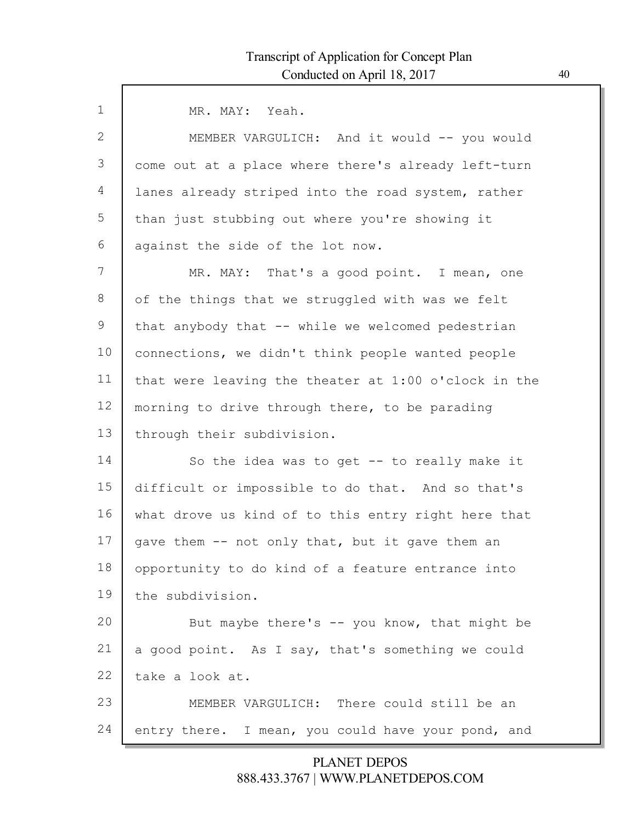Г

| $\mathbf{1}$ | MR. MAY: Yeah.                                       |
|--------------|------------------------------------------------------|
| 2            | MEMBER VARGULICH: And it would -- you would          |
| 3            | come out at a place where there's already left-turn  |
| 4            | lanes already striped into the road system, rather   |
| 5            | than just stubbing out where you're showing it       |
| 6            | against the side of the lot now.                     |
| 7            | MR. MAY: That's a good point. I mean, one            |
| 8            | of the things that we struggled with was we felt     |
| 9            | that anybody that -- while we welcomed pedestrian    |
| 10           | connections, we didn't think people wanted people    |
| 11           | that were leaving the theater at 1:00 o'clock in the |
| 12           | morning to drive through there, to be parading       |
| 13           | through their subdivision.                           |
| 14           | So the idea was to get -- to really make it          |
| 15           | difficult or impossible to do that. And so that's    |
| 16           | what drove us kind of to this entry right here that  |
| 17           | gave them -- not only that, but it gave them an      |
| 18           | opportunity to do kind of a feature entrance into    |
| 19           | the subdivision.                                     |
| 20           | But maybe there's -- you know, that might be         |
| 21           | a good point. As I say, that's something we could    |
| 22           | take a look at.                                      |
| 23           | MEMBER VARGULICH: There could still be an            |
| 24           | entry there. I mean, you could have your pond, and   |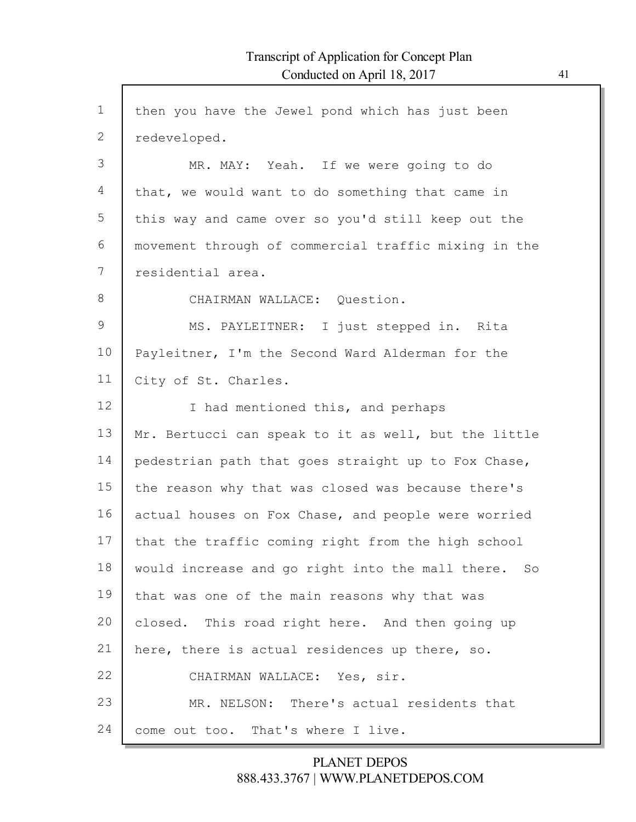| $\mathbf 1$  | then you have the Jewel pond which has just been     |
|--------------|------------------------------------------------------|
| $\mathbf{2}$ | redeveloped.                                         |
| 3            | MR. MAY: Yeah. If we were going to do                |
| 4            | that, we would want to do something that came in     |
| 5            | this way and came over so you'd still keep out the   |
| 6            | movement through of commercial traffic mixing in the |
| 7            | residential area.                                    |
| $8\,$        | CHAIRMAN WALLACE: Question.                          |
| 9            | MS. PAYLEITNER: I just stepped in. Rita              |
| 10           | Payleitner, I'm the Second Ward Alderman for the     |
| 11           | City of St. Charles.                                 |
| 12           | I had mentioned this, and perhaps                    |
| 13           | Mr. Bertucci can speak to it as well, but the little |
| 14           | pedestrian path that goes straight up to Fox Chase,  |
| 15           | the reason why that was closed was because there's   |
| 16           | actual houses on Fox Chase, and people were worried  |
| 17           | that the traffic coming right from the high school   |
| 18           | would increase and go right into the mall there. So  |
| 19           | that was one of the main reasons why that was        |
| 20           | closed. This road right here. And then going up      |
| 21           | here, there is actual residences up there, so.       |
| 22           | CHAIRMAN WALLACE: Yes, sir.                          |
| 23           | MR. NELSON: There's actual residents that            |
| 24           | come out too. That's where I live.                   |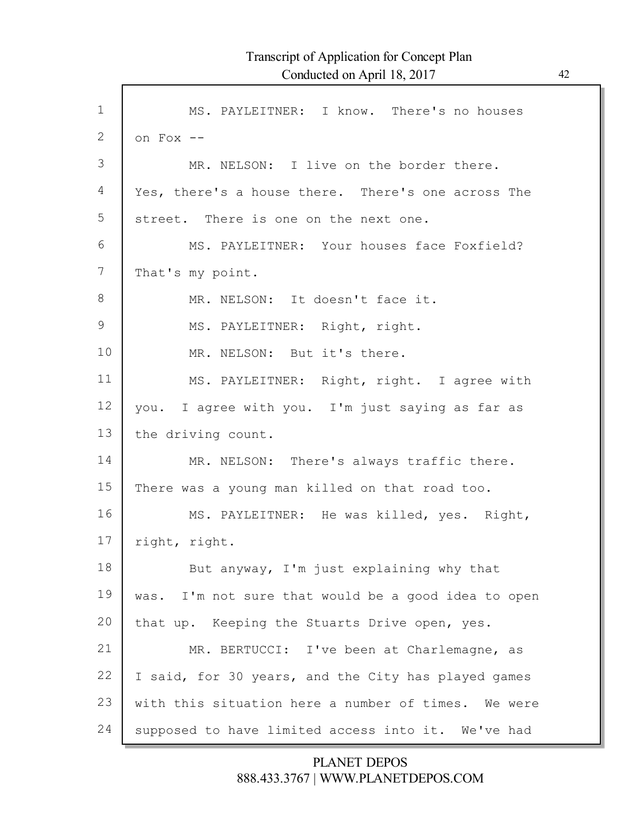Г

| $\mathbf 1$ | MS. PAYLEITNER: I know. There's no houses           |
|-------------|-----------------------------------------------------|
| 2           | on Fox --                                           |
| 3           | MR. NELSON: I live on the border there.             |
| 4           | Yes, there's a house there. There's one across The  |
| 5           | street. There is one on the next one.               |
| 6           | MS. PAYLEITNER: Your houses face Foxfield?          |
| 7           | That's my point.                                    |
| 8           | MR. NELSON: It doesn't face it.                     |
| 9           | MS. PAYLEITNER: Right, right.                       |
| 10          | MR. NELSON: But it's there.                         |
| 11          | MS. PAYLEITNER: Right, right. I agree with          |
| 12          | you. I agree with you. I'm just saying as far as    |
| 13          | the driving count.                                  |
| 14          | MR. NELSON: There's always traffic there.           |
| 15          | There was a young man killed on that road too.      |
| 16          | MS. PAYLEITNER: He was killed, yes. Right,          |
| 17          | right, right.                                       |
| 18          | But anyway, I'm just explaining why that            |
| 19          | was. I'm not sure that would be a good idea to open |
| 20          | that up. Keeping the Stuarts Drive open, yes.       |
| 21          | MR. BERTUCCI: I've been at Charlemagne, as          |
| 22          | I said, for 30 years, and the City has played games |
| 23          | with this situation here a number of times. We were |
| 24          | supposed to have limited access into it. We've had  |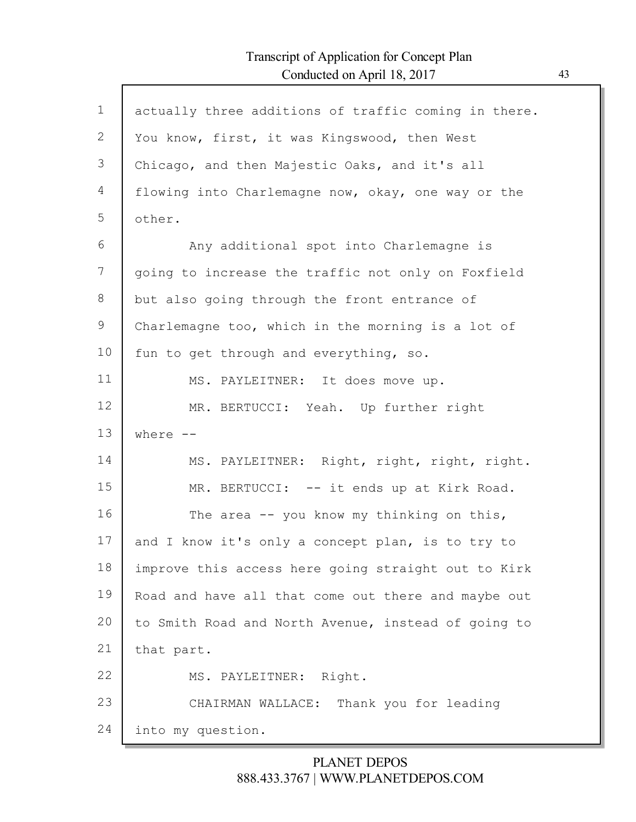Г

| $\mathbf 1$ | actually three additions of traffic coming in there. |
|-------------|------------------------------------------------------|
| 2           | You know, first, it was Kingswood, then West         |
| 3           | Chicago, and then Majestic Oaks, and it's all        |
| 4           | flowing into Charlemagne now, okay, one way or the   |
| 5           | other.                                               |
| 6           | Any additional spot into Charlemagne is              |
| 7           | going to increase the traffic not only on Foxfield   |
| 8           | but also going through the front entrance of         |
| 9           | Charlemagne too, which in the morning is a lot of    |
| 10          | fun to get through and everything, so.               |
| 11          | MS. PAYLEITNER: It does move up.                     |
| 12          | MR. BERTUCCI: Yeah. Up further right                 |
| 13          | where $--$                                           |
| 14          | MS. PAYLEITNER: Right, right, right, right.          |
| 15          | MR. BERTUCCI: -- it ends up at Kirk Road.            |
| 16          | The area $-$ you know my thinking on this,           |
| 17          | and I know it's only a concept plan, is to try to    |
| 18          | improve this access here going straight out to Kirk  |
| 19          | Road and have all that come out there and maybe out  |
| 20          | to Smith Road and North Avenue, instead of going to  |
| 21          | that part.                                           |
| 22          | MS. PAYLEITNER: Right.                               |
| 23          | Thank you for leading<br>CHAIRMAN WALLACE:           |
| 24          | into my question.                                    |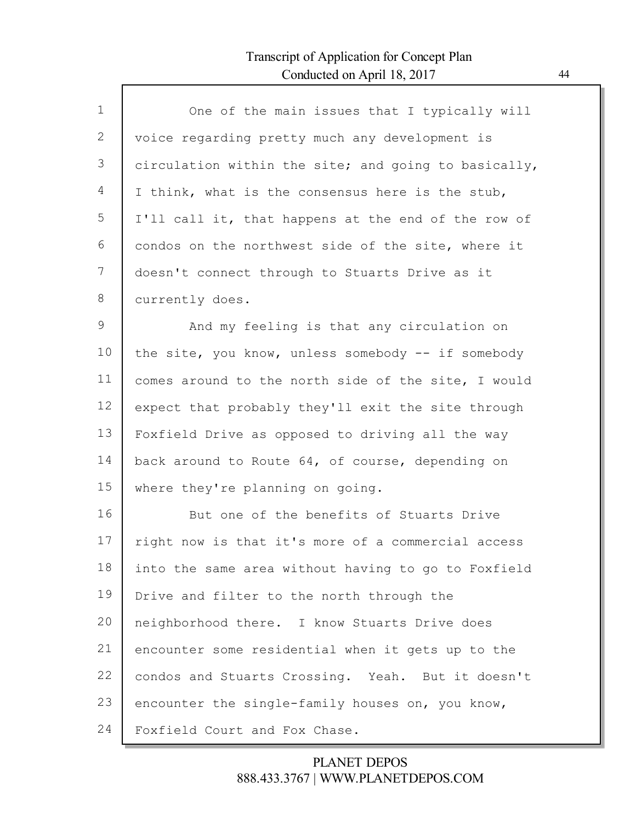Г

| $\mathbf 1$   | One of the main issues that I typically will         |
|---------------|------------------------------------------------------|
| 2             | voice regarding pretty much any development is       |
| 3             | circulation within the site; and going to basically, |
| 4             | I think, what is the consensus here is the stub,     |
| 5             | I'll call it, that happens at the end of the row of  |
| 6             | condos on the northwest side of the site, where it   |
| 7             | doesn't connect through to Stuarts Drive as it       |
| 8             | currently does.                                      |
| $\mathcal{G}$ | And my feeling is that any circulation on            |
| 10            | the site, you know, unless somebody -- if somebody   |
| 11            | comes around to the north side of the site, I would  |
| 12            | expect that probably they'll exit the site through   |
| 13            | Foxfield Drive as opposed to driving all the way     |
| 14            | back around to Route 64, of course, depending on     |
| 15            | where they're planning on going.                     |
| 16            | But one of the benefits of Stuarts Drive             |
| 17            | right now is that it's more of a commercial access   |
| 18            | into the same area without having to go to Foxfield  |
| 19            | Drive and filter to the north through the            |
| 20            | neighborhood there. I know Stuarts Drive does        |
| 21            | encounter some residential when it gets up to the    |
| 22            | condos and Stuarts Crossing. Yeah. But it doesn't    |
| 23            | encounter the single-family houses on, you know,     |
| 24            | Foxfield Court and Fox Chase.                        |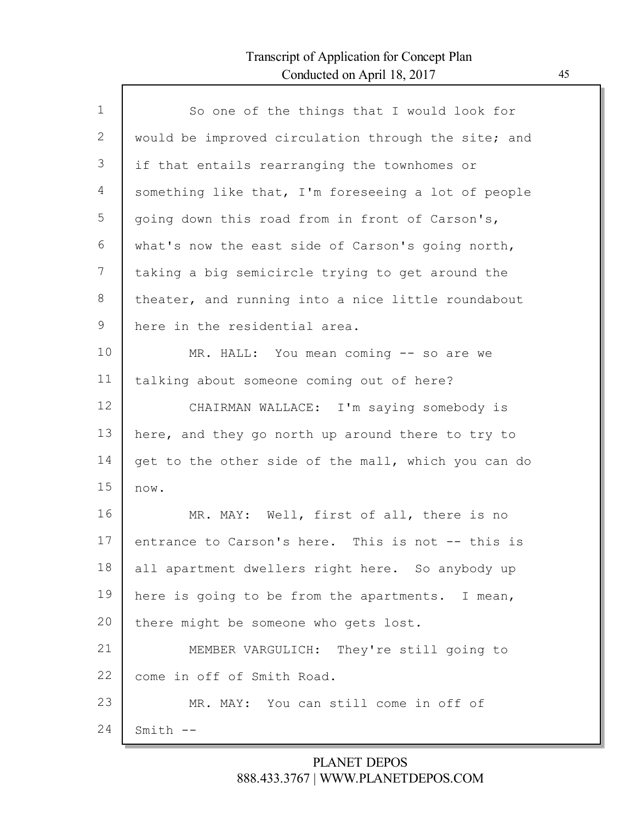Г

| $\mathbf 1$ | So one of the things that I would look for          |
|-------------|-----------------------------------------------------|
| 2           | would be improved circulation through the site; and |
| 3           | if that entails rearranging the townhomes or        |
| 4           | something like that, I'm foreseeing a lot of people |
| 5           | going down this road from in front of Carson's,     |
| 6           | what's now the east side of Carson's going north,   |
| 7           | taking a big semicircle trying to get around the    |
| 8           | theater, and running into a nice little roundabout  |
| 9           | here in the residential area.                       |
| 10          | MR. HALL: You mean coming -- so are we              |
| 11          | talking about someone coming out of here?           |
| 12          | CHAIRMAN WALLACE: I'm saying somebody is            |
| 13          | here, and they go north up around there to try to   |
| 14          | get to the other side of the mall, which you can do |
| 15          | now.                                                |
| 16          | MR. MAY: Well, first of all, there is no            |
| 17          | entrance to Carson's here. This is not -- this is   |
| 18          | all apartment dwellers right here. So anybody up    |
| 19          | here is going to be from the apartments. I mean,    |
| 20          | there might be someone who gets lost.               |
| 21          | MEMBER VARGULICH: They're still going to            |
| 22          | come in off of Smith Road.                          |
| 23          | MR. MAY: You can still come in off of               |
| 24          | $Smith$ $--$                                        |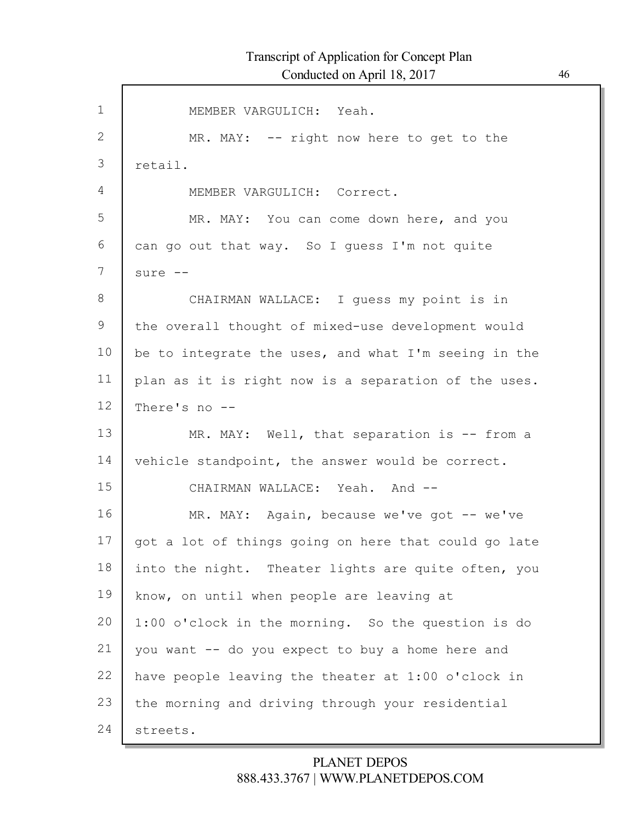| $\mathbf 1$ | MEMBER VARGULICH: Yeah.                              |
|-------------|------------------------------------------------------|
| 2           | MR. MAY: -- right now here to get to the             |
| 3           | retail.                                              |
| 4           | MEMBER VARGULICH: Correct.                           |
| 5           | MR. MAY: You can come down here, and you             |
| 6           | can go out that way. So I guess I'm not quite        |
| 7           | sure --                                              |
| 8           | CHAIRMAN WALLACE: I guess my point is in             |
| 9           | the overall thought of mixed-use development would   |
| 10          | be to integrate the uses, and what I'm seeing in the |
| 11          | plan as it is right now is a separation of the uses. |
| 12          | There's no --                                        |
| 13          | MR. MAY: Well, that separation is -- from a          |
| 14          | vehicle standpoint, the answer would be correct.     |
| 15          | CHAIRMAN WALLACE: Yeah. And --                       |
| 16          | MR. MAY: Again, because we've got -- we've           |
| 17          | got a lot of things going on here that could go late |
| 18          | into the night. Theater lights are quite often, you  |
| 19          | know, on until when people are leaving at            |
| 20          | 1:00 o'clock in the morning. So the question is do   |
| 21          | you want -- do you expect to buy a home here and     |
| 22          | have people leaving the theater at 1:00 o'clock in   |
| 23          | the morning and driving through your residential     |
| 24          | streets.                                             |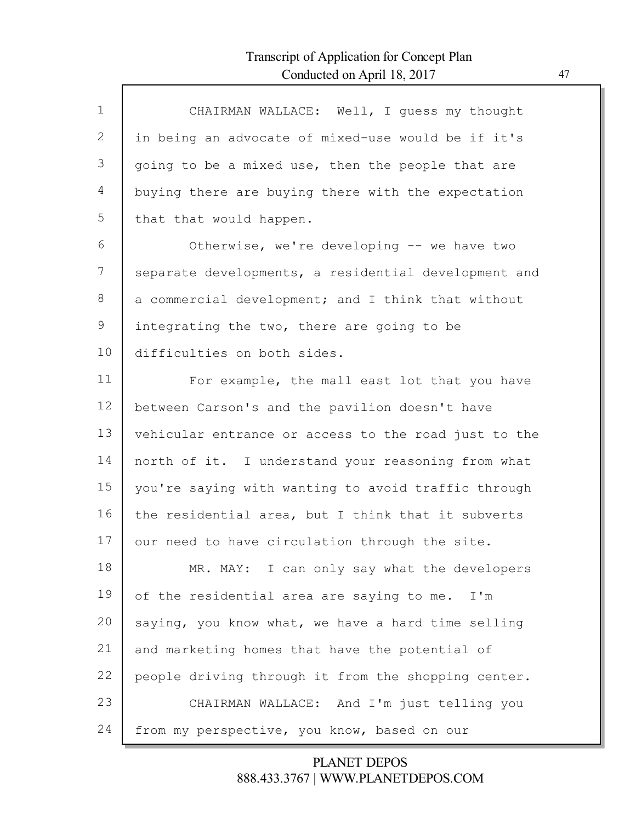Г

| $\mathbf{1}$ | CHAIRMAN WALLACE: Well, I quess my thought           |
|--------------|------------------------------------------------------|
| 2            | in being an advocate of mixed-use would be if it's   |
| 3            | going to be a mixed use, then the people that are    |
| 4            | buying there are buying there with the expectation   |
| 5            | that that would happen.                              |
| 6            | Otherwise, we're developing -- we have two           |
| 7            | separate developments, a residential development and |
| 8            | a commercial development; and I think that without   |
| 9            | integrating the two, there are going to be           |
| 10           | difficulties on both sides.                          |
| 11           | For example, the mall east lot that you have         |
| 12           | between Carson's and the pavilion doesn't have       |
| 13           | vehicular entrance or access to the road just to the |
| 14           | north of it. I understand your reasoning from what   |
| 15           | you're saying with wanting to avoid traffic through  |
| 16           | the residential area, but I think that it subverts   |
| 17           | our need to have circulation through the site.       |
| 18           | MR. MAY: I can only say what the developers          |
| 19           | of the residential area are saying to me.<br>I'm     |
| 20           | saying, you know what, we have a hard time selling   |
| 21           | and marketing homes that have the potential of       |
| 22           | people driving through it from the shopping center.  |
| 23           | CHAIRMAN WALLACE: And I'm just telling you           |
| 24           | from my perspective, you know, based on our          |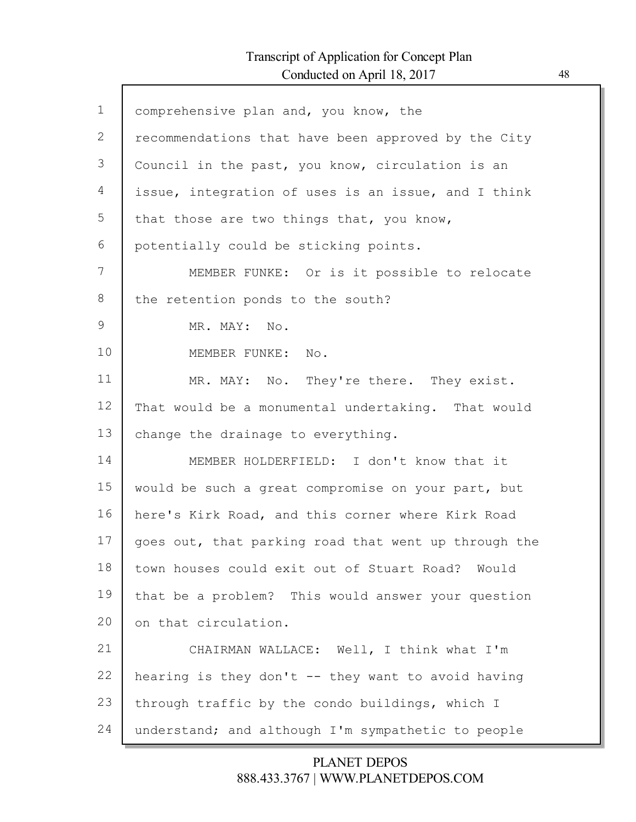Г

| $\mathbf{1}$ | comprehensive plan and, you know, the                |
|--------------|------------------------------------------------------|
| 2            | recommendations that have been approved by the City  |
| 3            | Council in the past, you know, circulation is an     |
| 4            | issue, integration of uses is an issue, and I think  |
| 5            | that those are two things that, you know,            |
| 6            | potentially could be sticking points.                |
| 7            | MEMBER FUNKE: Or is it possible to relocate          |
| 8            | the retention ponds to the south?                    |
| 9            | MR. MAY: No.                                         |
| 10           | MEMBER FUNKE: No.                                    |
| 11           | MR. MAY: No. They're there. They exist.              |
| 12           | That would be a monumental undertaking. That would   |
| 13           | change the drainage to everything.                   |
| 14           | MEMBER HOLDERFIELD: I don't know that it             |
| 15           | would be such a great compromise on your part, but   |
| 16           | here's Kirk Road, and this corner where Kirk Road    |
| 17           | goes out, that parking road that went up through the |
| 18           | town houses could exit out of Stuart Road? Would     |
| 19           | that be a problem? This would answer your question   |
| 20           | on that circulation.                                 |
| 21           | CHAIRMAN WALLACE: Well, I think what I'm             |
| 22           | hearing is they don't -- they want to avoid having   |
| 23           | through traffic by the condo buildings, which I      |
| 24           | understand; and although I'm sympathetic to people   |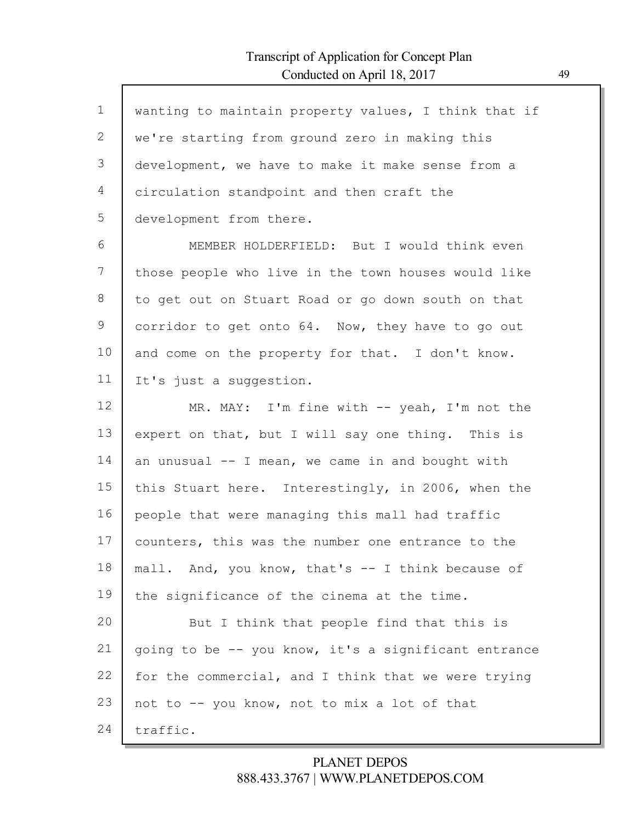$\mathsf{l}$ 

| $\mathbf 1$ | wanting to maintain property values, I think that if |
|-------------|------------------------------------------------------|
| 2           | we're starting from ground zero in making this       |
| 3           | development, we have to make it make sense from a    |
| 4           | circulation standpoint and then craft the            |
| 5           | development from there.                              |
| 6           | MEMBER HOLDERFIELD: But I would think even           |
| 7           | those people who live in the town houses would like  |
| 8           | to get out on Stuart Road or go down south on that   |
| 9           | corridor to get onto 64. Now, they have to go out    |
| 10          | and come on the property for that. I don't know.     |
| 11          | It's just a suggestion.                              |
| 12          | MR. MAY: I'm fine with $-$ yeah, I'm not the         |
| 13          | expert on that, but I will say one thing. This is    |
| 14          | an unusual $-$ I mean, we came in and bought with    |
| 15          | this Stuart here. Interestingly, in 2006, when the   |
| 16          | people that were managing this mall had traffic      |
| 17          | counters, this was the number one entrance to the    |
| 18          | mall. And, you know, that's -- I think because of    |
| 19          | the significance of the cinema at the time.          |
| 20          | But I think that people find that this is            |
| 21          | going to be -- you know, it's a significant entrance |
| 22          | for the commercial, and I think that we were trying  |
| 23          | not to -- you know, not to mix a lot of that         |
| 24          | traffic.                                             |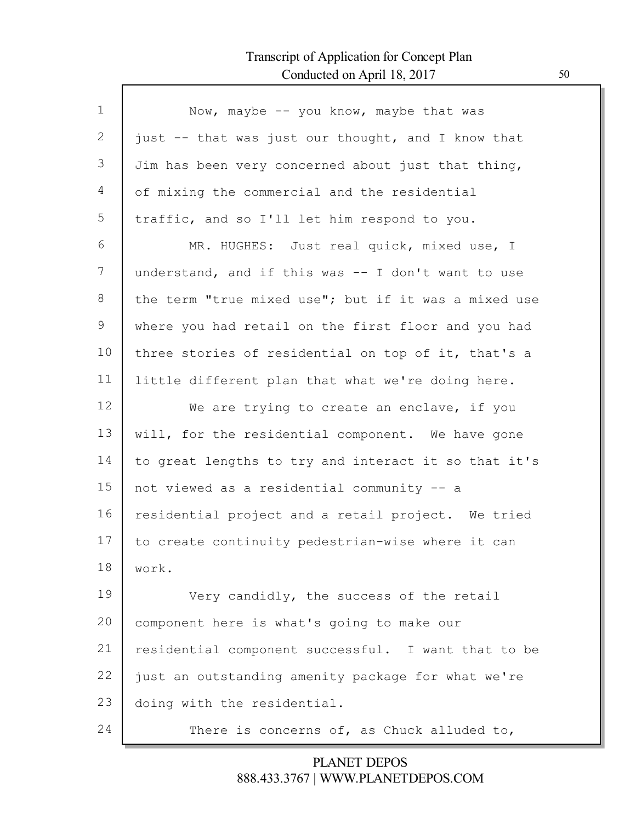Г

| $\mathbf{1}$    | Now, maybe -- you know, maybe that was               |
|-----------------|------------------------------------------------------|
| 2               | just -- that was just our thought, and I know that   |
| 3               | Jim has been very concerned about just that thing,   |
| 4               | of mixing the commercial and the residential         |
| 5               | traffic, and so I'll let him respond to you.         |
| 6               | MR. HUGHES: Just real quick, mixed use, I            |
| $7\phantom{.0}$ | understand, and if this was $-$ I don't want to use  |
| 8               | the term "true mixed use"; but if it was a mixed use |
| 9               | where you had retail on the first floor and you had  |
| 10              | three stories of residential on top of it, that's a  |
| 11              | little different plan that what we're doing here.    |
| 12              | We are trying to create an enclave, if you           |
| 13              | will, for the residential component. We have gone    |
| 14              | to great lengths to try and interact it so that it's |
| 15              | not viewed as a residential community -- a           |
| 16              | residential project and a retail project. We tried   |
| 17              | to create continuity pedestrian-wise where it can    |
| 18              | work.                                                |
| 19              | Very candidly, the success of the retail             |
| 20              | component here is what's going to make our           |
| 21              | residential component successful. I want that to be  |
| 22              | just an outstanding amenity package for what we're   |
| 23              | doing with the residential.                          |
| 24              | There is concerns of, as Chuck alluded to,           |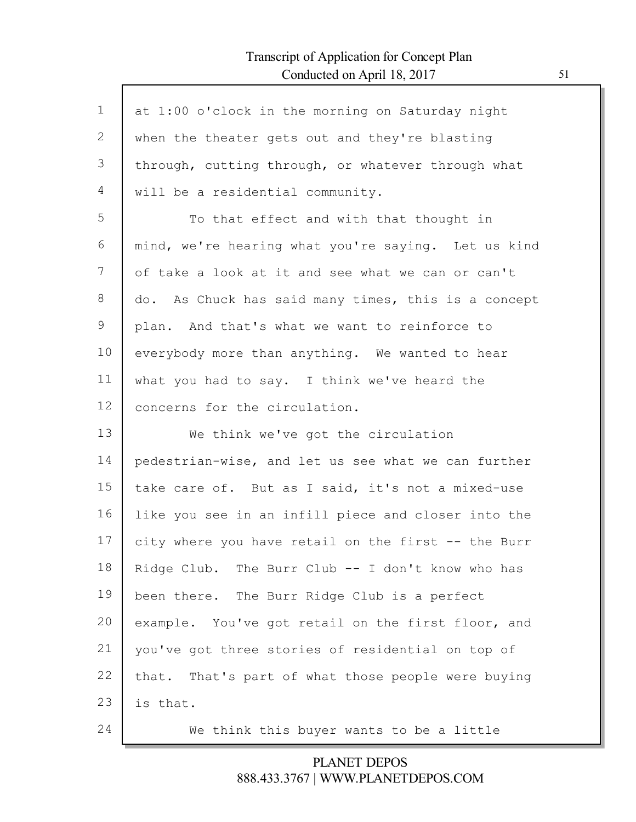$\mathsf{l}$ 

| $\mathbf 1$ | at 1:00 o'clock in the morning on Saturday night    |
|-------------|-----------------------------------------------------|
| 2           | when the theater gets out and they're blasting      |
| 3           | through, cutting through, or whatever through what  |
| 4           | will be a residential community.                    |
| 5           | To that effect and with that thought in             |
| 6           | mind, we're hearing what you're saying. Let us kind |
| 7           | of take a look at it and see what we can or can't   |
| 8           | do. As Chuck has said many times, this is a concept |
| 9           | plan. And that's what we want to reinforce to       |
| 10          | everybody more than anything. We wanted to hear     |
| 11          | what you had to say. I think we've heard the        |
| 12          | concerns for the circulation.                       |
| 13          | We think we've got the circulation                  |
| 14          | pedestrian-wise, and let us see what we can further |
| 15          | take care of. But as I said, it's not a mixed-use   |
| 16          | like you see in an infill piece and closer into the |
| 17          | city where you have retail on the first -- the Burr |
| 18          | Ridge Club. The Burr Club -- I don't know who has   |
| 19          | been there. The Burr Ridge Club is a perfect        |
| 20          | example. You've got retail on the first floor, and  |
| 21          | you've got three stories of residential on top of   |
| 22          | that. That's part of what those people were buying  |
| 23          | is that.                                            |
| 24          | We think this buyer wants to be a little            |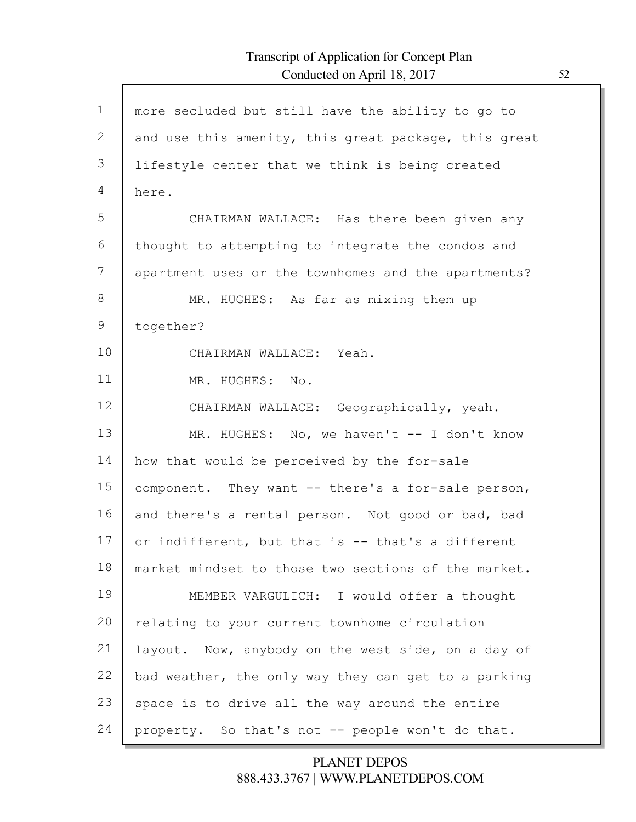Г

| $\mathbf 1$ | more secluded but still have the ability to go to    |
|-------------|------------------------------------------------------|
| 2           | and use this amenity, this great package, this great |
| 3           | lifestyle center that we think is being created      |
| 4           | here.                                                |
| 5           | CHAIRMAN WALLACE: Has there been given any           |
| 6           | thought to attempting to integrate the condos and    |
| 7           | apartment uses or the townhomes and the apartments?  |
| 8           | MR. HUGHES: As far as mixing them up                 |
| 9           | together?                                            |
| 10          | CHAIRMAN WALLACE: Yeah.                              |
| 11          | MR. HUGHES: No.                                      |
| 12          | CHAIRMAN WALLACE: Geographically, yeah.              |
| 13          | MR. HUGHES: No, we haven't -- I don't know           |
| 14          | how that would be perceived by the for-sale          |
| 15          | component. They want -- there's a for-sale person,   |
| 16          | and there's a rental person. Not good or bad, bad    |
| 17          | or indifferent, but that is -- that's a different    |
| 18          | market mindset to those two sections of the market.  |
| 19          | MEMBER VARGULICH: I would offer a thought            |
| 20          | relating to your current townhome circulation        |
| 21          | layout. Now, anybody on the west side, on a day of   |
| 22          | bad weather, the only way they can get to a parking  |
| 23          | space is to drive all the way around the entire      |
| 24          | property. So that's not -- people won't do that.     |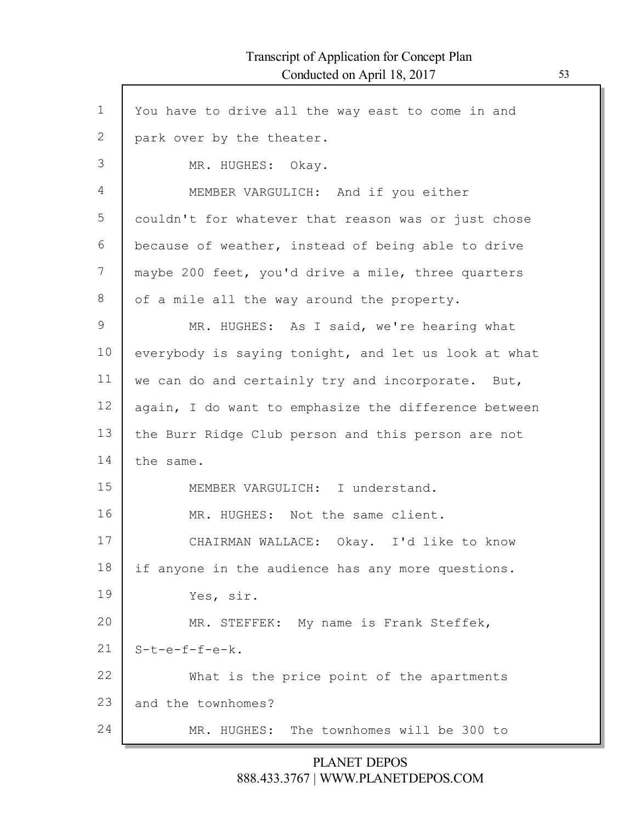Г

| $\mathbf 1$ | You have to drive all the way east to come in and    |
|-------------|------------------------------------------------------|
| 2           | park over by the theater.                            |
| 3           | MR. HUGHES: Okay.                                    |
| 4           | MEMBER VARGULICH: And if you either                  |
| 5           | couldn't for whatever that reason was or just chose  |
| 6           | because of weather, instead of being able to drive   |
| 7           | maybe 200 feet, you'd drive a mile, three quarters   |
| 8           | of a mile all the way around the property.           |
| 9           | MR. HUGHES: As I said, we're hearing what            |
| 10          | everybody is saying tonight, and let us look at what |
| 11          | we can do and certainly try and incorporate. But,    |
| 12          | again, I do want to emphasize the difference between |
| 13          | the Burr Ridge Club person and this person are not   |
| 14          | the same.                                            |
| 15          | MEMBER VARGULICH: I understand.                      |
| 16          | MR. HUGHES: Not the same client.                     |
| 17          | CHAIRMAN WALLACE: Okay. I'd like to know             |
| 18          | if anyone in the audience has any more questions.    |
| 19          | Yes, sir.                                            |
| 20          | MR. STEFFEK: My name is Frank Steffek,               |
| 21          | $S-t-e-f-f-e-k.$                                     |
| 22          | What is the price point of the apartments            |
| 23          | and the townhomes?                                   |
| 24          | The townhomes will be 300 to<br>MR. HUGHES:          |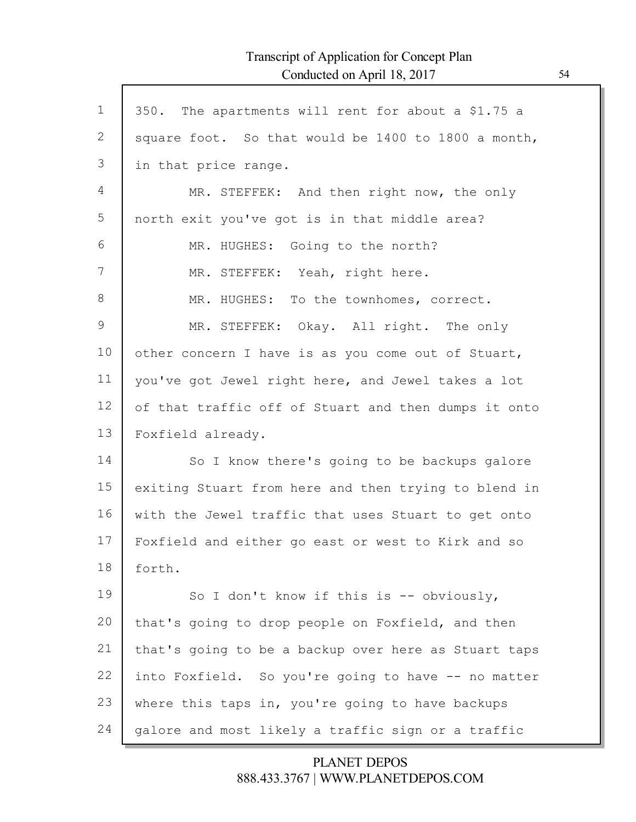Г

| $\mathbf 1$ | 350. The apartments will rent for about a \$1.75 a   |
|-------------|------------------------------------------------------|
| 2           | square foot. So that would be 1400 to 1800 a month,  |
| 3           | in that price range.                                 |
| 4           | MR. STEFFEK: And then right now, the only            |
| 5           | north exit you've got is in that middle area?        |
| 6           | MR. HUGHES: Going to the north?                      |
| 7           | MR. STEFFEK: Yeah, right here.                       |
| $8\,$       | MR. HUGHES: To the townhomes, correct.               |
| 9           | MR. STEFFEK: Okay. All right. The only               |
| 10          | other concern I have is as you come out of Stuart,   |
| 11          | you've got Jewel right here, and Jewel takes a lot   |
| 12          | of that traffic off of Stuart and then dumps it onto |
| 13          | Foxfield already.                                    |
| 14          | So I know there's going to be backups galore         |
| 15          | exiting Stuart from here and then trying to blend in |
| 16          | with the Jewel traffic that uses Stuart to get onto  |
| 17          | Foxfield and either go east or west to Kirk and so   |
| 18          | forth.                                               |
| 19          | So I don't know if this is $--$ obviously,           |
| 20          | that's going to drop people on Foxfield, and then    |
| 21          | that's going to be a backup over here as Stuart taps |
| 22          | into Foxfield. So you're going to have -- no matter  |
| 23          | where this taps in, you're going to have backups     |
| 24          | galore and most likely a traffic sign or a traffic   |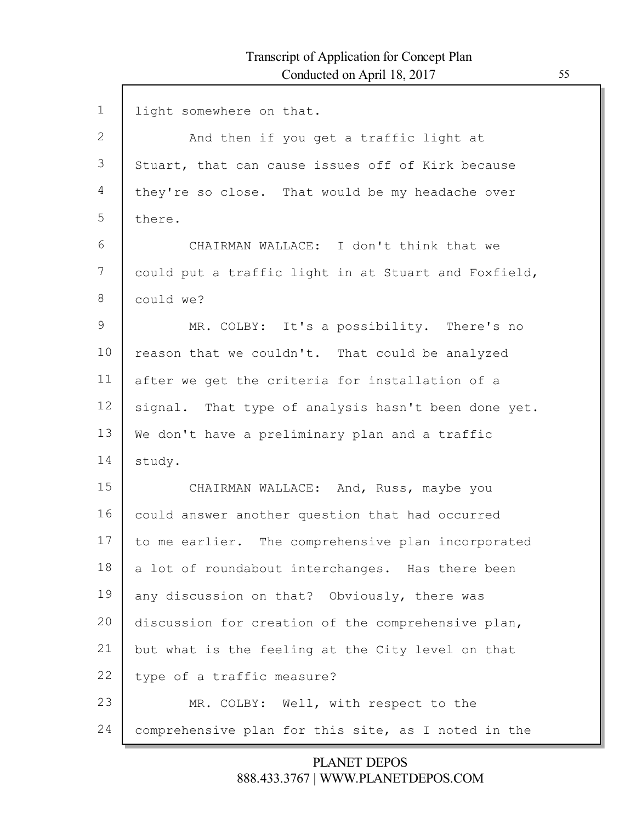| $\mathbf 1$  | light somewhere on that.                             |
|--------------|------------------------------------------------------|
| $\mathbf{2}$ | And then if you get a traffic light at               |
| 3            | Stuart, that can cause issues off of Kirk because    |
| 4            | they're so close. That would be my headache over     |
| 5            | there.                                               |
| 6            | CHAIRMAN WALLACE: I don't think that we              |
| 7            | could put a traffic light in at Stuart and Foxfield, |
| 8            | could we?                                            |
| 9            | MR. COLBY: It's a possibility. There's no            |
| 10           | reason that we couldn't. That could be analyzed      |
| 11           | after we get the criteria for installation of a      |
| 12           | signal. That type of analysis hasn't been done yet.  |
| 13           | We don't have a preliminary plan and a traffic       |
| 14           | study.                                               |
| 15           | CHAIRMAN WALLACE: And, Russ, maybe you               |
| 16           | could answer another question that had occurred      |
| 17           | to me earlier. The comprehensive plan incorporated   |
| 18           | a lot of roundabout interchanges. Has there been     |
| 19           | any discussion on that? Obviously, there was         |
| 20           | discussion for creation of the comprehensive plan,   |
| 21           | but what is the feeling at the City level on that    |
| 22           | type of a traffic measure?                           |
| 23           | MR. COLBY: Well, with respect to the                 |
| 24           | comprehensive plan for this site, as I noted in the  |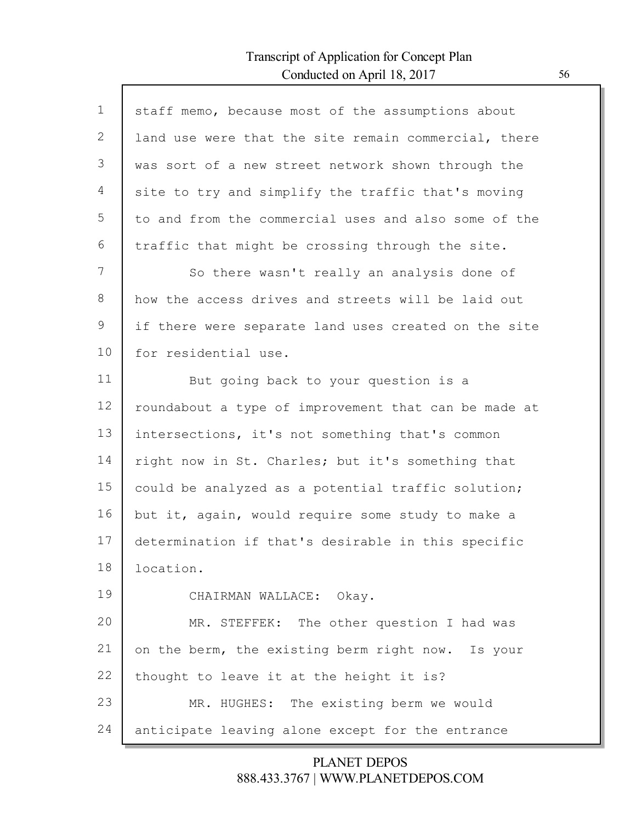Г

| $\mathbf{1}$ | staff memo, because most of the assumptions about    |
|--------------|------------------------------------------------------|
| 2            | land use were that the site remain commercial, there |
| 3            | was sort of a new street network shown through the   |
| 4            | site to try and simplify the traffic that's moving   |
| 5            | to and from the commercial uses and also some of the |
| 6            | traffic that might be crossing through the site.     |
| 7            | So there wasn't really an analysis done of           |
| 8            | how the access drives and streets will be laid out   |
| 9            | if there were separate land uses created on the site |
| 10           | for residential use.                                 |
| 11           | But going back to your question is a                 |
| 12           | roundabout a type of improvement that can be made at |
| 13           | intersections, it's not something that's common      |
| 14           | right now in St. Charles; but it's something that    |
| 15           | could be analyzed as a potential traffic solution;   |
| 16           | but it, again, would require some study to make a    |
| 17           | determination if that's desirable in this specific   |
| 18           | location.                                            |
| 19           | CHAIRMAN WALLACE: Okay.                              |
| 20           | MR. STEFFEK: The other question I had was            |
| 21           | on the berm, the existing berm right now. Is your    |
| 22           | thought to leave it at the height it is?             |
| 23           | MR. HUGHES: The existing berm we would               |
| 24           | anticipate leaving alone except for the entrance     |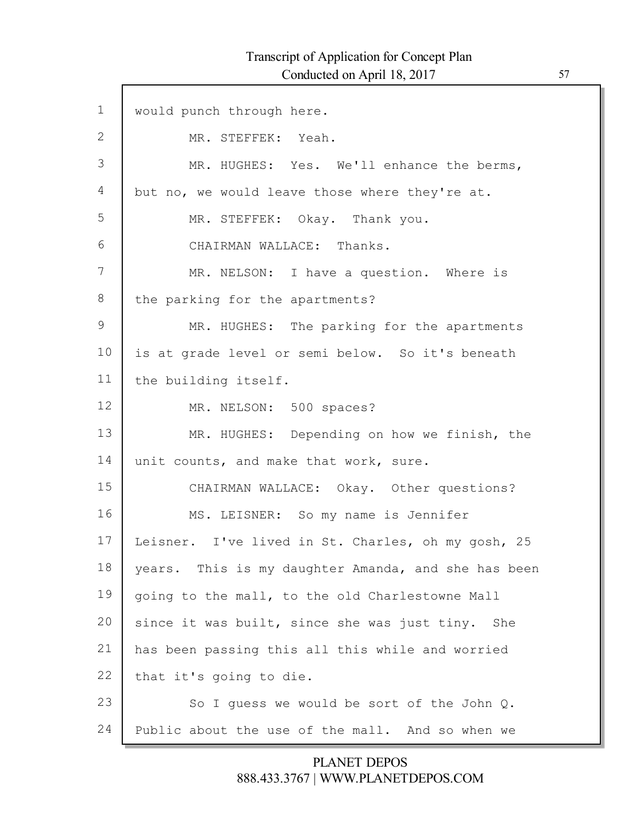Г

| $\mathbf 1$ | would punch through here.                           |
|-------------|-----------------------------------------------------|
| 2           | MR. STEFFEK: Yeah.                                  |
| 3           | MR. HUGHES: Yes. We'll enhance the berms,           |
| 4           | but no, we would leave those where they're at.      |
| 5           | MR. STEFFEK: Okay. Thank you.                       |
| 6           | CHAIRMAN WALLACE: Thanks.                           |
| 7           | MR. NELSON: I have a question. Where is             |
| 8           | the parking for the apartments?                     |
| 9           | MR. HUGHES: The parking for the apartments          |
| 10          | is at grade level or semi below. So it's beneath    |
| 11          | the building itself.                                |
| 12          | MR. NELSON: 500 spaces?                             |
| 13          | MR. HUGHES: Depending on how we finish, the         |
| 14          | unit counts, and make that work, sure.              |
| 15          | CHAIRMAN WALLACE: Okay. Other questions?            |
| 16          | MS. LEISNER: So my name is Jennifer                 |
| 17          | Leisner. I've lived in St. Charles, oh my gosh, 25  |
| 18          | years. This is my daughter Amanda, and she has been |
| 19          | going to the mall, to the old Charlestowne Mall     |
| 20          | since it was built, since she was just tiny. She    |
| 21          | has been passing this all this while and worried    |
| 22          | that it's going to die.                             |
| 23          | So I quess we would be sort of the John Q.          |
| 24          | Public about the use of the mall. And so when we    |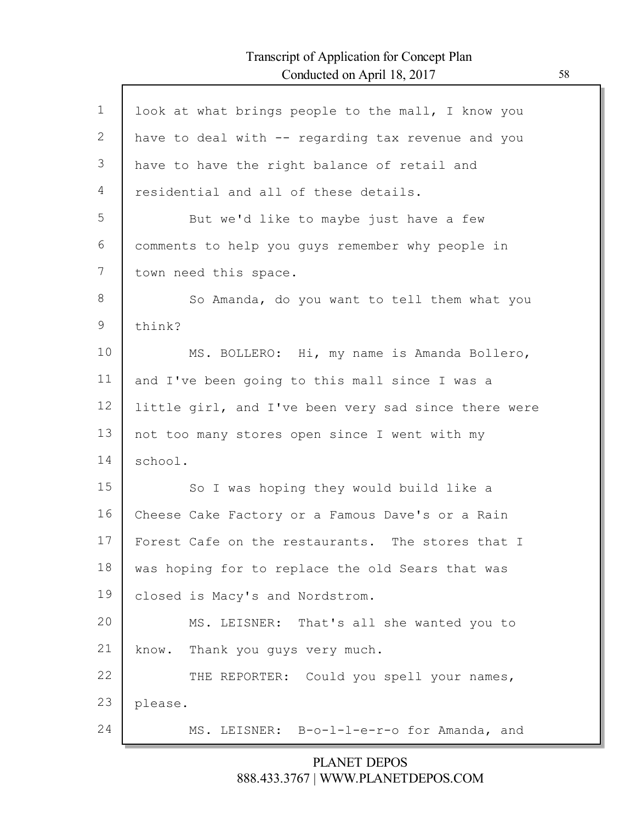Г

| $\mathbf 1$ | look at what brings people to the mall, I know you   |
|-------------|------------------------------------------------------|
| 2           | have to deal with -- regarding tax revenue and you   |
| 3           | have to have the right balance of retail and         |
| 4           | residential and all of these details.                |
| 5           | But we'd like to maybe just have a few               |
| 6           | comments to help you guys remember why people in     |
| 7           | town need this space.                                |
| 8           | So Amanda, do you want to tell them what you         |
| 9           | think?                                               |
| 10          | MS. BOLLERO: Hi, my name is Amanda Bollero,          |
| 11          | and I've been going to this mall since I was a       |
| 12          | little girl, and I've been very sad since there were |
| 13          | not too many stores open since I went with my        |
| 14          | school.                                              |
| 15          | So I was hoping they would build like a              |
| 16          | Cheese Cake Factory or a Famous Dave's or a Rain     |
| 17          | Forest Cafe on the restaurants. The stores that I    |
| 18          | was hoping for to replace the old Sears that was     |
| 19          | closed is Macy's and Nordstrom.                      |
| 20          | MS. LEISNER: That's all she wanted you to            |
| 21          | Thank you guys very much.<br>know.                   |
| 22          | THE REPORTER: Could you spell your names,            |
| 23          | please.                                              |
| 24          | MS. LEISNER: B-o-1-1-e-r-o for Amanda, and           |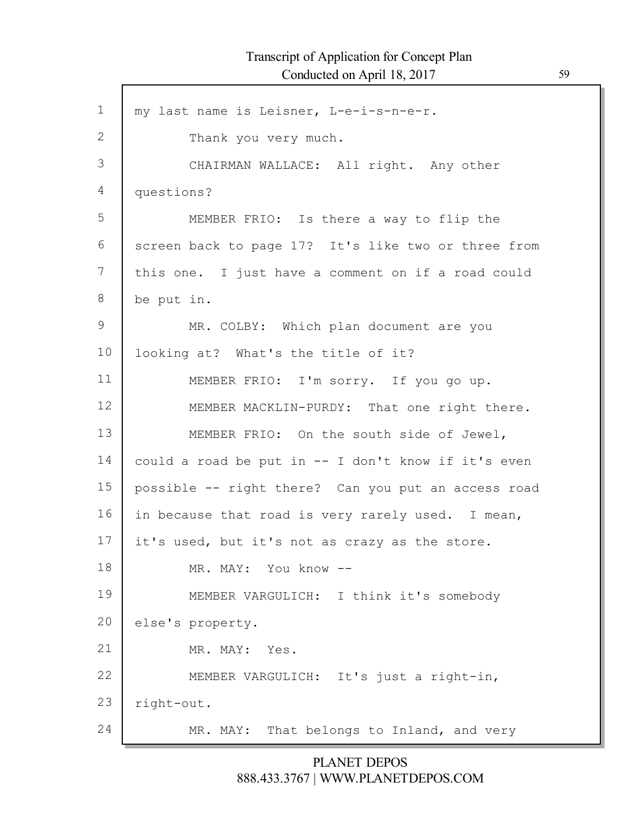1 2 3 4 5 6 7 8 9 10 11 12 13 14 15 16 17 18 19 20 21 22 23 24 my last name is Leisner, L-e-i-s-n-e-r. Thank you very much. CHAIRMAN WALLACE: All right. Any other questions? MEMBER FRIO: Is there a way to flip the screen back to page 17? It's like two or three from this one. I just have a comment on if a road could be put in. MR. COLBY: Which plan document are you looking at? What's the title of it? MEMBER FRIO: I'm sorry. If you go up. MEMBER MACKLIN-PURDY: That one right there. MEMBER FRIO: On the south side of Jewel, could a road be put in -- I don't know if it's even possible -- right there? Can you put an access road in because that road is very rarely used. I mean, it's used, but it's not as crazy as the store. MR. MAY: You know -- MEMBER VARGULICH: I think it's somebody else's property. MR. MAY: Yes. MEMBER VARGULICH: It's just a right-in, right-out. MR. MAY: That belongs to Inland, and very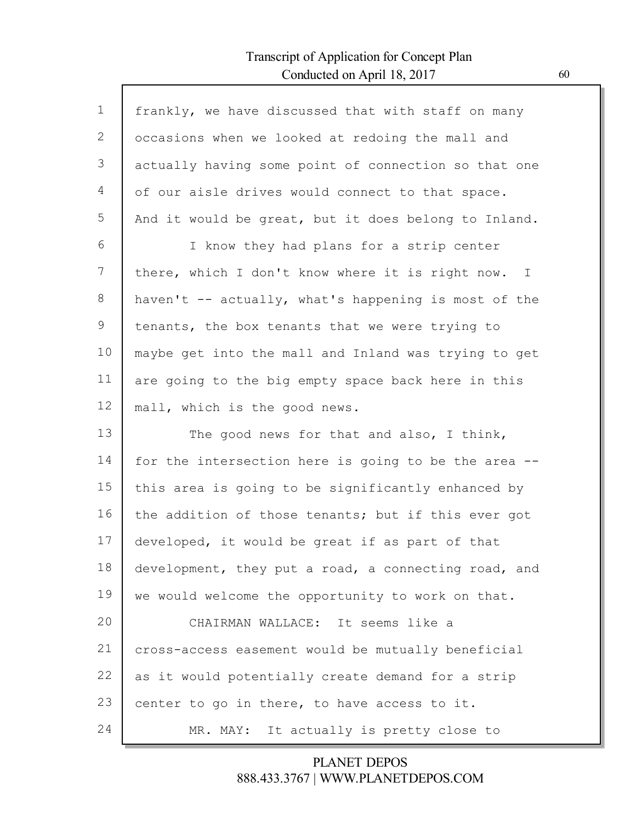Г

| $\mathbf 1$ | frankly, we have discussed that with staff on many   |
|-------------|------------------------------------------------------|
| 2           | occasions when we looked at redoing the mall and     |
| 3           | actually having some point of connection so that one |
| 4           | of our aisle drives would connect to that space.     |
| 5           | And it would be great, but it does belong to Inland. |
| 6           | I know they had plans for a strip center             |
| 7           | there, which I don't know where it is right now. I   |
| 8           | haven't -- actually, what's happening is most of the |
| 9           | tenants, the box tenants that we were trying to      |
| 10          | maybe get into the mall and Inland was trying to get |
| 11          | are going to the big empty space back here in this   |
| 12          | mall, which is the good news.                        |
| 13          | The good news for that and also, I think,            |
| 14          | for the intersection here is going to be the area -- |
| 15          | this area is going to be significantly enhanced by   |
| 16          |                                                      |
|             | the addition of those tenants; but if this ever got  |
| 17          | developed, it would be great if as part of that      |
| 18          | development, they put a road, a connecting road, and |
| 19          | we would welcome the opportunity to work on that.    |
| 20          | CHAIRMAN WALLACE: It seems like a                    |
| 21          | cross-access easement would be mutually beneficial   |
| 22          | as it would potentially create demand for a strip    |
| 23          | center to go in there, to have access to it.         |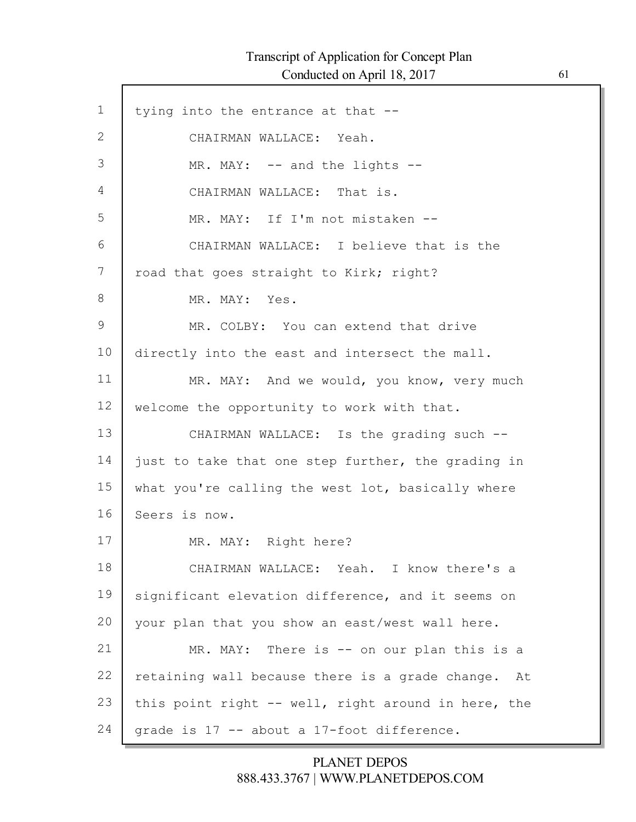Г

| $\mathbf 1$   | tying into the entrance at that --                  |
|---------------|-----------------------------------------------------|
| $\mathbf{2}$  | CHAIRMAN WALLACE: Yeah.                             |
| 3             | MR. MAY: -- and the lights --                       |
| 4             | CHAIRMAN WALLACE: That is.                          |
| 5             | MR. MAY: If I'm not mistaken --                     |
| 6             | CHAIRMAN WALLACE: I believe that is the             |
| 7             | road that goes straight to Kirk; right?             |
| 8             | MR. MAY: Yes.                                       |
| $\mathcal{G}$ | MR. COLBY: You can extend that drive                |
| 10            | directly into the east and intersect the mall.      |
| 11            | MR. MAY: And we would, you know, very much          |
| 12            | welcome the opportunity to work with that.          |
| 13            | CHAIRMAN WALLACE: Is the grading such --            |
| 14            | just to take that one step further, the grading in  |
| 15            | what you're calling the west lot, basically where   |
| 16            | Seers is now.                                       |
| 17            | MR. MAY: Right here?                                |
| 18            | CHAIRMAN WALLACE: Yeah. I know there's a            |
| 19            | significant elevation difference, and it seems on   |
| 20            | your plan that you show an east/west wall here.     |
| 21            | MR. MAY: There is $-$ on our plan this is a         |
| 22            | retaining wall because there is a grade change. At  |
| 23            | this point right -- well, right around in here, the |
| 24            | grade is 17 -- about a 17-foot difference.          |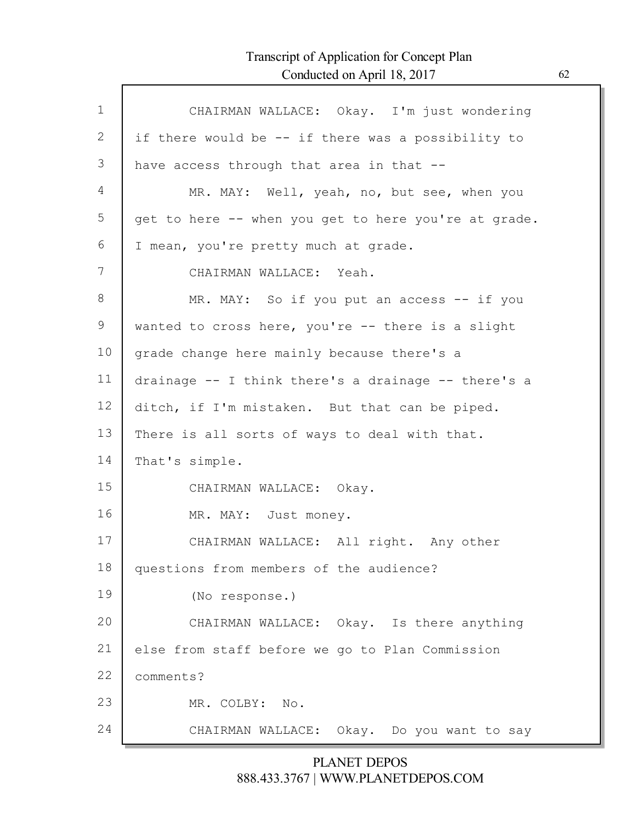Г

| $\mathbf 1$ | CHAIRMAN WALLACE: Okay. I'm just wondering           |
|-------------|------------------------------------------------------|
| 2           | if there would be -- if there was a possibility to   |
| 3           | have access through that area in that --             |
| 4           | MR. MAY: Well, yeah, no, but see, when you           |
| 5           | get to here -- when you get to here you're at grade. |
| 6           | I mean, you're pretty much at grade.                 |
| 7           | CHAIRMAN WALLACE: Yeah.                              |
| 8           | MR. MAY: So if you put an access -- if you           |
| 9           | wanted to cross here, you're -- there is a slight    |
| 10          | grade change here mainly because there's a           |
| 11          | drainage -- I think there's a drainage -- there's a  |
| 12          | ditch, if I'm mistaken. But that can be piped.       |
| 13          | There is all sorts of ways to deal with that.        |
| 14          | That's simple.                                       |
| 15          | CHAIRMAN WALLACE: Okay.                              |
| 16          | MR. MAY: Just money.                                 |
| 17          | CHAIRMAN WALLACE: All right. Any other               |
| 18          | questions from members of the audience?              |
| 19          | (No response.)                                       |
| 20          | CHAIRMAN WALLACE: Okay. Is there anything            |
| 21          | else from staff before we go to Plan Commission      |
| 22          | comments?                                            |
| 23          | MR. COLBY:<br>No.                                    |
| 24          | CHAIRMAN WALLACE: Okay. Do you want to say           |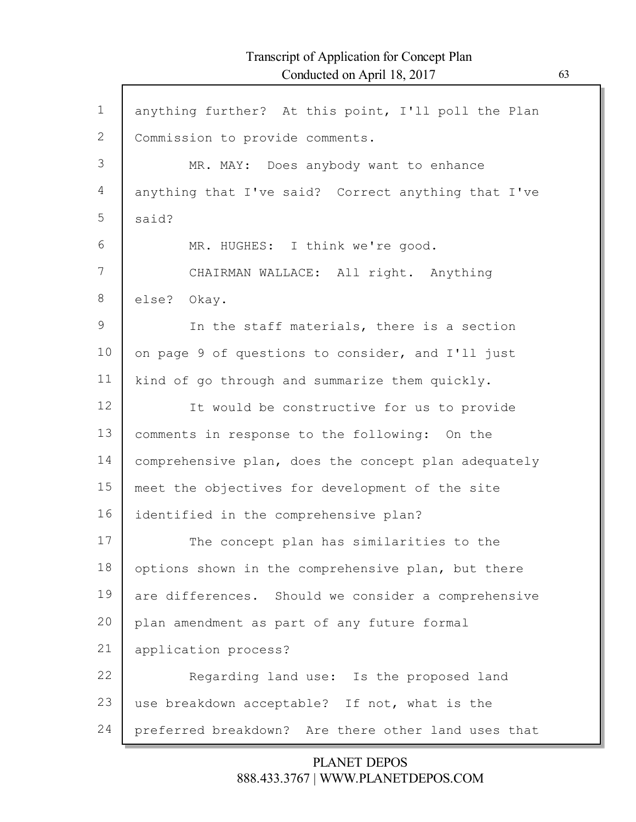| $\mathbf 1$ | anything further? At this point, I'll poll the Plan  |
|-------------|------------------------------------------------------|
| 2           | Commission to provide comments.                      |
| 3           | MR. MAY: Does anybody want to enhance                |
| 4           | anything that I've said? Correct anything that I've  |
| 5           |                                                      |
|             | said?                                                |
| 6           | MR. HUGHES: I think we're good.                      |
| 7           | CHAIRMAN WALLACE: All right. Anything                |
| 8           | else? Okay.                                          |
| 9           | In the staff materials, there is a section           |
| 10          | on page 9 of questions to consider, and I'll just    |
| 11          | kind of go through and summarize them quickly.       |
| 12          | It would be constructive for us to provide           |
| 13          | comments in response to the following: On the        |
| 14          | comprehensive plan, does the concept plan adequately |
| 15          | meet the objectives for development of the site      |
| 16          | identified in the comprehensive plan?                |
| 17          | The concept plan has similarities to the             |
| 18          | options shown in the comprehensive plan, but there   |
| 19          | are differences. Should we consider a comprehensive  |
| 20          | plan amendment as part of any future formal          |
| 21          | application process?                                 |
| 22          | Regarding land use: Is the proposed land             |
| 23          | use breakdown acceptable? If not, what is the        |
| 24          | preferred breakdown? Are there other land uses that  |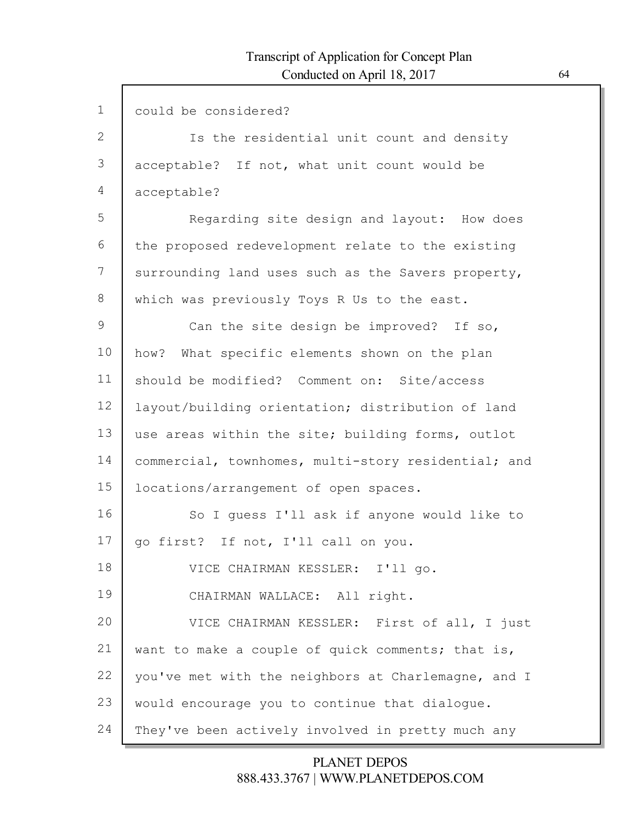| $\mathbf 1$   | could be considered?                                |
|---------------|-----------------------------------------------------|
| 2             | Is the residential unit count and density           |
| 3             | acceptable? If not, what unit count would be        |
| 4             | acceptable?                                         |
| 5             | Regarding site design and layout: How does          |
| 6             | the proposed redevelopment relate to the existing   |
| 7             | surrounding land uses such as the Savers property,  |
| 8             | which was previously Toys R Us to the east.         |
| $\mathcal{G}$ | Can the site design be improved? If so,             |
| 10            | how? What specific elements shown on the plan       |
| 11            | should be modified? Comment on: Site/access         |
| 12            | layout/building orientation; distribution of land   |
| 13            | use areas within the site; building forms, outlot   |
| 14            | commercial, townhomes, multi-story residential; and |
| 15            | locations/arrangement of open spaces.               |
| 16            | So I quess I'll ask if anyone would like to         |
| 17            | go first? If not, I'll call on you.                 |
| 18            | VICE CHAIRMAN KESSLER: I'll go.                     |
| 19            | CHAIRMAN WALLACE: All right.                        |
| 20            | VICE CHAIRMAN KESSLER: First of all, I just         |
| 21            | want to make a couple of quick comments; that is,   |
| 22            | you've met with the neighbors at Charlemagne, and I |
| 23            | would encourage you to continue that dialogue.      |
| 24            | They've been actively involved in pretty much any   |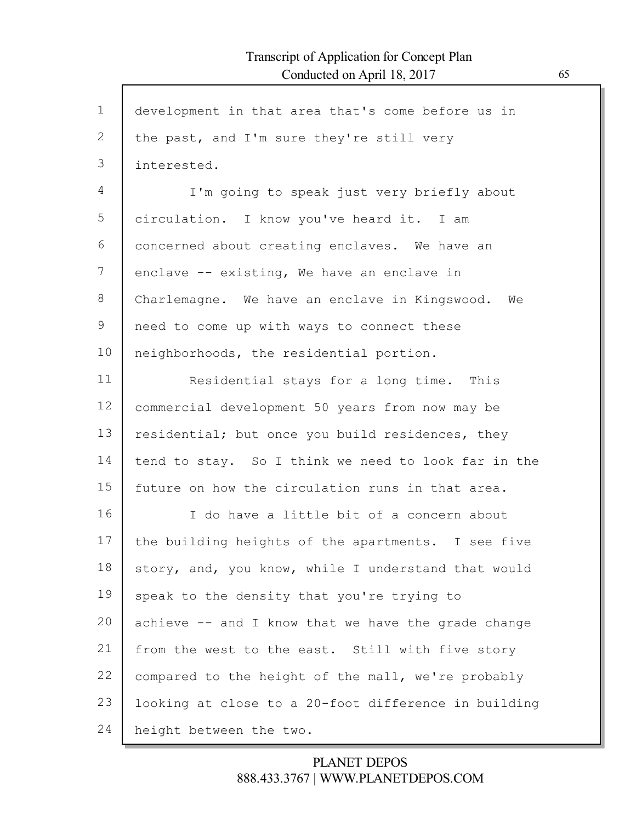Г

| $\mathbf{1}$ | development in that area that's come before us in    |
|--------------|------------------------------------------------------|
| 2            | the past, and I'm sure they're still very            |
| 3            | interested.                                          |
| 4            | I'm going to speak just very briefly about           |
| 5            | circulation. I know you've heard it. I am            |
| 6            | concerned about creating enclaves. We have an        |
| 7            | enclave -- existing, We have an enclave in           |
| 8            | Charlemagne. We have an enclave in Kingswood.<br>We  |
| 9            | need to come up with ways to connect these           |
| 10           | neighborhoods, the residential portion.              |
| 11           | Residential stays for a long time. This              |
| 12           | commercial development 50 years from now may be      |
| 13           | residential; but once you build residences, they     |
| 14           | tend to stay. So I think we need to look far in the  |
| 15           | future on how the circulation runs in that area.     |
| 16           | I do have a little bit of a concern about            |
| 17           | the building heights of the apartments. I see five   |
| 18           | story, and, you know, while I understand that would  |
| 19           | speak to the density that you're trying to           |
| 20           | achieve -- and I know that we have the grade change  |
| 21           | from the west to the east. Still with five story     |
| 22           | compared to the height of the mall, we're probably   |
| 23           | looking at close to a 20-foot difference in building |
| 24           | height between the two.                              |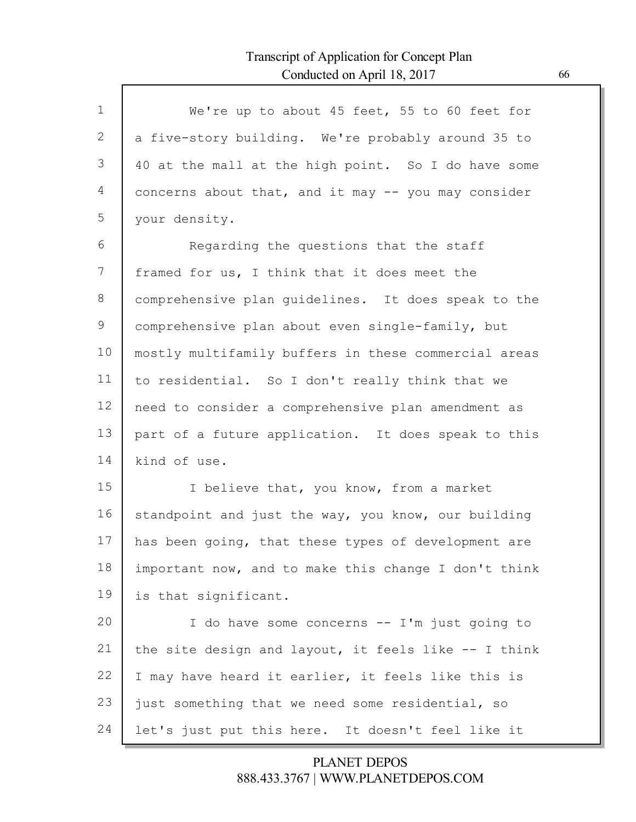Г

| $\mathbf{1}$ | We're up to about 45 feet, 55 to 60 feet for         |
|--------------|------------------------------------------------------|
| 2            | a five-story building. We're probably around 35 to   |
| 3            | 40 at the mall at the high point. So I do have some  |
| 4            | concerns about that, and it may -- you may consider  |
| 5            | your density.                                        |
| 6            | Regarding the questions that the staff               |
| 7            | framed for us, I think that it does meet the         |
| 8            | comprehensive plan quidelines. It does speak to the  |
| 9            | comprehensive plan about even single-family, but     |
| 10           | mostly multifamily buffers in these commercial areas |
| 11           | to residential. So I don't really think that we      |
| 12           | need to consider a comprehensive plan amendment as   |
| 13           | part of a future application. It does speak to this  |
| 14           | kind of use.                                         |
| 15           | I believe that, you know, from a market              |
| 16           | standpoint and just the way, you know, our building  |
| 17           | has been going, that these types of development are  |
| 18           | important now, and to make this change I don't think |
| 19           | is that significant.                                 |
| 20           | I do have some concerns -- I'm just going to         |
| 21           | the site design and layout, it feels like -- I think |
| 22           | I may have heard it earlier, it feels like this is   |
| 23           | just something that we need some residential, so     |
| 24           | let's just put this here. It doesn't feel like it    |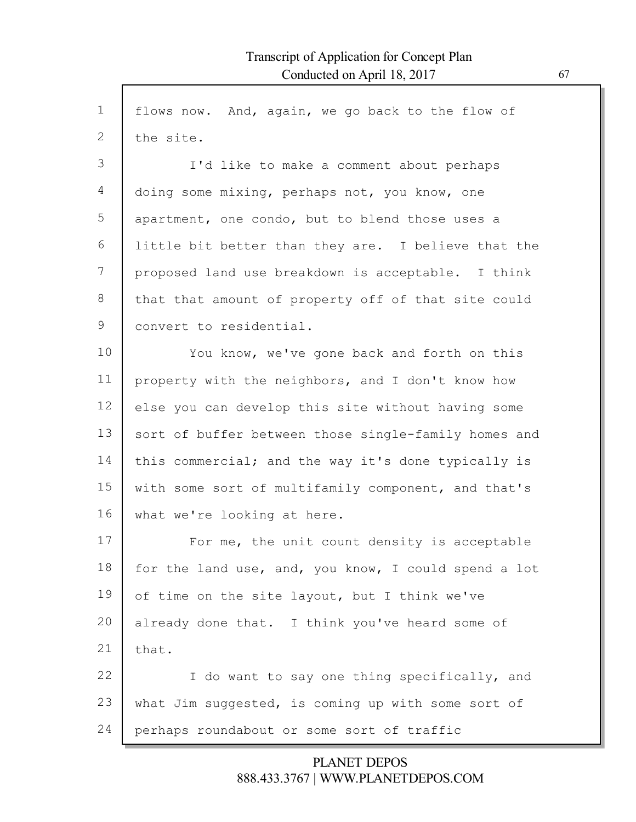| $\mathbf 1$ | flows now. And, again, we go back to the flow of     |
|-------------|------------------------------------------------------|
| 2           | the site.                                            |
| 3           | I'd like to make a comment about perhaps             |
| 4           | doing some mixing, perhaps not, you know, one        |
| 5           | apartment, one condo, but to blend those uses a      |
| 6           | little bit better than they are. I believe that the  |
| 7           | proposed land use breakdown is acceptable. I think   |
| 8           | that that amount of property off of that site could  |
| 9           | convert to residential.                              |
| 10          | You know, we've gone back and forth on this          |
| 11          | property with the neighbors, and I don't know how    |
| 12          | else you can develop this site without having some   |
| 13          | sort of buffer between those single-family homes and |
| 14          | this commercial; and the way it's done typically is  |
| 15          | with some sort of multifamily component, and that's  |
| 16          | what we're looking at here.                          |
| 17          | For me, the unit count density is acceptable         |
| 18          | for the land use, and, you know, I could spend a lot |
| 19          | of time on the site layout, but I think we've        |
| 20          | already done that. I think you've heard some of      |
| 21          | that.                                                |
| 22          | I do want to say one thing specifically, and         |
| 23          | what Jim suggested, is coming up with some sort of   |
| 24          | perhaps roundabout or some sort of traffic           |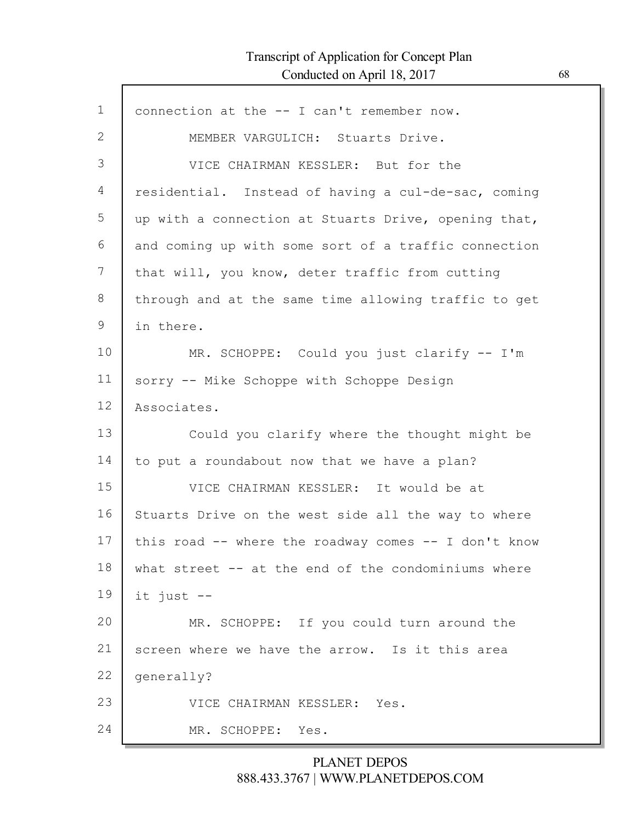$\mathsf{l}$ 

| $\mathbf 1$ | connection at the -- I can't remember now.           |
|-------------|------------------------------------------------------|
| 2           | MEMBER VARGULICH: Stuarts Drive.                     |
| 3           | VICE CHAIRMAN KESSLER: But for the                   |
| 4           | residential. Instead of having a cul-de-sac, coming  |
| 5           | up with a connection at Stuarts Drive, opening that, |
| 6           | and coming up with some sort of a traffic connection |
| 7           | that will, you know, deter traffic from cutting      |
| 8           | through and at the same time allowing traffic to get |
| 9           | in there.                                            |
| 10          | MR. SCHOPPE: Could you just clarify -- I'm           |
| 11          | sorry -- Mike Schoppe with Schoppe Design            |
| 12          | Associates.                                          |
| 13          | Could you clarify where the thought might be         |
| 14          | to put a roundabout now that we have a plan?         |
| 15          | VICE CHAIRMAN KESSLER: It would be at                |
| 16          | Stuarts Drive on the west side all the way to where  |
| 17          | this road -- where the roadway comes -- I don't know |
| 18          | what street -- at the end of the condominiums where  |
| 19          | it just --                                           |
| 20          | MR. SCHOPPE: If you could turn around the            |
| 21          | screen where we have the arrow. Is it this area      |
| 22          | qenerally?                                           |
| 23          | VICE CHAIRMAN KESSLER: Yes.                          |
| 24          | MR. SCHOPPE:<br>Yes.                                 |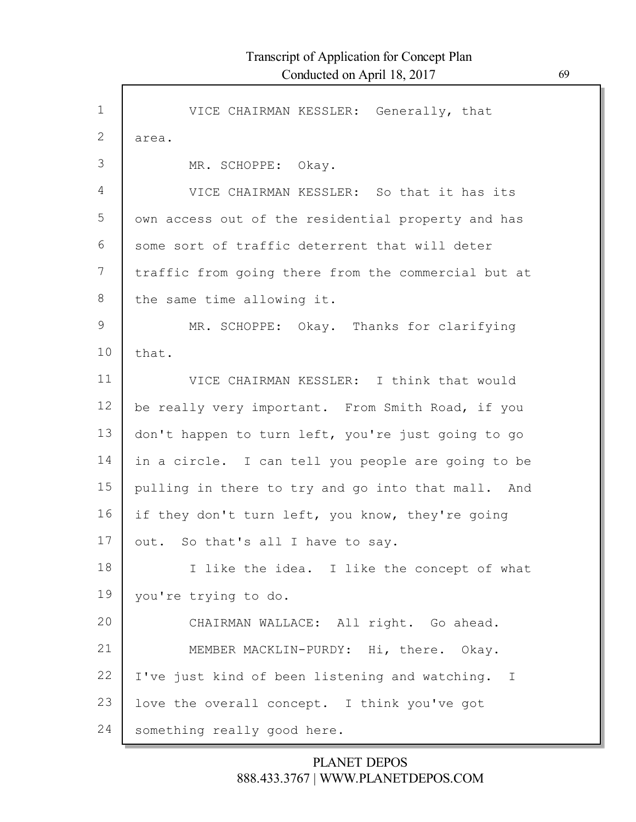Г

| $\mathbf 1$    | VICE CHAIRMAN KESSLER: Generally, that              |
|----------------|-----------------------------------------------------|
| 2              | area.                                               |
| 3              | MR. SCHOPPE: Okay.                                  |
| $\overline{4}$ | VICE CHAIRMAN KESSLER: So that it has its           |
| 5              | own access out of the residential property and has  |
| 6              | some sort of traffic deterrent that will deter      |
| 7              | traffic from going there from the commercial but at |
| 8              | the same time allowing it.                          |
| 9              | MR. SCHOPPE: Okay. Thanks for clarifying            |
| 10             | that.                                               |
| 11             | VICE CHAIRMAN KESSLER: I think that would           |
| 12             | be really very important. From Smith Road, if you   |
| 13             | don't happen to turn left, you're just going to go  |
| 14             | in a circle. I can tell you people are going to be  |
| 15             | pulling in there to try and go into that mall. And  |
| 16             | if they don't turn left, you know, they're going    |
| 17             | out. So that's all I have to say.                   |
| 18             | I like the idea. I like the concept of what         |
| 19             | you're trying to do.                                |
| 20             | CHAIRMAN WALLACE: All right. Go ahead.              |
| 21             | MEMBER MACKLIN-PURDY: Hi, there. Okay.              |
| 22             | I've just kind of been listening and watching. I    |
| 23             | love the overall concept. I think you've got        |
| 24             | something really good here.                         |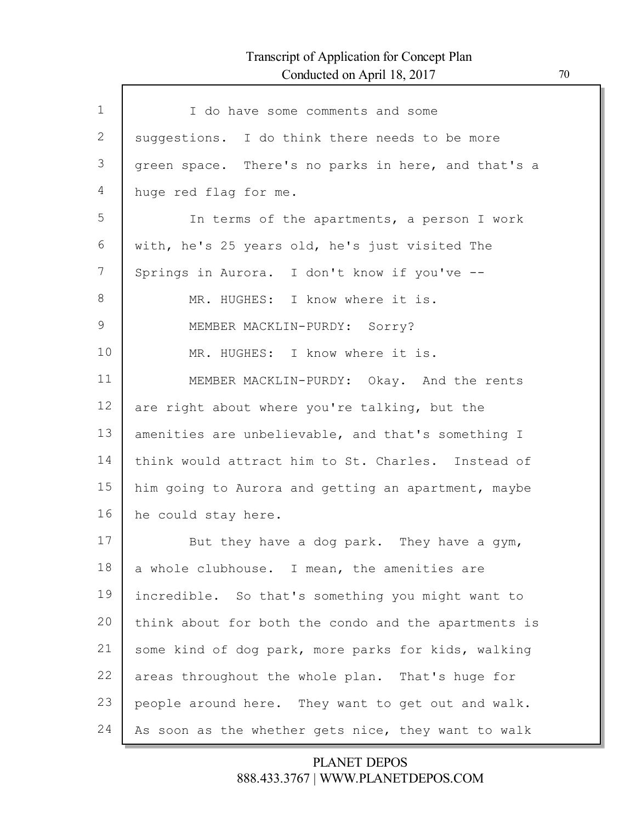Г

| $\mathbf 1$ | I do have some comments and some                     |
|-------------|------------------------------------------------------|
| 2           | suggestions. I do think there needs to be more       |
| 3           | green space. There's no parks in here, and that's a  |
| 4           | huge red flag for me.                                |
| 5           | In terms of the apartments, a person I work          |
| 6           | with, he's 25 years old, he's just visited The       |
| 7           | Springs in Aurora. I don't know if you've --         |
| 8           | MR. HUGHES: I know where it is.                      |
| 9           | MEMBER MACKLIN-PURDY: Sorry?                         |
| 10          | MR. HUGHES: I know where it is.                      |
| 11          | MEMBER MACKLIN-PURDY: Okay. And the rents            |
| 12          | are right about where you're talking, but the        |
| 13          | amenities are unbelievable, and that's something I   |
| 14          | think would attract him to St. Charles. Instead of   |
| 15          | him going to Aurora and getting an apartment, maybe  |
| 16          | he could stay here.                                  |
| 17          | But they have a dog park. They have a gym,           |
| 18          | a whole clubhouse. I mean, the amenities are         |
| 19          | incredible. So that's something you might want to    |
| 20          | think about for both the condo and the apartments is |
| 21          | some kind of dog park, more parks for kids, walking  |
| 22          | areas throughout the whole plan. That's huge for     |
| 23          | people around here. They want to get out and walk.   |
| 24          | As soon as the whether gets nice, they want to walk  |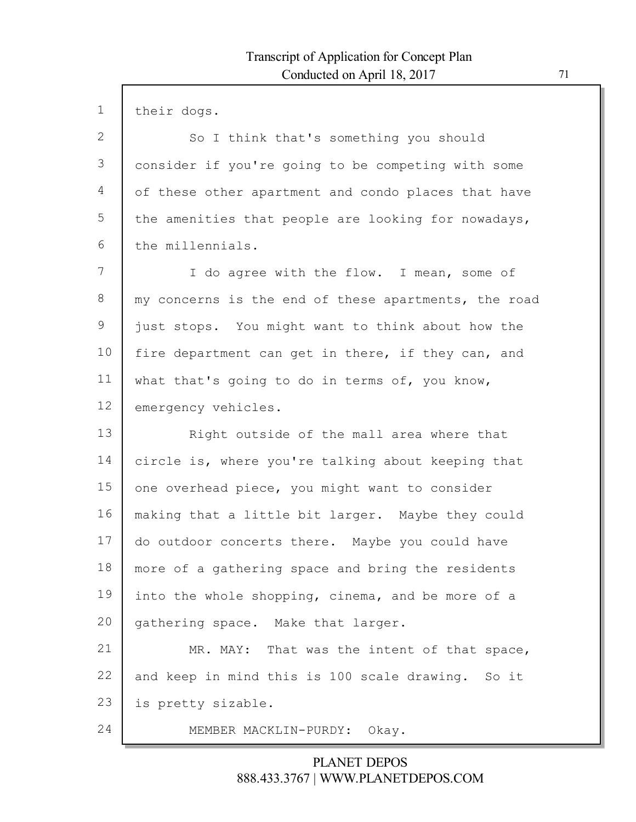| $\mathbf 1$ | their dogs.                                          |
|-------------|------------------------------------------------------|
| 2           | So I think that's something you should               |
| 3           | consider if you're going to be competing with some   |
| 4           | of these other apartment and condo places that have  |
| 5           | the amenities that people are looking for nowadays,  |
| 6           | the millennials.                                     |
| 7           | I do agree with the flow. I mean, some of            |
| 8           | my concerns is the end of these apartments, the road |
| $\mathsf 9$ | just stops. You might want to think about how the    |
| 10          | fire department can get in there, if they can, and   |
| 11          | what that's going to do in terms of, you know,       |
| 12          | emergency vehicles.                                  |
| 13          | Right outside of the mall area where that            |
| 14          | circle is, where you're talking about keeping that   |
| 15          | one overhead piece, you might want to consider       |
| 16          | making that a little bit larger. Maybe they could    |
| 17          | do outdoor concerts there. Maybe you could have      |
| 18          | more of a gathering space and bring the residents    |
| 19          | into the whole shopping, cinema, and be more of a    |
| 20          | gathering space. Make that larger.                   |
| 21          | MR. MAY: That was the intent of that space,          |
| 22          | and keep in mind this is 100 scale drawing. So it    |
| 23          | is pretty sizable.                                   |
| 24          | MEMBER MACKLIN-PURDY: Okay.                          |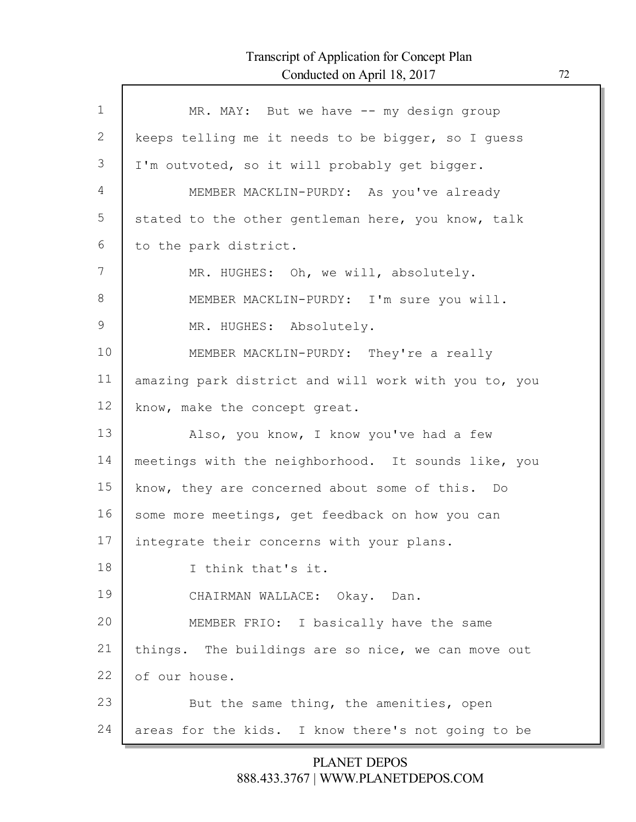Г

| $\mathbf 1$ | MR. MAY: But we have -- my design group              |
|-------------|------------------------------------------------------|
| 2           | keeps telling me it needs to be bigger, so I guess   |
| 3           | I'm outvoted, so it will probably get bigger.        |
| 4           | MEMBER MACKLIN-PURDY: As you've already              |
| 5           | stated to the other gentleman here, you know, talk   |
| 6           | to the park district.                                |
| 7           | MR. HUGHES: Oh, we will, absolutely.                 |
| 8           | MEMBER MACKLIN-PURDY: I'm sure you will.             |
| 9           | MR. HUGHES: Absolutely.                              |
| 10          | MEMBER MACKLIN-PURDY: They're a really               |
| 11          | amazing park district and will work with you to, you |
| 12          | know, make the concept great.                        |
| 13          | Also, you know, I know you've had a few              |
| 14          | meetings with the neighborhood. It sounds like, you  |
| 15          | know, they are concerned about some of this. Do      |
| 16          | some more meetings, get feedback on how you can      |
| 17          | integrate their concerns with your plans.            |
| 18          | I think that's it.                                   |
| 19          | CHAIRMAN WALLACE: Okay. Dan.                         |
| 20          | MEMBER FRIO: I basically have the same               |
| 21          | things. The buildings are so nice, we can move out   |
| 22          | of our house.                                        |
| 23          | But the same thing, the amenities, open              |
| 24          | areas for the kids. I know there's not going to be   |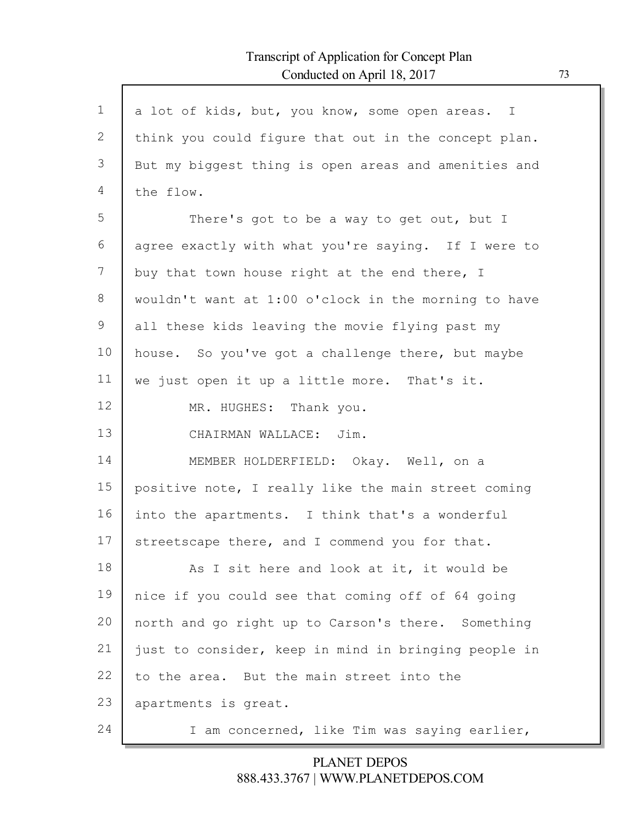Г

| $\mathbf 1$ | a lot of kids, but, you know, some open areas. I     |
|-------------|------------------------------------------------------|
| 2           | think you could figure that out in the concept plan. |
| 3           | But my biggest thing is open areas and amenities and |
| 4           | the flow.                                            |
| 5           | There's got to be a way to get out, but I            |
| 6           | agree exactly with what you're saying. If I were to  |
| 7           | buy that town house right at the end there, I        |
| 8           | wouldn't want at 1:00 o'clock in the morning to have |
| 9           | all these kids leaving the movie flying past my      |
| 10          | house. So you've got a challenge there, but maybe    |
| 11          | we just open it up a little more. That's it.         |
| 12          | MR. HUGHES: Thank you.                               |
| 13          | CHAIRMAN WALLACE: Jim.                               |
| 14          | MEMBER HOLDERFIELD: Okay. Well, on a                 |
| 15          | positive note, I really like the main street coming  |
| 16          | into the apartments. I think that's a wonderful      |
| 17          | streetscape there, and I commend you for that.       |
| 18          | As I sit here and look at it, it would be            |
| 19          | nice if you could see that coming off of 64 going    |
| 20          | north and go right up to Carson's there. Something   |
| 21          | just to consider, keep in mind in bringing people in |
| 22          | to the area. But the main street into the            |
| 23          | apartments is great.                                 |
| 24          | I am concerned, like Tim was saying earlier,         |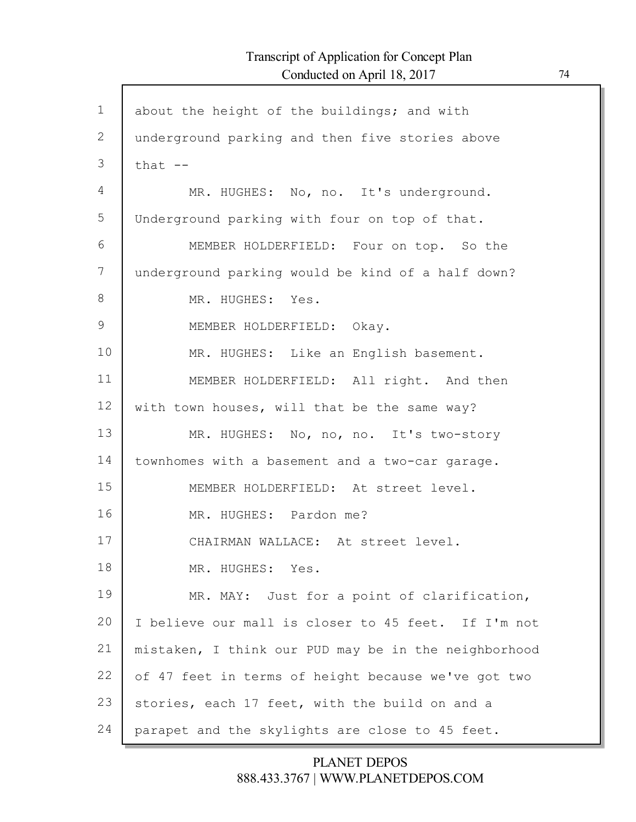| $\mathbf 1$ | about the height of the buildings; and with          |
|-------------|------------------------------------------------------|
| 2           | underground parking and then five stories above      |
| 3           | that $--$                                            |
| 4           | MR. HUGHES: No, no. It's underground.                |
| 5           | Underground parking with four on top of that.        |
| 6           | MEMBER HOLDERFIELD: Four on top. So the              |
| 7           | underground parking would be kind of a half down?    |
| 8           | MR. HUGHES: Yes.                                     |
| 9           | MEMBER HOLDERFIELD: Okay.                            |
| 10          | MR. HUGHES: Like an English basement.                |
| 11          | MEMBER HOLDERFIELD: All right. And then              |
| 12          | with town houses, will that be the same way?         |
| 13          | MR. HUGHES: No, no, no. It's two-story               |
| 14          | townhomes with a basement and a two-car garage.      |
| 15          | MEMBER HOLDERFIELD: At street level.                 |
| 16          | MR. HUGHES: Pardon me?                               |
| 17          | CHAIRMAN WALLACE: At street level.                   |
| 18          | MR. HUGHES: Yes.                                     |
| 19          | MR. MAY: Just for a point of clarification,          |
| 20          | I believe our mall is closer to 45 feet. If I'm not  |
| 21          | mistaken, I think our PUD may be in the neighborhood |
| 22          | of 47 feet in terms of height because we've got two  |
| 23          | stories, each 17 feet, with the build on and a       |
| 24          | parapet and the skylights are close to 45 feet.      |
|             |                                                      |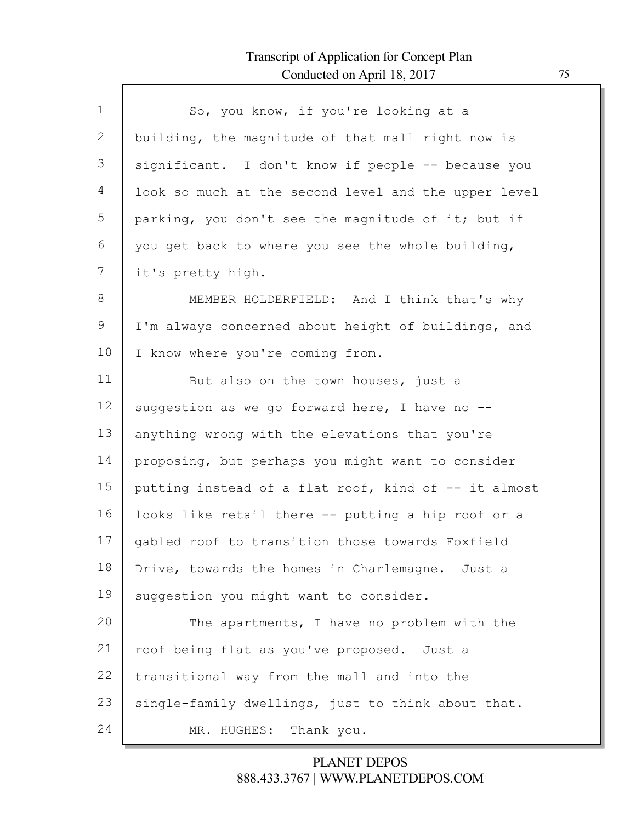Г

| $\mathbf{1}$ | So, you know, if you're looking at a                 |
|--------------|------------------------------------------------------|
| 2            | building, the magnitude of that mall right now is    |
| 3            | significant. I don't know if people -- because you   |
| 4            | look so much at the second level and the upper level |
| 5            | parking, you don't see the magnitude of it; but if   |
| 6            | you get back to where you see the whole building,    |
| 7            | it's pretty high.                                    |
| 8            | MEMBER HOLDERFIELD: And I think that's why           |
| 9            | I'm always concerned about height of buildings, and  |
| 10           | I know where you're coming from.                     |
| 11           | But also on the town houses, just a                  |
| 12           | suggestion as we go forward here, I have no --       |
| 13           | anything wrong with the elevations that you're       |
| 14           | proposing, but perhaps you might want to consider    |
| 15           | putting instead of a flat roof, kind of -- it almost |
| 16           | looks like retail there -- putting a hip roof or a   |
| 17           | gabled roof to transition those towards Foxfield     |
| 18           | Drive, towards the homes in Charlemagne. Just a      |
| 19           | suggestion you might want to consider.               |
| 20           | The apartments, I have no problem with the           |
| 21           | roof being flat as you've proposed. Just a           |
| 22           | transitional way from the mall and into the          |
| 23           | single-family dwellings, just to think about that.   |
| 24           | MR. HUGHES: Thank you.                               |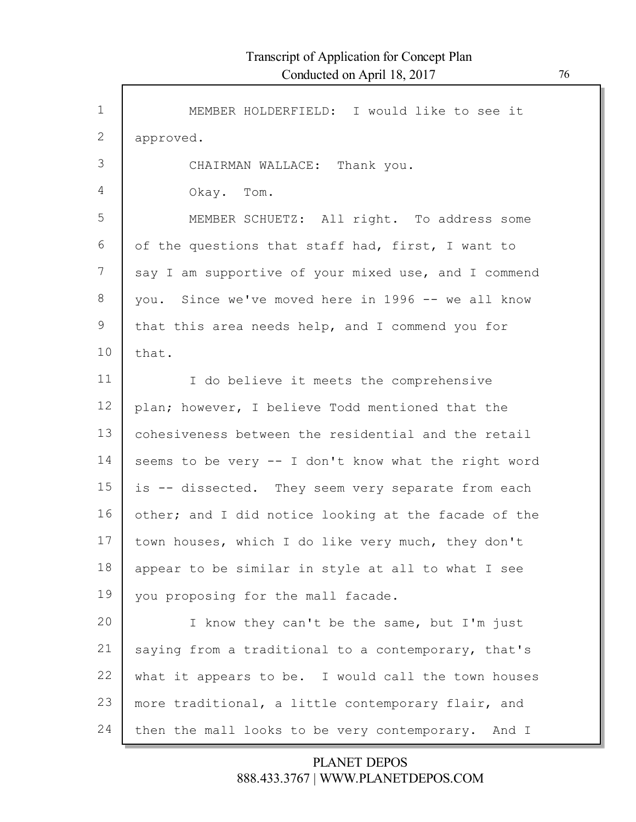Г

| $\mathbf{1}$ | MEMBER HOLDERFIELD: I would like to see it           |
|--------------|------------------------------------------------------|
| $\mathbf{2}$ | approved.                                            |
| 3            | CHAIRMAN WALLACE: Thank you.                         |
| 4            | Okay. Tom.                                           |
| 5            | MEMBER SCHUETZ: All right. To address some           |
| 6            | of the questions that staff had, first, I want to    |
| 7            | say I am supportive of your mixed use, and I commend |
| 8            | you. Since we've moved here in 1996 -- we all know   |
| 9            | that this area needs help, and I commend you for     |
| 10           | that.                                                |
| 11           | I do believe it meets the comprehensive              |
| 12           | plan; however, I believe Todd mentioned that the     |
| 13           | cohesiveness between the residential and the retail  |
| 14           | seems to be very -- I don't know what the right word |
| 15           | is -- dissected. They seem very separate from each   |
| 16           | other; and I did notice looking at the facade of the |
| 17           | town houses, which I do like very much, they don't   |
| 18           | appear to be similar in style at all to what I see   |
| 19           | you proposing for the mall facade.                   |
| 20           | I know they can't be the same, but I'm just          |
| 21           | saying from a traditional to a contemporary, that's  |
| 22           | what it appears to be. I would call the town houses  |
| 23           | more traditional, a little contemporary flair, and   |
| 24           | then the mall looks to be very contemporary. And I   |
|              |                                                      |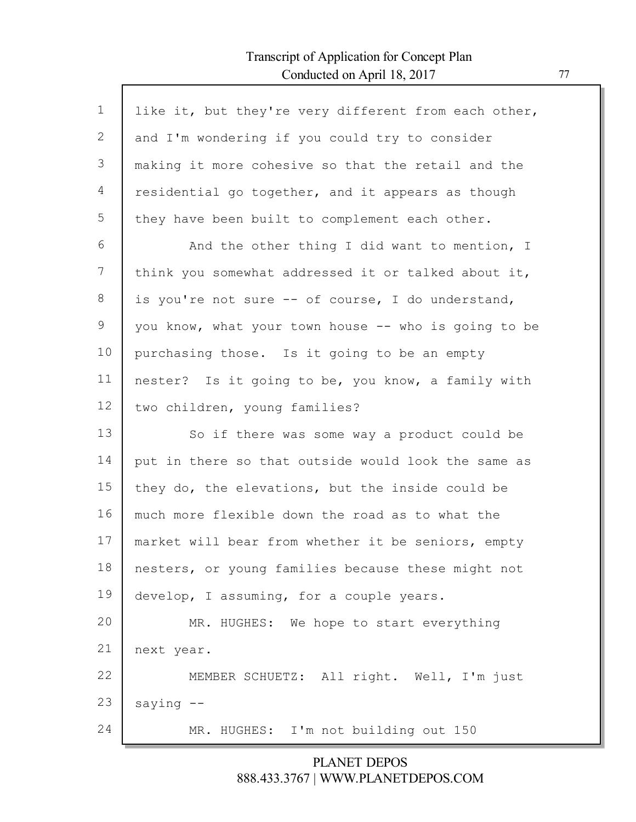Г

| $\mathbf{1}$ | like it, but they're very different from each other, |
|--------------|------------------------------------------------------|
| 2            | and I'm wondering if you could try to consider       |
| 3            | making it more cohesive so that the retail and the   |
| 4            | residential go together, and it appears as though    |
| 5            | they have been built to complement each other.       |
| 6            | And the other thing I did want to mention, I         |
| 7            | think you somewhat addressed it or talked about it,  |
| 8            | is you're not sure -- of course, I do understand,    |
| 9            | you know, what your town house -- who is going to be |
| 10           | purchasing those. Is it going to be an empty         |
| 11           | nester? Is it going to be, you know, a family with   |
| 12           | two children, young families?                        |
| 13           | So if there was some way a product could be          |
| 14           | put in there so that outside would look the same as  |
| 15           | they do, the elevations, but the inside could be     |
| 16           | much more flexible down the road as to what the      |
| 17           | market will bear from whether it be seniors, empty   |
| 18           |                                                      |
|              | nesters, or young families because these might not   |
| 19           | develop, I assuming, for a couple years.             |
| 20           | MR. HUGHES: We hope to start everything              |
| 21           | next year.                                           |
| 22           | MEMBER SCHUETZ: All right. Well, I'm just            |
| 23           | saying $--$                                          |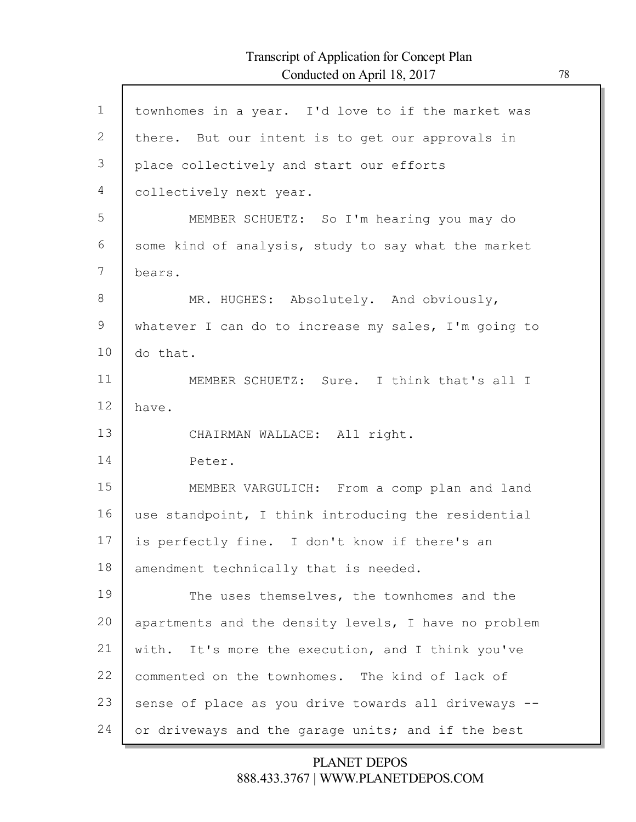Г

| $\mathbf 1$ | townhomes in a year. I'd love to if the market was   |
|-------------|------------------------------------------------------|
| 2           | there. But our intent is to get our approvals in     |
| 3           | place collectively and start our efforts             |
| 4           | collectively next year.                              |
| 5           | MEMBER SCHUETZ: So I'm hearing you may do            |
| 6           | some kind of analysis, study to say what the market  |
| 7           | bears.                                               |
| 8           | MR. HUGHES: Absolutely. And obviously,               |
| 9           | whatever I can do to increase my sales, I'm going to |
| 10          | do that.                                             |
| 11          | MEMBER SCHUETZ: Sure. I think that's all I           |
| 12          | have.                                                |
| 13          | CHAIRMAN WALLACE: All right.                         |
| 14          | Peter.                                               |
| 15          | MEMBER VARGULICH: From a comp plan and land          |
| 16          | use standpoint, I think introducing the residential  |
| 17          | is perfectly fine. I don't know if there's an        |
| 18          | amendment technically that is needed.                |
| 19          | The uses themselves, the townhomes and the           |
| 20          | apartments and the density levels, I have no problem |
| 21          | with. It's more the execution, and I think you've    |
| 22          | commented on the townhomes. The kind of lack of      |
| 23          |                                                      |
|             | sense of place as you drive towards all driveways -- |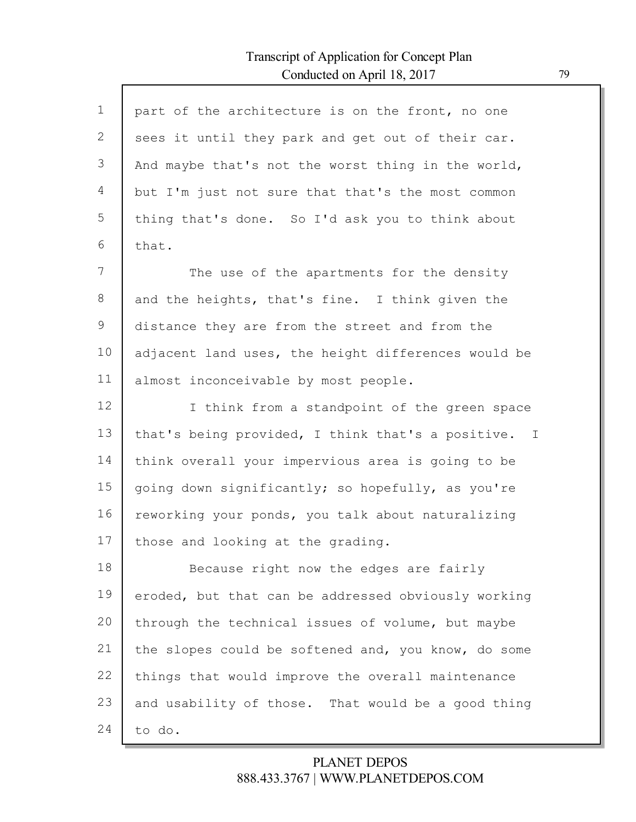$\Gamma$ 

| $\mathbf 1$    | part of the architecture is on the front, no one    |
|----------------|-----------------------------------------------------|
| $\mathbf{2}$   | sees it until they park and get out of their car.   |
| 3              | And maybe that's not the worst thing in the world,  |
| $\overline{4}$ | but I'm just not sure that that's the most common   |
| 5              | thing that's done. So I'd ask you to think about    |
| 6              | that.                                               |
| 7              | The use of the apartments for the density           |
| 8              | and the heights, that's fine. I think given the     |
| $\mathcal{G}$  | distance they are from the street and from the      |
| 10             | adjacent land uses, the height differences would be |
| 11             | almost inconceivable by most people.                |
| 12             | I think from a standpoint of the green space        |
|                |                                                     |
| 13             | that's being provided, I think that's a positive. I |
| 14             | think overall your impervious area is going to be   |
| 15             | going down significantly; so hopefully, as you're   |
| 16             | reworking your ponds, you talk about naturalizing   |
| 17             | those and looking at the grading.                   |
| 18             | Because right now the edges are fairly              |
| 19             | eroded, but that can be addressed obviously working |
| 20             | through the technical issues of volume, but maybe   |
| 21             | the slopes could be softened and, you know, do some |
| 22             | things that would improve the overall maintenance   |
| 23             | and usability of those. That would be a good thing  |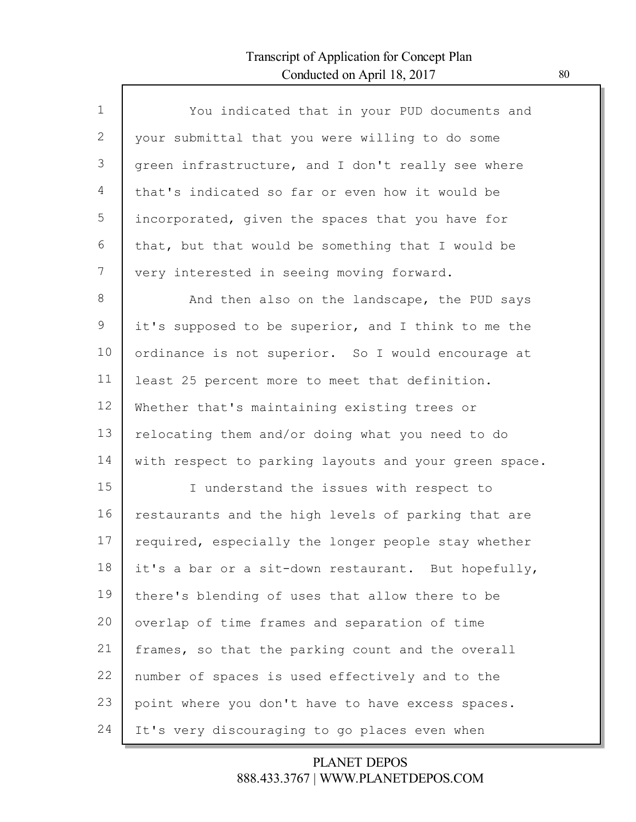Г

| $\mathbf{1}$ | You indicated that in your PUD documents and          |
|--------------|-------------------------------------------------------|
| 2            | your submittal that you were willing to do some       |
| 3            | green infrastructure, and I don't really see where    |
| 4            | that's indicated so far or even how it would be       |
| 5            | incorporated, given the spaces that you have for      |
| 6            | that, but that would be something that I would be     |
| 7            | very interested in seeing moving forward.             |
| 8            | And then also on the landscape, the PUD says          |
| 9            | it's supposed to be superior, and I think to me the   |
| 10           | ordinance is not superior. So I would encourage at    |
| 11           | least 25 percent more to meet that definition.        |
| 12           | Whether that's maintaining existing trees or          |
| 13           | relocating them and/or doing what you need to do      |
| 14           | with respect to parking layouts and your green space. |
| 15           | I understand the issues with respect to               |
| 16           | restaurants and the high levels of parking that are   |
| 17           | required, especially the longer people stay whether   |
| 18           | it's a bar or a sit-down restaurant. But hopefully,   |
| 19           | there's blending of uses that allow there to be       |
| 20           | overlap of time frames and separation of time         |
| 21           | frames, so that the parking count and the overall     |
| 22           | number of spaces is used effectively and to the       |
| 23           | point where you don't have to have excess spaces.     |
| 24           | It's very discouraging to go places even when         |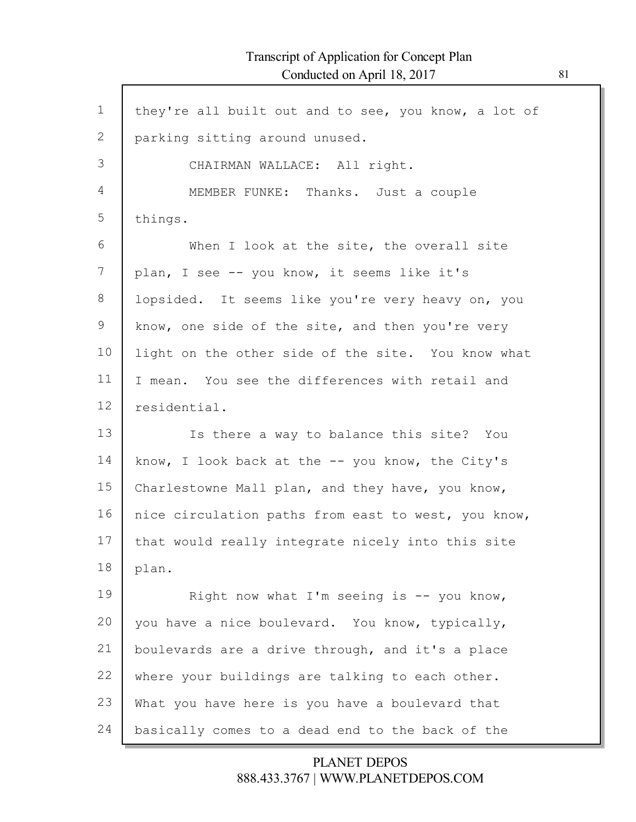Г

| $\mathbf 1$    | they're all built out and to see, you know, a lot of |
|----------------|------------------------------------------------------|
| 2              |                                                      |
|                | parking sitting around unused.                       |
| 3              | CHAIRMAN WALLACE: All right.                         |
| $\overline{4}$ | MEMBER FUNKE: Thanks. Just a couple                  |
| 5              | things.                                              |
| 6              | When I look at the site, the overall site            |
| 7              | plan, I see -- you know, it seems like it's          |
| 8              | lopsided. It seems like you're very heavy on, you    |
| $\mathcal{G}$  | know, one side of the site, and then you're very     |
| 10             | light on the other side of the site. You know what   |
| 11             | I mean. You see the differences with retail and      |
| 12             | residential.                                         |
| 13             | Is there a way to balance this site? You             |
| 14             | know, I look back at the $-$ you know, the City's    |
| 15             | Charlestowne Mall plan, and they have, you know,     |
| 16             | nice circulation paths from east to west, you know,  |
| 17             | that would really integrate nicely into this site    |
| 18             | plan.                                                |
| 19             | Right now what I'm seeing is -- you know,            |
| 20             | you have a nice boulevard. You know, typically,      |
| 21             | boulevards are a drive through, and it's a place     |
| 22             | where your buildings are talking to each other.      |
| 23             | What you have here is you have a boulevard that      |
| 24             | basically comes to a dead end to the back of the     |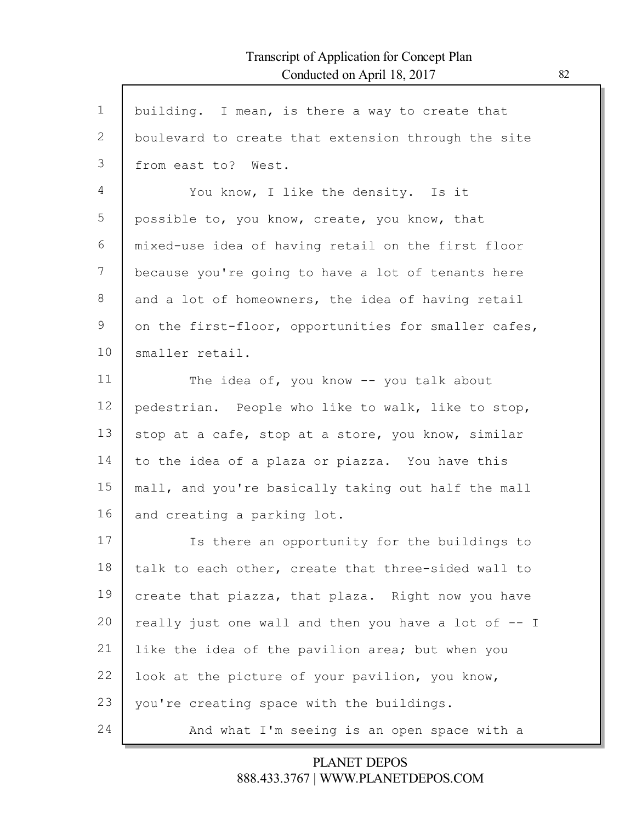Г

| $\mathbf 1$ | building. I mean, is there a way to create that      |
|-------------|------------------------------------------------------|
| 2           | boulevard to create that extension through the site  |
| 3           | from east to? West.                                  |
| 4           | You know, I like the density. Is it                  |
| 5           | possible to, you know, create, you know, that        |
| 6           | mixed-use idea of having retail on the first floor   |
| 7           | because you're going to have a lot of tenants here   |
| 8           | and a lot of homeowners, the idea of having retail   |
| 9           | on the first-floor, opportunities for smaller cafes, |
| 10          | smaller retail.                                      |
| 11          | The idea of, you know -- you talk about              |
| 12          | pedestrian. People who like to walk, like to stop,   |
| 13          | stop at a cafe, stop at a store, you know, similar   |
| 14          | to the idea of a plaza or piazza. You have this      |
| 15          | mall, and you're basically taking out half the mall  |
| 16          | and creating a parking lot.                          |
| 17          | Is there an opportunity for the buildings to         |
| 18          | talk to each other, create that three-sided wall to  |
| 19          | create that piazza, that plaza. Right now you have   |
| 20          | really just one wall and then you have a lot of -- I |
| 21          | like the idea of the pavilion area; but when you     |
| 22          | look at the picture of your pavilion, you know,      |
| 23          | you're creating space with the buildings.            |
| 24          | And what I'm seeing is an open space with a          |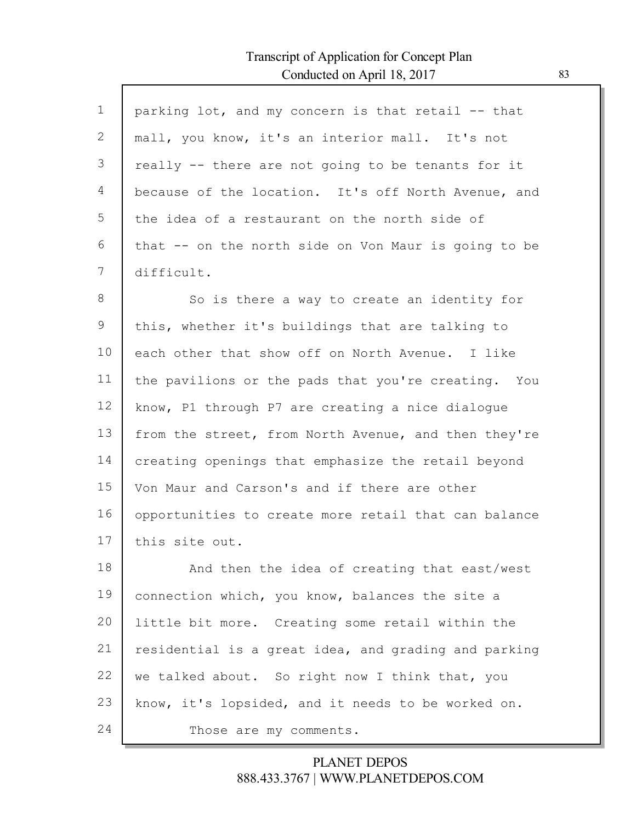| $\mathbf 1$ | parking lot, and my concern is that retail -- that   |
|-------------|------------------------------------------------------|
| 2           | mall, you know, it's an interior mall. It's not      |
| 3           | really -- there are not going to be tenants for it   |
| 4           | because of the location. It's off North Avenue, and  |
| 5           | the idea of a restaurant on the north side of        |
| 6           | that -- on the north side on Von Maur is going to be |
| 7           | difficult.                                           |
| 8           | So is there a way to create an identity for          |
| 9           | this, whether it's buildings that are talking to     |
| 10          | each other that show off on North Avenue. I like     |
| 11          | the pavilions or the pads that you're creating. You  |
| 12          | know, P1 through P7 are creating a nice dialogue     |
| 13          | from the street, from North Avenue, and then they're |
| 14          | creating openings that emphasize the retail beyond   |
| 15          | Von Maur and Carson's and if there are other         |
| 16          | opportunities to create more retail that can balance |
| 17          | this site out.                                       |
| 18          | And then the idea of creating that east/west         |
| 19          | connection which, you know, balances the site a      |
| 20          | little bit more. Creating some retail within the     |
| 21          | residential is a great idea, and grading and parking |
| 22          | we talked about. So right now I think that, you      |
| 23          | know, it's lopsided, and it needs to be worked on.   |
| 24          | Those are my comments.                               |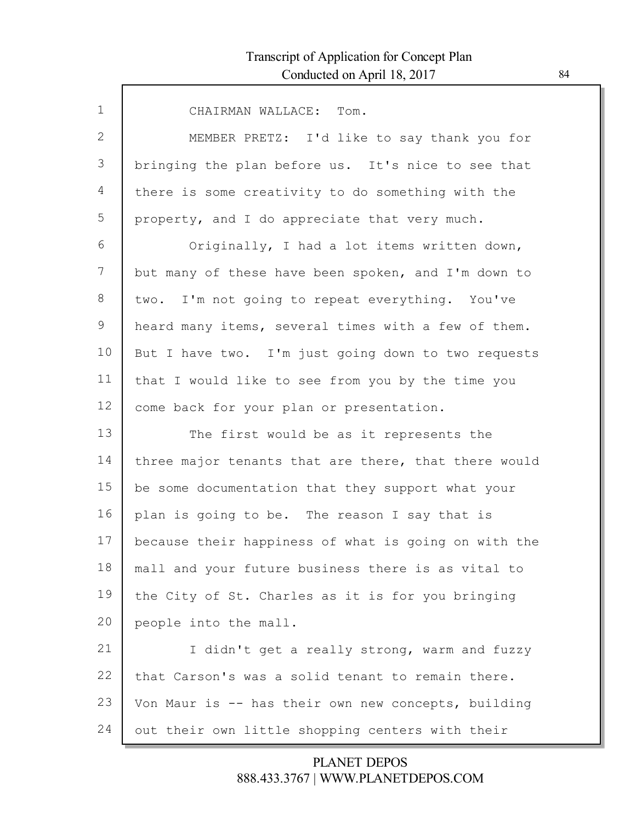| $\mathbf{1}$ | CHAIRMAN WALLACE: Tom.                               |
|--------------|------------------------------------------------------|
| 2            | MEMBER PRETZ: I'd like to say thank you for          |
| 3            | bringing the plan before us. It's nice to see that   |
| 4            | there is some creativity to do something with the    |
| 5            | property, and I do appreciate that very much.        |
| 6            | Originally, I had a lot items written down,          |
| 7            | but many of these have been spoken, and I'm down to  |
| 8            | two. I'm not going to repeat everything. You've      |
| 9            | heard many items, several times with a few of them.  |
| 10           | But I have two. I'm just going down to two requests  |
| 11           | that I would like to see from you by the time you    |
| 12           | come back for your plan or presentation.             |
| 13           | The first would be as it represents the              |
| 14           | three major tenants that are there, that there would |
| 15           | be some documentation that they support what your    |
| 16           | plan is going to be. The reason I say that is        |
| 17           | because their happiness of what is going on with the |
| 18           | mall and your future business there is as vital to   |
| 19           | the City of St. Charles as it is for you bringing    |
| 20           | people into the mall.                                |
| 21           | I didn't get a really strong, warm and fuzzy         |
| 22           | that Carson's was a solid tenant to remain there.    |
| 23           | Von Maur is -- has their own new concepts, building  |
| 24           | out their own little shopping centers with their     |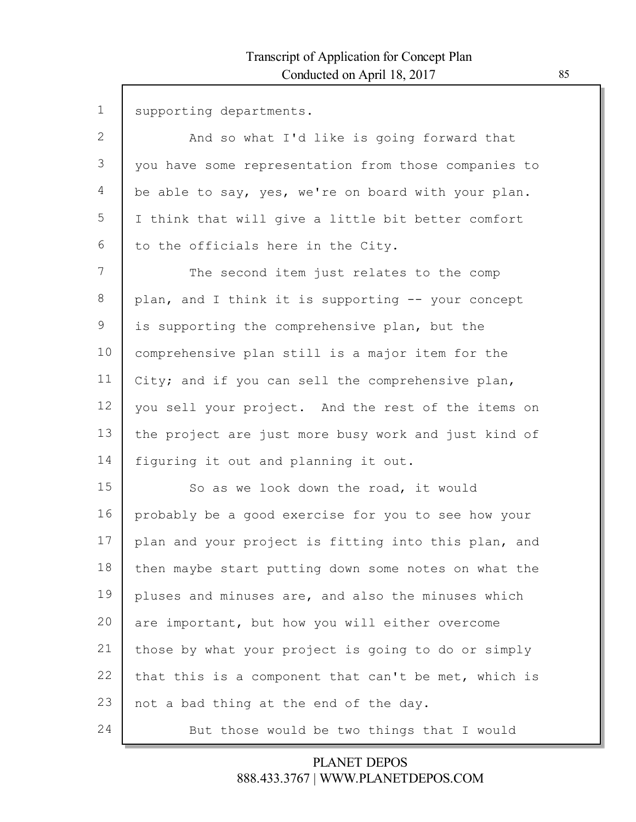| $\mathbf 1$ | supporting departments.                              |
|-------------|------------------------------------------------------|
| 2           | And so what I'd like is going forward that           |
| 3           | you have some representation from those companies to |
| 4           | be able to say, yes, we're on board with your plan.  |
| 5           | I think that will give a little bit better comfort   |
| 6           | to the officials here in the City.                   |
| 7           | The second item just relates to the comp             |
| 8           | plan, and I think it is supporting -- your concept   |
| 9           | is supporting the comprehensive plan, but the        |
| 10          | comprehensive plan still is a major item for the     |
| 11          | City; and if you can sell the comprehensive plan,    |
| 12          | you sell your project. And the rest of the items on  |
| 13          | the project are just more busy work and just kind of |
| 14          | figuring it out and planning it out.                 |
| 15          | So as we look down the road, it would                |
| 16          | probably be a good exercise for you to see how your  |
| 17          | plan and your project is fitting into this plan, and |
| 18          | then maybe start putting down some notes on what the |
| 19          | pluses and minuses are, and also the minuses which   |
| 20          | are important, but how you will either overcome      |
| 21          | those by what your project is going to do or simply  |
| 22          | that this is a component that can't be met, which is |
| 23          | not a bad thing at the end of the day.               |
| 24          | But those would be two things that I would           |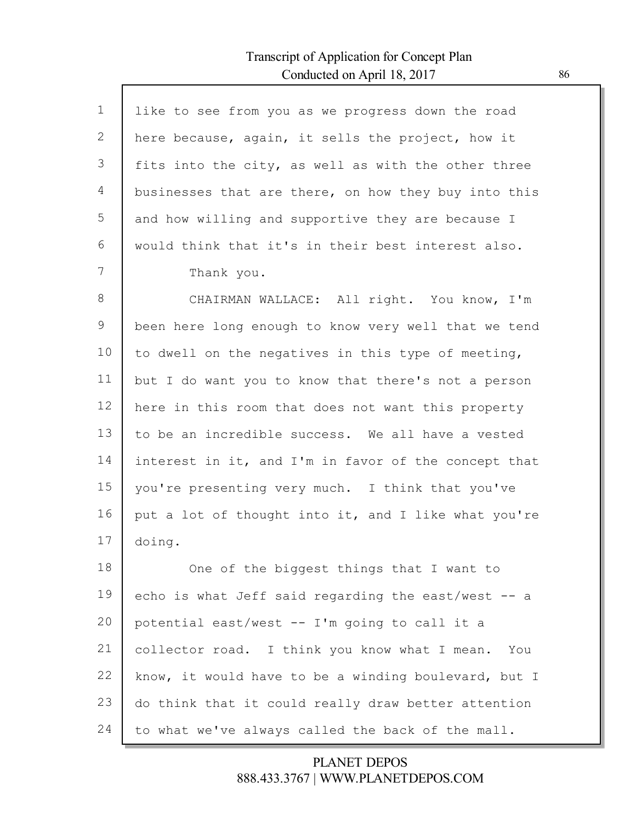Г

| $\mathbf{1}$ | like to see from you as we progress down the road    |
|--------------|------------------------------------------------------|
| 2            | here because, again, it sells the project, how it    |
| 3            | fits into the city, as well as with the other three  |
| 4            | businesses that are there, on how they buy into this |
| 5            | and how willing and supportive they are because I    |
| 6            | would think that it's in their best interest also.   |
| 7            | Thank you.                                           |
| 8            | CHAIRMAN WALLACE: All right. You know, I'm           |
| 9            | been here long enough to know very well that we tend |
| 10           | to dwell on the negatives in this type of meeting,   |
| 11           | but I do want you to know that there's not a person  |
| 12           | here in this room that does not want this property   |
| 13           | to be an incredible success. We all have a vested    |
| 14           | interest in it, and I'm in favor of the concept that |
| 15           | you're presenting very much. I think that you've     |
| 16           | put a lot of thought into it, and I like what you're |
| 17           | doing.                                               |
| 18           | One of the biggest things that I want to             |
| 19           | echo is what Jeff said regarding the east/west -- a  |
| 20           | potential east/west -- I'm going to call it a        |
| 21           | collector road. I think you know what I mean.<br>You |
| 22           | know, it would have to be a winding boulevard, but I |
| 23           | do think that it could really draw better attention  |
| 24           | to what we've always called the back of the mall.    |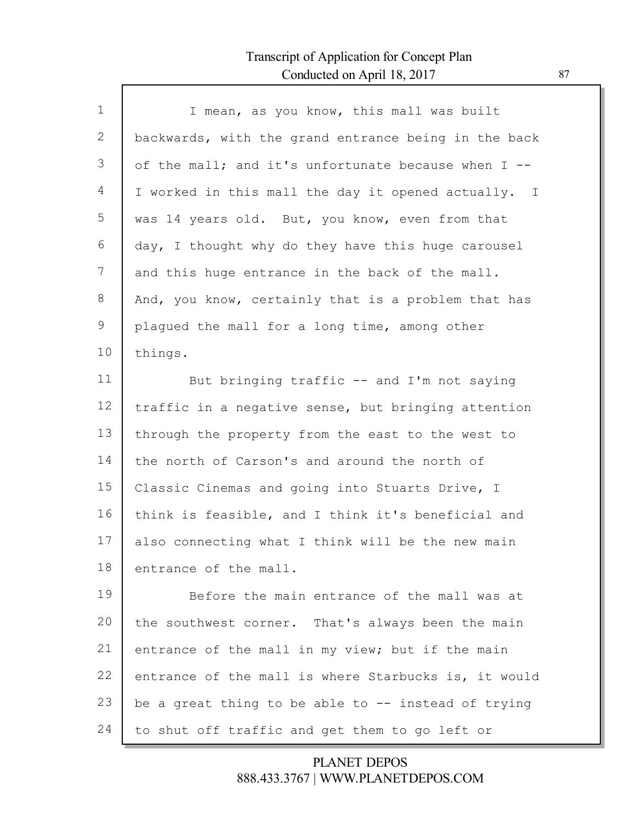Г

| $\mathbf{1}$ | I mean, as you know, this mall was built              |
|--------------|-------------------------------------------------------|
| 2            | backwards, with the grand entrance being in the back  |
| 3            | of the mall; and it's unfortunate because when $I$ -- |
| 4            | I worked in this mall the day it opened actually. I   |
| 5            | was 14 years old. But, you know, even from that       |
| 6            | day, I thought why do they have this huge carousel    |
| 7            | and this huge entrance in the back of the mall.       |
| 8            | And, you know, certainly that is a problem that has   |
| 9            | plaqued the mall for a long time, among other         |
| 10           | things.                                               |
| 11           | But bringing traffic -- and I'm not saying            |
| 12           | traffic in a negative sense, but bringing attention   |
| 13           | through the property from the east to the west to     |
| 14           | the north of Carson's and around the north of         |
| 15           | Classic Cinemas and going into Stuarts Drive, I       |
| 16           | think is feasible, and I think it's beneficial and    |
| 17           | also connecting what I think will be the new main     |
| 18           | entrance of the mall.                                 |
| 19           | Before the main entrance of the mall was at           |
| 20           | the southwest corner. That's always been the main     |
| 21           | entrance of the mall in my view; but if the main      |
| 22           | entrance of the mall is where Starbucks is, it would  |
| 23           | be a great thing to be able to -- instead of trying   |
| 24           | to shut off traffic and get them to go left or        |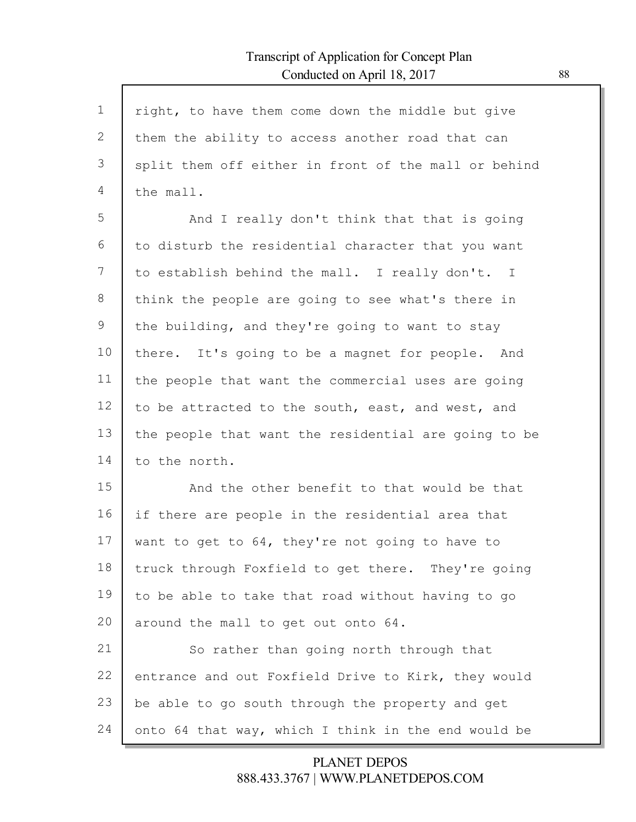Г

| $\mathbf{1}$ | right, to have them come down the middle but give    |
|--------------|------------------------------------------------------|
| $\mathbf{2}$ | them the ability to access another road that can     |
| 3            | split them off either in front of the mall or behind |
| 4            | the mall.                                            |
| 5            | And I really don't think that that is going          |
| 6            | to disturb the residential character that you want   |
| 7            | to establish behind the mall. I really don't. I      |
| 8            | think the people are going to see what's there in    |
| 9            | the building, and they're going to want to stay      |
| 10           | there. It's going to be a magnet for people. And     |
| 11           | the people that want the commercial uses are going   |
| 12           | to be attracted to the south, east, and west, and    |
| 13           | the people that want the residential are going to be |
| 14           | to the north.                                        |
| 15           | And the other benefit to that would be that          |
| 16           | if there are people in the residential area that     |
| 17           | want to get to 64, they're not going to have to      |
| 18           | truck through Foxfield to get there. They're going   |
| 19           | to be able to take that road without having to go    |
| 20           | around the mall to get out onto 64.                  |
| 21           | So rather than going north through that              |
| 22           | entrance and out Foxfield Drive to Kirk, they would  |
| 23           | be able to go south through the property and get     |
| 24           | onto 64 that way, which I think in the end would be  |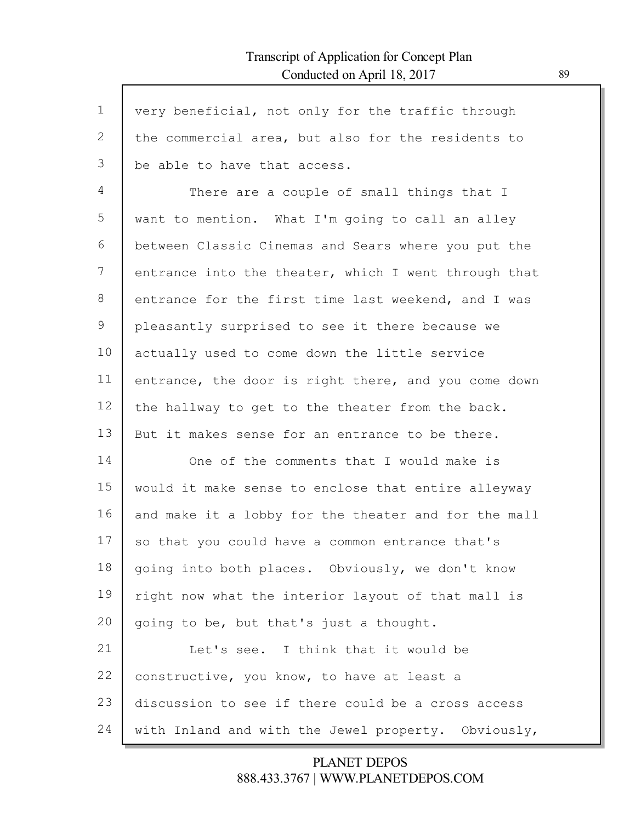Г

| $\mathbf{1}$ | very beneficial, not only for the traffic through    |
|--------------|------------------------------------------------------|
| 2            | the commercial area, but also for the residents to   |
| 3            | be able to have that access.                         |
| 4            | There are a couple of small things that I            |
| 5            | want to mention. What I'm going to call an alley     |
| 6            | between Classic Cinemas and Sears where you put the  |
| 7            | entrance into the theater, which I went through that |
| 8            | entrance for the first time last weekend, and I was  |
| 9            | pleasantly surprised to see it there because we      |
| 10           | actually used to come down the little service        |
| 11           | entrance, the door is right there, and you come down |
| 12           | the hallway to get to the theater from the back.     |
| 13           | But it makes sense for an entrance to be there.      |
| 14           | One of the comments that I would make is             |
| 15           | would it make sense to enclose that entire alleyway  |
| 16           | and make it a lobby for the theater and for the mall |
| 17           | so that you could have a common entrance that's      |
| 18           | going into both places. Obviously, we don't know     |
| 19           | right now what the interior layout of that mall is   |
| 20           | going to be, but that's just a thought.              |
| 21           | Let's see. I think that it would be                  |
| 22           | constructive, you know, to have at least a           |
| 23           | discussion to see if there could be a cross access   |
| 24           | with Inland and with the Jewel property. Obviously,  |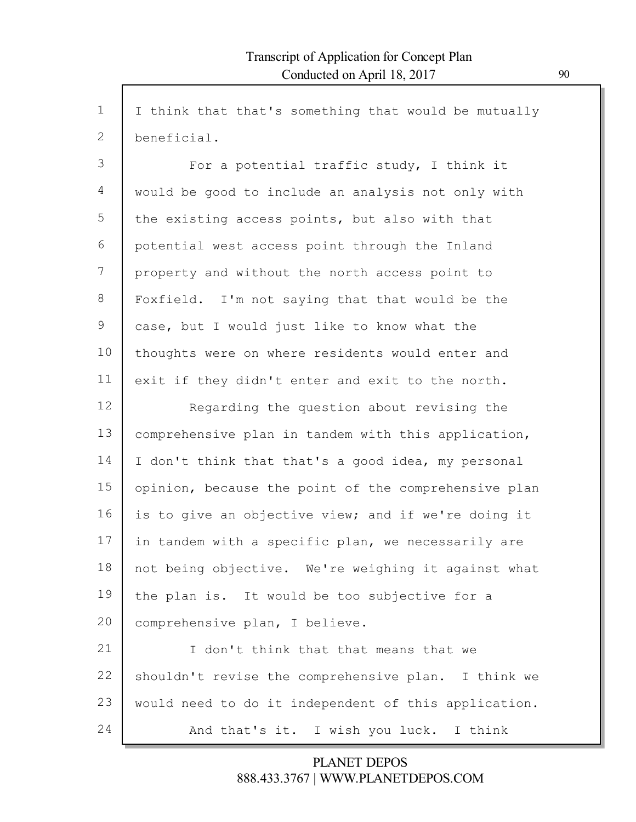1 2 3 4 5 6 7 8 9 10 11 12 13 14 15 16 17 18 19 20 21 22 23 24 I think that that's something that would be mutually beneficial. For a potential traffic study, I think it would be good to include an analysis not only with the existing access points, but also with that potential west access point through the Inland property and without the north access point to Foxfield. I'm not saying that that would be the case, but I would just like to know what the thoughts were on where residents would enter and exit if they didn't enter and exit to the north. Regarding the question about revising the comprehensive plan in tandem with this application, I don't think that that's a good idea, my personal opinion, because the point of the comprehensive plan is to give an objective view; and if we're doing it in tandem with a specific plan, we necessarily are not being objective. We're weighing it against what the plan is. It would be too subjective for a comprehensive plan, I believe. I don't think that that means that we shouldn't revise the comprehensive plan. I think we would need to do it independent of this application. And that's it. I wish you luck. I think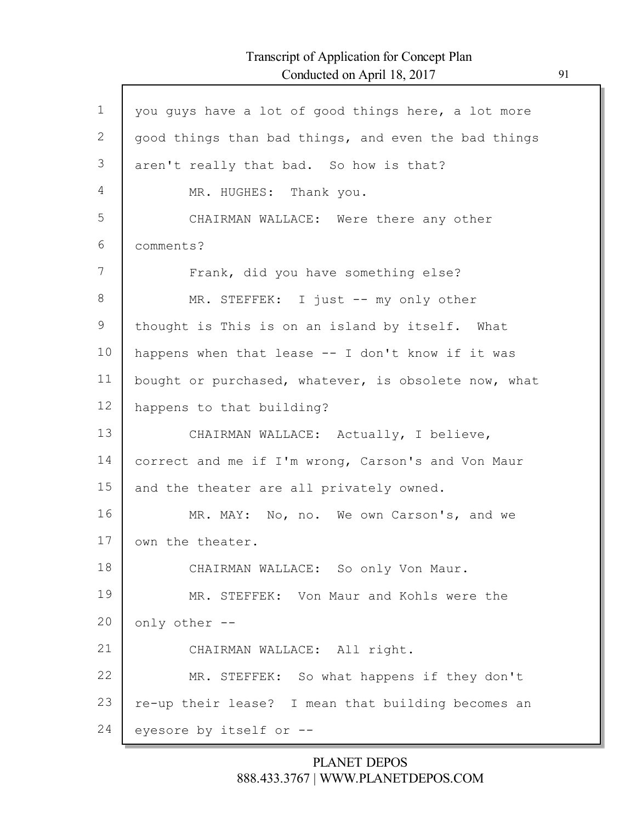Г

| $\mathbf 1$ | you guys have a lot of good things here, a lot more  |
|-------------|------------------------------------------------------|
| 2           | good things than bad things, and even the bad things |
| 3           | aren't really that bad. So how is that?              |
| 4           | MR. HUGHES: Thank you.                               |
| 5           | CHAIRMAN WALLACE: Were there any other               |
| 6           | comments?                                            |
| 7           | Frank, did you have something else?                  |
| $8\,$       | MR. STEFFEK: I just -- my only other                 |
| 9           | thought is This is on an island by itself. What      |
| 10          | happens when that lease -- I don't know if it was    |
| 11          | bought or purchased, whatever, is obsolete now, what |
| 12          | happens to that building?                            |
| 13          | CHAIRMAN WALLACE: Actually, I believe,               |
| 14          | correct and me if I'm wrong, Carson's and Von Maur   |
| 15          | and the theater are all privately owned.             |
| 16          | MR. MAY: No, no. We own Carson's, and we             |
| 17          | own the theater.                                     |
| 18          | CHAIRMAN WALLACE: So only Von Maur.                  |
| 19          | MR. STEFFEK: Von Maur and Kohls were the             |
| 20          | only other --                                        |
| 21          | CHAIRMAN WALLACE: All right.                         |
| 22          | MR. STEFFEK: So what happens if they don't           |
| 23          | re-up their lease? I mean that building becomes an   |
| 24          | eyesore by itself or --                              |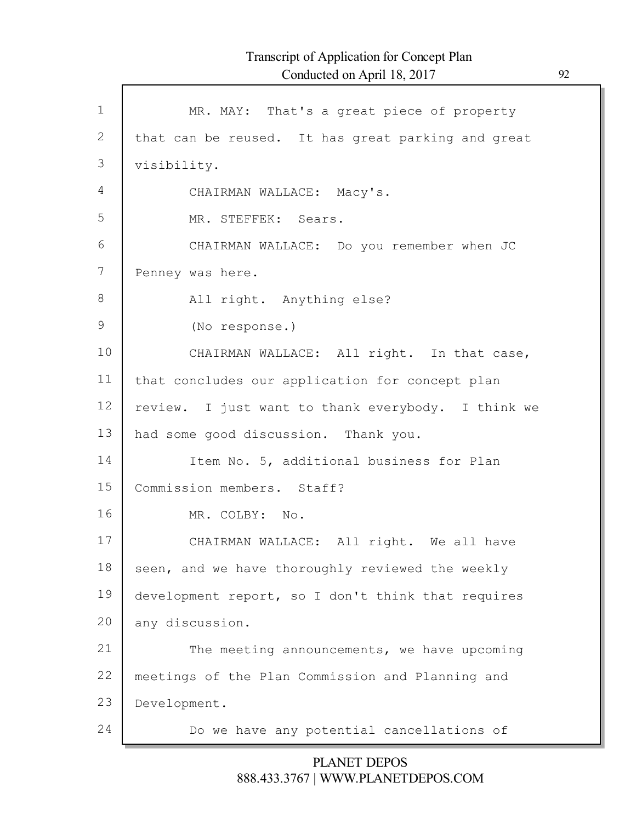Г

| $\mathbf 1$ | MR. MAY: That's a great piece of property          |
|-------------|----------------------------------------------------|
| 2           | that can be reused. It has great parking and great |
| 3           | visibility.                                        |
| 4           | CHAIRMAN WALLACE: Macy's.                          |
| 5           | MR. STEFFEK: Sears.                                |
| 6           | CHAIRMAN WALLACE: Do you remember when JC          |
| 7           | Penney was here.                                   |
| 8           | All right. Anything else?                          |
| 9           | (No response.)                                     |
| 10          | CHAIRMAN WALLACE: All right. In that case,         |
| 11          | that concludes our application for concept plan    |
| 12          | review. I just want to thank everybody. I think we |
| 13          | had some good discussion. Thank you.               |
| 14          | Item No. 5, additional business for Plan           |
| 15          | Commission members. Staff?                         |
| 16          | MR. COLBY: No.                                     |
| 17          | CHAIRMAN WALLACE: All right. We all have           |
| 18          | seen, and we have thoroughly reviewed the weekly   |
| 19          | development report, so I don't think that requires |
| 20          | any discussion.                                    |
| 21          | The meeting announcements, we have upcoming        |
| 22          | meetings of the Plan Commission and Planning and   |
| 23          | Development.                                       |
| 24          | Do we have any potential cancellations of          |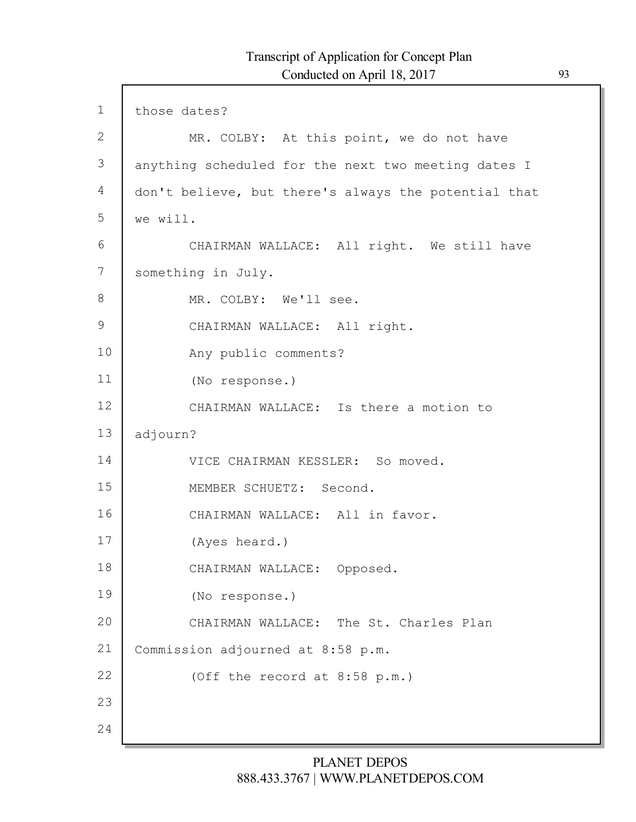$\mathsf{l}$ 

| $\mathbf 1$     | those dates?                                         |
|-----------------|------------------------------------------------------|
| $\mathbf{2}$    | MR. COLBY: At this point, we do not have             |
| 3               | anything scheduled for the next two meeting dates I  |
| $\overline{4}$  | don't believe, but there's always the potential that |
| 5               | we will.                                             |
| 6               | CHAIRMAN WALLACE: All right. We still have           |
| 7               | something in July.                                   |
| 8               | MR. COLBY: We'll see.                                |
| $\mathcal{G}$   | CHAIRMAN WALLACE: All right.                         |
| 10              | Any public comments?                                 |
| 11              | (No response.)                                       |
| 12 <sup>°</sup> | CHAIRMAN WALLACE: Is there a motion to               |
| 13              | adjourn?                                             |
| 14              | VICE CHAIRMAN KESSLER: So moved.                     |
| 15              | MEMBER SCHUETZ: Second.                              |
| 16              | CHAIRMAN WALLACE: All in favor.                      |
| 17              | (Ayes heard.)                                        |
| 18              | CHAIRMAN WALLACE: Opposed.                           |
| 19              | (No response.)                                       |
| 20              | CHAIRMAN WALLACE: The St. Charles Plan               |
| 21              | Commission adjourned at 8:58 p.m.                    |
| 22              | (Off the record at 8:58 p.m.)                        |
| 23              |                                                      |
| 24              |                                                      |